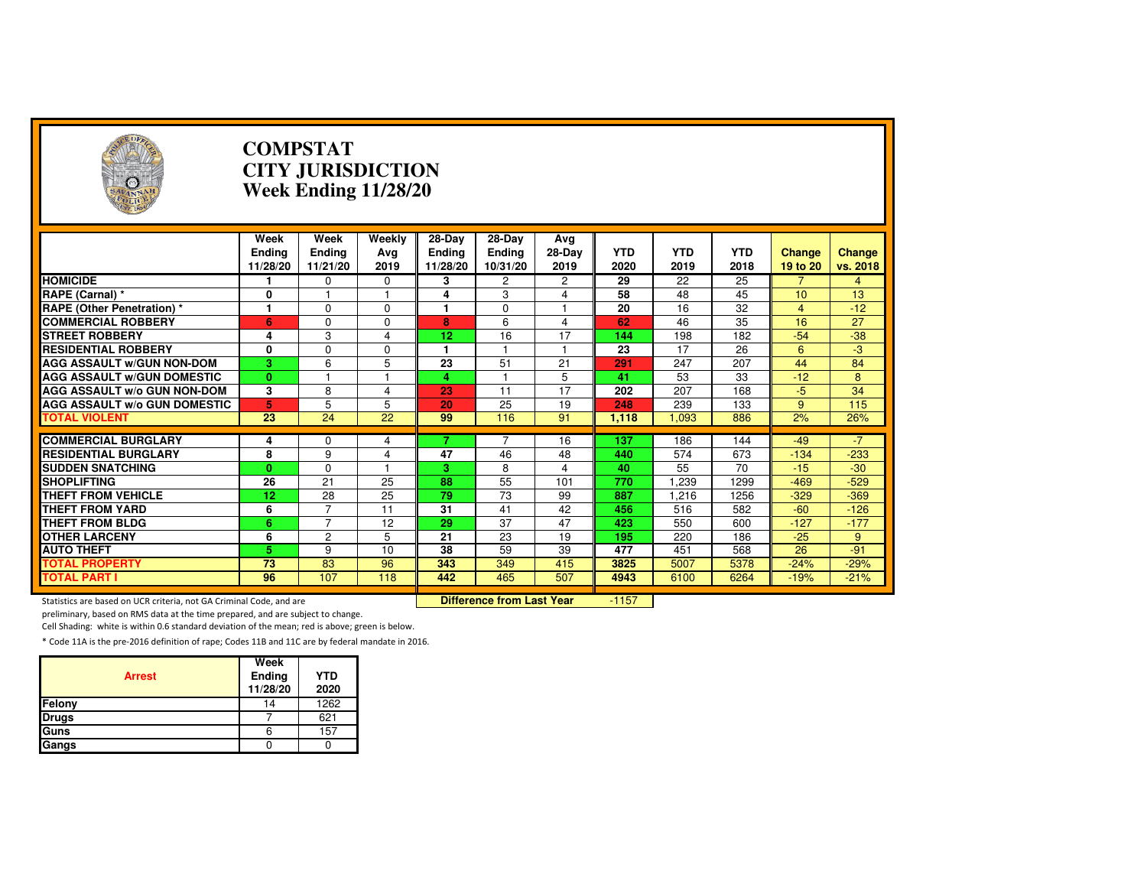| $(\neg)$                                                            | <b>COMPSTAT</b><br><b>CITY JURISDICTION</b><br><b>Week Ending 11/28/20</b> |                       |                                  |                         |                         |                |            |            |            |                 |          |  |
|---------------------------------------------------------------------|----------------------------------------------------------------------------|-----------------------|----------------------------------|-------------------------|-------------------------|----------------|------------|------------|------------|-----------------|----------|--|
|                                                                     | Week<br><b>Ending</b>                                                      | Week<br><b>Ending</b> | Weekly<br>Avg                    | 28-Day<br><b>Ending</b> | 28-Day<br><b>Ending</b> | Avg<br>28-Day  | <b>YTD</b> | <b>YTD</b> | <b>YTD</b> | <b>Change</b>   | Change   |  |
|                                                                     | 11/28/20                                                                   | 11/21/20              | 2019                             | 11/28/20                | 10/31/20                | 2019           | 2020       | 2019       | 2018       | 19 to 20        | vs. 2018 |  |
| <b>HOMICIDE</b>                                                     |                                                                            | 0                     | 0                                | 3                       | 2                       | 2              | 29         | 22         | 25         |                 | 4        |  |
| RAPE (Carnal) *                                                     | 0                                                                          | $\overline{1}$        | $\overline{1}$                   | 4                       | 3                       | 4              | 58         | 48         | 45         | 10              | 13       |  |
| RAPE (Other Penetration) *                                          | 1                                                                          | $\Omega$              | $\Omega$                         | $\mathbf 1$             | 0                       | $\overline{1}$ | 20         | 16         | 32         | $\overline{4}$  | $-12$    |  |
| <b>COMMERCIAL ROBBERY</b>                                           | 6                                                                          | $\Omega$              | $\Omega$                         | 8                       | 6                       | 4              | 62         | 46         | 35         | 16              | 27       |  |
| <b>STREET ROBBERY</b>                                               | 4                                                                          | 3                     | 4                                | 12                      | 16                      | 17             | 144        | 198        | 182        | $-54$           | $-38$    |  |
| <b>RESIDENTIAL ROBBERY</b>                                          | 0                                                                          | $\mathbf 0$           | $\Omega$                         | 1                       |                         | $\mathbf{1}$   | 23         | 17         | 26         | $6\phantom{1}$  | $-3$     |  |
| <b>AGG ASSAULT w/GUN NON-DOM</b>                                    | 3                                                                          | 6                     | 5                                | 23                      | 51                      | 21             | 291        | 247        | 207        | 44              | 84       |  |
| <b>AGG ASSAULT w/GUN DOMESTIC</b>                                   | $\mathbf{0}$                                                               |                       |                                  | 4                       |                         | 5              | 41         | 53         | 33         | $-12$           | 8        |  |
| <b>AGG ASSAULT w/o GUN NON-DOM</b>                                  | 3                                                                          | 8                     | 4                                | 23                      | 11                      | 17             | 202        | 207        | 168        | $-5$            | 34       |  |
| <b>AGG ASSAULT w/o GUN DOMESTIC</b>                                 | 5                                                                          | 5                     | 5                                | 20                      | 25                      | 19             | 248        | 239        | 133        | 9               | 115      |  |
| <b>TOTAL VIOLENT</b>                                                | $\overline{23}$                                                            | $\overline{24}$       | 22                               | 99                      | 116                     | 91             | 1,118      | 1,093      | 886        | 2%              | 26%      |  |
|                                                                     |                                                                            |                       |                                  | 7                       |                         |                |            |            |            |                 | $-7$     |  |
| <b>COMMERCIAL BURGLARY</b><br><b>RESIDENTIAL BURGLARY</b>           | 4<br>8                                                                     | $\mathbf 0$<br>9      | 4                                | 47                      | 46                      | 16<br>48       | 137<br>440 | 186<br>574 | 144<br>673 | $-49$<br>$-134$ | $-233$   |  |
| <b>SUDDEN SNATCHING</b>                                             | $\mathbf{0}$                                                               | $\Omega$              | 4                                | 3.                      | 8                       | 4              | 40         | 55         | 70         | $-15$           | $-30$    |  |
|                                                                     |                                                                            |                       |                                  | 88                      |                         |                |            |            |            |                 |          |  |
| <b>SHOPLIFTING</b><br><b>THEFT FROM VEHICLE</b>                     | 26                                                                         | 21                    | 25                               |                         | 55<br>73                | 101            | 770        | 1.239      | 1299       | $-469$          | $-529$   |  |
|                                                                     | 12                                                                         | 28                    | 25                               | 79                      |                         | 99             | 887        | 1,216      | 1256       | $-329$          | $-369$   |  |
| <b>THEFT FROM YARD</b>                                              | 6                                                                          | $\overline{7}$        | 11                               | 31                      | 41                      | 42             | 456        | 516        | 582        | $-60$           | $-126$   |  |
| <b>THEFT FROM BLDG</b>                                              | 6                                                                          | $\overline{7}$        | 12                               | 29                      | 37                      | 47             | 423        | 550        | 600        | $-127$          | $-177$   |  |
| <b>OTHER LARCENY</b>                                                | 6                                                                          | $\overline{2}$        | 5                                | 21                      | 23                      | 19             | 195        | 220        | 186        | $-25$           | 9        |  |
| <b>AUTO THEFT</b>                                                   | 5                                                                          | 9                     | 10                               | 38                      | 59                      | 39             | 477        | 451        | 568        | 26              | $-91$    |  |
| <b>TOTAL PROPERTY</b>                                               | 73                                                                         | 83                    | 96                               | 343                     | 349                     | 415            | 3825       | 5007       | 5378       | $-24%$          | $-29%$   |  |
| <b>TOTAL PART I</b>                                                 | 96                                                                         | 107                   | 118                              | 442                     | 465                     | 507            | 4943       | 6100       | 6264       | $-19%$          | $-21%$   |  |
| Statistics are based on UCR criteria, not GA Criminal Code, and are |                                                                            |                       | <b>Difference from Last Year</b> |                         | $-1157$                 |                |            |            |            |                 |          |  |

Statistics are based on UCR criteria, not GA Criminal Code, and are **Difference from Last Year** 

preliminary, based on RMS data at the time prepared, and are subject to change.

Cell Shading: white is within 0.6 standard deviation of the mean; red is above; green is below.

| <b>Arrest</b> | Week<br>Ending<br>11/28/20 | <b>YTD</b><br>2020 |
|---------------|----------------------------|--------------------|
| Felony        | 14                         | 1262               |
| <b>Drugs</b>  |                            | 621                |
| Guns          |                            | 157                |
| Gangs         |                            |                    |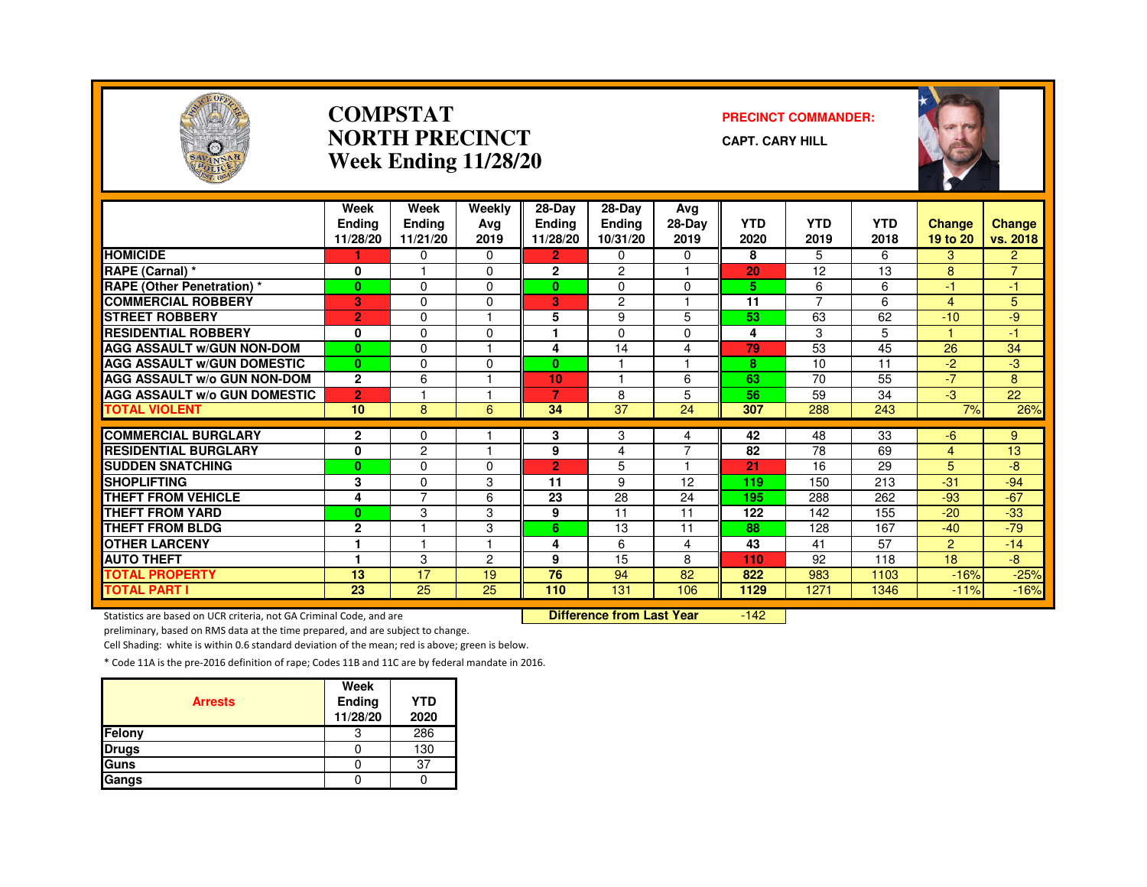

#### **COMPSTATNORTH PRECINCTWeek Ending 11/28/20**

#### **PRECINCT COMMANDER:**

**CAPT. CARY HILL**



|                                     | Week<br><b>Endina</b><br>11/28/20 | Week<br><b>Ending</b><br>11/21/20 | Weekly<br>Ava<br>2019 | 28-Day<br><b>Ending</b><br>11/28/20 | 28-Day<br><b>Ending</b><br>10/31/20 | Avg<br>28-Day<br>2019 | <b>YTD</b><br>2020 | <b>YTD</b><br>2019 | <b>YTD</b><br>2018 | Change<br>19 to 20 | <b>Change</b><br>vs. 2018 |
|-------------------------------------|-----------------------------------|-----------------------------------|-----------------------|-------------------------------------|-------------------------------------|-----------------------|--------------------|--------------------|--------------------|--------------------|---------------------------|
| <b>HOMICIDE</b>                     |                                   | $\Omega$                          | 0                     | $\overline{2}$                      | 0                                   | 0                     | 8                  | 5                  | 6                  | 3                  | $\overline{2}$            |
| RAPE (Carnal) *                     | 0                                 |                                   | 0                     | $\overline{2}$                      | $\mathcal{P}$                       | $\overline{1}$        | 20                 | 12                 | 13                 | 8                  | $\overline{7}$            |
| RAPE (Other Penetration) *          | $\bf{0}$                          | $\Omega$                          | 0                     | $\mathbf{0}$                        | $\Omega$                            | 0                     | 5                  | 6                  | 6                  | $-1$               | $\overline{4}$            |
| <b>COMMERCIAL ROBBERY</b>           | 3                                 | $\Omega$                          | 0                     | 3.                                  | 2                                   |                       | $\overline{11}$    | 7                  | 6                  | 4                  | 5                         |
| <b>STREET ROBBERY</b>               | $\overline{2}$                    | $\Omega$                          |                       | 5                                   | 9                                   | 5                     | 53                 | 63                 | 62                 | $-10$              | -9                        |
| <b>RESIDENTIAL ROBBERY</b>          | 0                                 | $\Omega$                          | $\Omega$              |                                     | $\Omega$                            | 0                     | 4                  | 3                  | 5                  |                    | 47                        |
| <b>AGG ASSAULT W/GUN NON-DOM</b>    | $\bf{0}$                          | $\Omega$                          | ٠                     | 4                                   | 14                                  | 4                     | 79                 | 53                 | 45                 | 26                 | 34                        |
| <b>AGG ASSAULT W/GUN DOMESTIC</b>   | $\mathbf{0}$                      | $\Omega$                          | $\Omega$              | $\bf{0}$                            |                                     | 1                     | 8                  | 10                 | 11                 | $-2$               | -3                        |
| AGG ASSAULT W/o GUN NON-DOM         | $\mathbf{2}$                      | 6                                 |                       | 10                                  |                                     | 6                     | 63                 | 70                 | 55                 | $-7$               | 8                         |
| <b>AGG ASSAULT W/o GUN DOMESTIC</b> | $\overline{2}$                    |                                   |                       | 7                                   | 8                                   | 5                     | 56                 | 59                 | 34                 | $-3$               | 22                        |
| <b>TOTAL VIOLENT</b>                | 10                                | 8                                 | 6                     | 34                                  | 37                                  | 24                    | 307                | 288                | 243                | 7%                 | 26%                       |
| <b>COMMERCIAL BURGLARY</b>          | $\mathbf{2}$                      | 0                                 |                       | 3                                   | 3                                   |                       | 42                 | 48                 | 33                 | -6                 | 9                         |
| <b>RESIDENTIAL BURGLARY</b>         | $\mathbf{0}$                      | $\overline{2}$                    | ۰                     | 9                                   | 4                                   | 4<br>7                | 82                 | 78                 | 69                 | 4                  | 13                        |
| <b>SUDDEN SNATCHING</b>             | $\bf{0}$                          | $\Omega$                          | 0                     | $\overline{2}$                      | 5                                   |                       | 21                 | 16                 | 29                 | 5                  | -8                        |
| <b>SHOPLIFTING</b>                  | 3                                 | $\Omega$                          | 3                     | 11                                  | 9                                   | 12                    | 119                | 150                | 213                | $-31$              | $-94$                     |
| <b>THEFT FROM VEHICLE</b>           | 4                                 | $\overline{7}$                    | 6                     | 23                                  | 28                                  | 24                    | 195                | 288                | 262                | $-93$              | $-67$                     |
| THEFT FROM YARD                     | $\bf{0}$                          | 3                                 | 3                     | 9                                   | 11                                  | 11                    | 122                | 142                | 155                | $-20$              | $-33$                     |
| <b>THEFT FROM BLDG</b>              | $\mathbf{2}$                      |                                   | 3                     | 6.                                  | 13                                  | 11                    | 88                 | 128                | 167                | $-40$              | $-79$                     |
| <b>OTHER LARCENY</b>                |                                   |                                   |                       | 4                                   | 6                                   | 4                     | 43                 | 41                 | 57                 | $\overline{2}$     | $-14$                     |
| <b>AUTO THEFT</b>                   |                                   | 3                                 | 2                     | 9                                   | 15                                  | 8                     | 110                | 92                 | 118                | 18                 | $-8$                      |
| <b>TOTAL PROPERTY</b>               | 13                                | 17                                | 19                    | 76                                  | 94                                  | 82                    | 822                |                    |                    |                    |                           |
| <b>TOTAL PART I</b>                 | $\overline{23}$                   | $\overline{25}$                   | $\overline{25}$       | 110                                 | 131                                 | 106                   | 1129               | 983<br>1271        | 1103<br>1346       | $-16%$<br>$-11%$   | $-25%$<br>$-16%$          |

Statistics are based on UCR criteria, not GA Criminal Code, and are **Difference from Last Year** 

 $-142$ 

preliminary, based on RMS data at the time prepared, and are subject to change.

Cell Shading: white is within 0.6 standard deviation of the mean; red is above; green is below.

| <b>Arrests</b> | Week<br>Ending<br>11/28/20 | <b>YTD</b><br>2020 |
|----------------|----------------------------|--------------------|
| Felony         | З                          | 286                |
| <b>Drugs</b>   |                            | 130                |
| Guns           |                            | 37                 |
| Gangs          |                            |                    |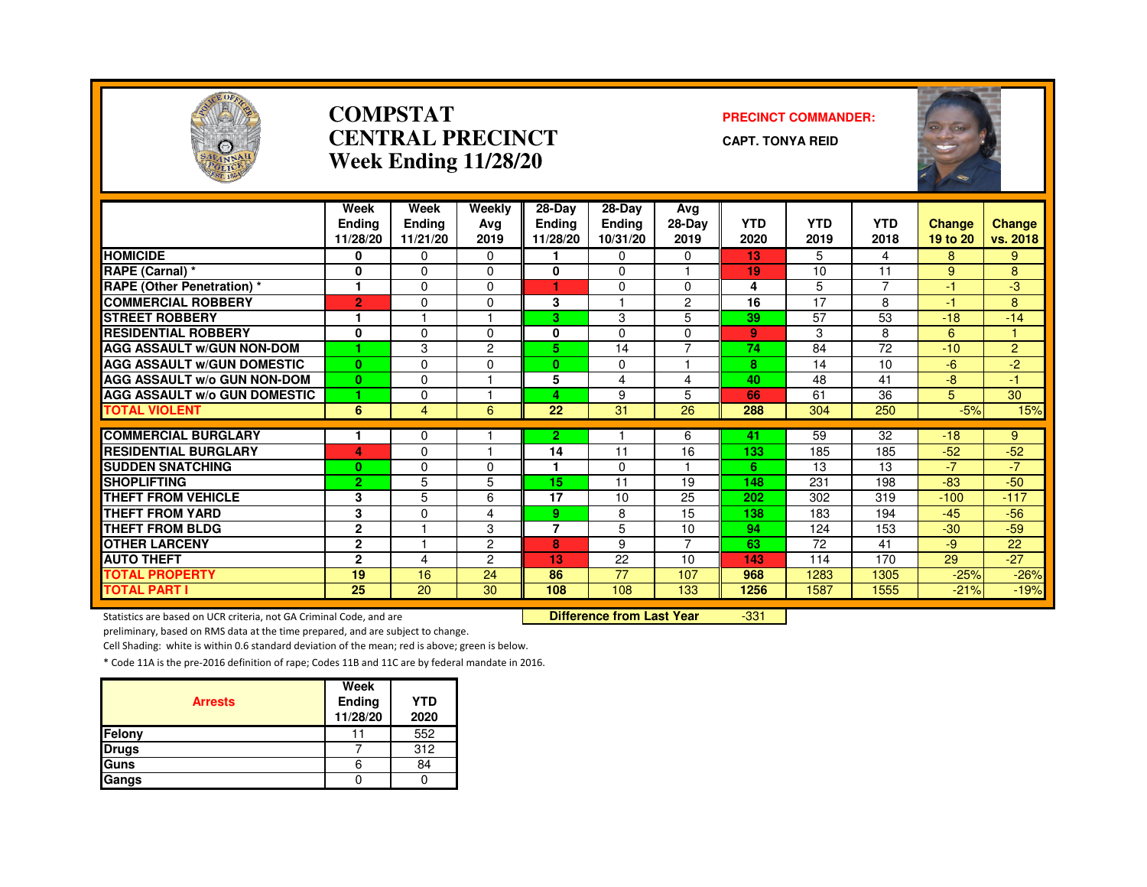

#### **COMPSTATCENTRAL PRECINCTWeek Ending 11/28/20**

#### **PRECINCT COMMANDER:**

**CAPT. TONYA REID**



|                                     | Week                      | Week                      | Weekly         | 28-Day                    | $28-Dav$                  | Avg            | <b>YTD</b> | <b>YTD</b> | <b>YTD</b> |                           |                           |
|-------------------------------------|---------------------------|---------------------------|----------------|---------------------------|---------------------------|----------------|------------|------------|------------|---------------------------|---------------------------|
|                                     | <b>Endina</b><br>11/28/20 | <b>Ending</b><br>11/21/20 | Avg<br>2019    | <b>Ending</b><br>11/28/20 | <b>Ending</b><br>10/31/20 | 28-Day<br>2019 | 2020       | 2019       | 2018       | <b>Change</b><br>19 to 20 | <b>Change</b><br>vs. 2018 |
| <b>HOMICIDE</b>                     | 0                         | $\Omega$                  | $\Omega$       |                           | $\Omega$                  | $\Omega$       | 13         | 5          | 4          | 8                         | 9                         |
| <b>RAPE (Carnal) *</b>              | 0                         | $\Omega$                  | 0              | 0                         | $\Omega$                  |                | 19         | 10         | 11         | 9                         | 8                         |
| <b>RAPE (Other Penetration) *</b>   | 1                         | $\Omega$                  | $\Omega$       |                           | $\Omega$                  | $\Omega$       | 4          | 5          | 7          | $-1$                      | $-3$                      |
| <b>COMMERCIAL ROBBERY</b>           | $\overline{2}$            | $\Omega$                  | 0              | 3                         |                           | $\overline{c}$ | 16         | 17         | 8          | -1                        | 8                         |
| <b>STREET ROBBERY</b>               | 1                         |                           |                | 3.                        | 3                         | 5              | 39         | 57         | 53         | $-18$                     | $-14$                     |
| <b>RESIDENTIAL ROBBERY</b>          | $\bf{0}$                  | $\Omega$                  | $\Omega$       | 0                         | $\Omega$                  | $\Omega$       | 9          | 3          | 8          | 6                         |                           |
| <b>AGG ASSAULT W/GUN NON-DOM</b>    | 4                         | 3                         | $\overline{2}$ | 5.                        | 14                        | $\overline{7}$ | 74         | 84         | 72         | $-10$                     | $\overline{2}$            |
| <b>AGG ASSAULT W/GUN DOMESTIC</b>   | $\mathbf{0}$              | $\Omega$                  | 0              | $\bf{0}$                  | 0                         |                | 8          | 14         | 10         | $-6$                      | $-2$                      |
| <b>AGG ASSAULT W/o GUN NON-DOM</b>  | $\bf{0}$                  | $\Omega$                  |                | 5                         | 4                         | 4              | 40         | 48         | 41         | $-8$                      | $-1$                      |
| <b>AGG ASSAULT W/o GUN DOMESTIC</b> | 1                         | $\Omega$                  |                | 4                         | 9                         | 5              | 66         | 61         | 36         | 5                         | 30                        |
| <b>TOTAL VIOLENT</b>                | 6                         | $\overline{4}$            | 6              | 22                        | 31                        | 26             | 288        | 304        | 250        | $-5%$                     | 15%                       |
|                                     |                           |                           |                |                           |                           |                |            |            |            |                           |                           |
| <b>COMMERCIAL BURGLARY</b>          |                           | $\Omega$                  |                | 2.                        |                           | 6              | 41         | 59         | 32         | $-18$                     | 9                         |
| <b>RESIDENTIAL BURGLARY</b>         | 4                         | $\Omega$                  |                | 14                        | 11                        | 16             | 133        | 185        | 185        | $-52$                     | $-52$                     |
| <b>SUDDEN SNATCHING</b>             | $\bf{0}$                  | $\Omega$                  | $\Omega$       |                           | $\Omega$                  |                | 6          | 13         | 13         | $-7$                      | $-77$                     |
| <b>SHOPLIFTING</b>                  | $\overline{2}$            | 5                         | 5              | 15                        | 11                        | 19             | 148        | 231        | 198        | $-83$                     | $-50$                     |
| <b>THEFT FROM VEHICLE</b>           | 3                         | 5                         | 6              | 17                        | 10                        | 25             | 202        | 302        | 319        | $-100$                    | $-117$                    |
| <b>THEFT FROM YARD</b>              | 3                         | $\Omega$                  | 4              | 9.                        | 8                         | 15             | 138        | 183        | 194        | $-45$                     | $-56$                     |
| <b>THEFT FROM BLDG</b>              | $\mathbf{2}$              |                           | 3              | $\overline{7}$            | 5                         | 10             | 94         | 124        | 153        | $-30$                     | $-59$                     |
| <b>OTHER LARCENY</b>                | $\mathbf{2}$              |                           | 2              | 8                         | 9                         | 7              | 63         | 72         | 41         | -9                        | 22                        |
| <b>AUTO THEFT</b>                   | $\mathbf{2}$              | 4                         | 2              | 13                        | 22                        | 10             | 143        | 114        | 170        | 29                        | $-27$                     |
| <b>TOTAL PROPERTY</b>               | 19                        | 16                        | 24             | 86                        | 77                        | 107            | 968        | 1283       | 1305       | $-25%$                    | $-26%$                    |
| <b>TOTAL PART I</b>                 | 25                        | 20                        | 30             | 108                       | 108                       | 133            | 1256       | 1587       | 1555       | $-21%$                    | $-19%$                    |

Statistics are based on UCR criteria, not GA Criminal Code, and are **Difference from Last Year** 

-331

preliminary, based on RMS data at the time prepared, and are subject to change.

Cell Shading: white is within 0.6 standard deviation of the mean; red is above; green is below.

| <b>Arrests</b> | Week<br>Ending<br>11/28/20 | <b>YTD</b><br>2020 |
|----------------|----------------------------|--------------------|
| Felony         |                            | 552                |
| <b>Drugs</b>   |                            | 312                |
| Guns           |                            | 84                 |
| Gangs          |                            |                    |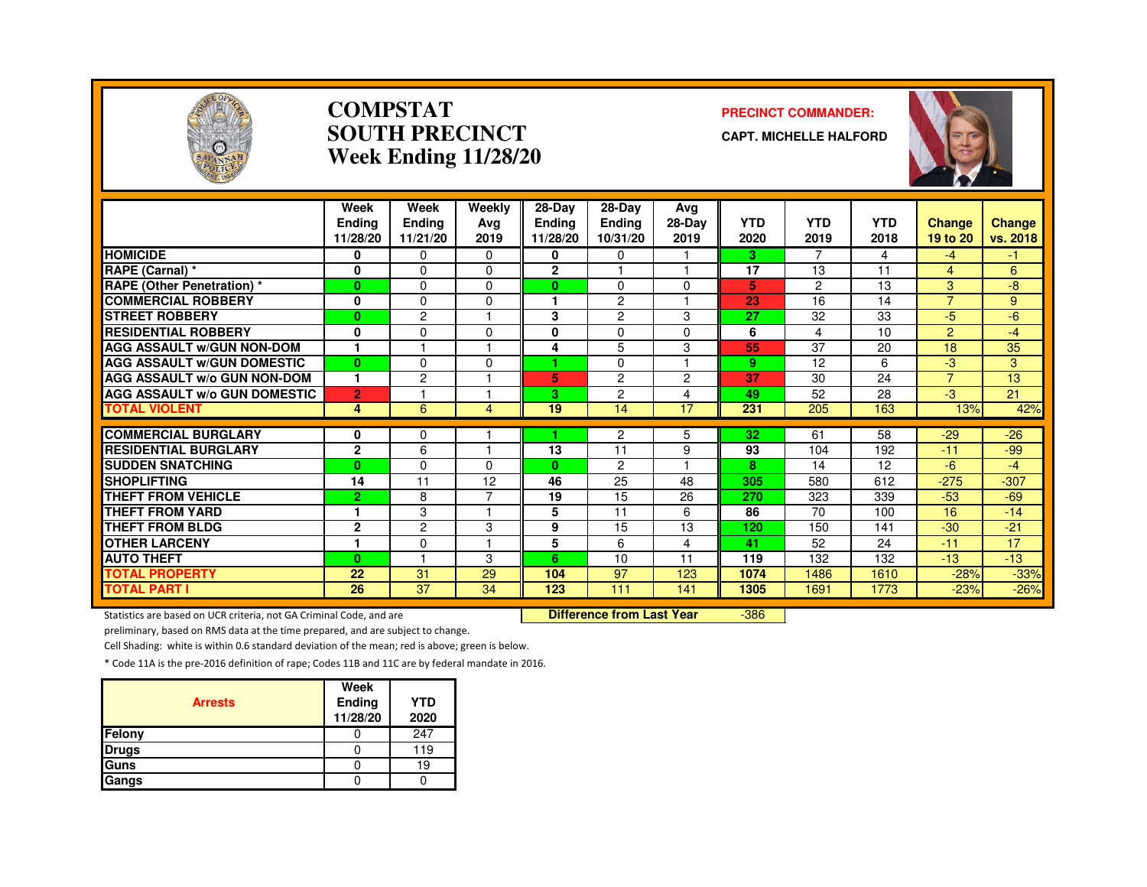

#### **COMPSTATSOUTH PRECINCTWeek Ending 11/28/20**

#### **PRECINCT COMMANDER:**

**CAPT. MICHELLE HALFORD**



|                                               | Week<br>Endina<br>11/28/20 | Week<br>Ending<br>11/21/20 | Weekly<br>Avg<br>2019 | 28-Day<br><b>Ending</b><br>11/28/20 | $28-Dav$<br><b>Ending</b><br>10/31/20 | Ava<br>28-Day<br>2019 | <b>YTD</b><br>2020 | <b>YTD</b><br>2019 | <b>YTD</b><br>2018 | Change<br>19 to 20 | <b>Change</b><br>vs. 2018 |
|-----------------------------------------------|----------------------------|----------------------------|-----------------------|-------------------------------------|---------------------------------------|-----------------------|--------------------|--------------------|--------------------|--------------------|---------------------------|
| <b>HOMICIDE</b>                               | 0                          | $\Omega$                   | $\Omega$              | 0                                   | $\Omega$                              |                       | 3                  | 7                  | 4                  | $-4$               | -1.                       |
| RAPE (Carnal) *                               | $\mathbf 0$                | $\Omega$                   | $\Omega$              | $\mathbf{2}$                        |                                       |                       | 17                 | 13                 | 11                 | $\overline{4}$     | 6                         |
| <b>RAPE (Other Penetration)*</b>              | $\mathbf{0}$               | $\Omega$                   | $\Omega$              | 0                                   | $\Omega$                              | $\Omega$              | 5                  | $\overline{2}$     | 13                 | 3                  | -8                        |
| <b>COMMERCIAL ROBBERY</b>                     | $\mathbf 0$                | $\Omega$                   | $\Omega$              |                                     | $\overline{c}$                        |                       | 23                 | 16                 | 14                 | $\overline{7}$     | 9                         |
| <b>STREET ROBBERY</b>                         | $\bf{0}$                   | 2                          |                       | 3                                   | $\overline{c}$                        | 3                     | 27                 | 32                 | 33                 | -5                 | -6                        |
| <b>RESIDENTIAL ROBBERY</b>                    | $\mathbf{0}$               | $\Omega$                   | O                     | 0                                   | $\Omega$                              | $\Omega$              | 6                  | 4                  | 10                 | 2                  | $-4$                      |
| <b>AGG ASSAULT W/GUN NON-DOM</b>              |                            |                            |                       | 4                                   | 5                                     | 3                     | 55                 | 37                 | 20                 | 18                 | 35                        |
| <b>AGG ASSAULT W/GUN DOMESTIC</b>             | $\bf{0}$                   | $\Omega$                   | $\Omega$              |                                     | $\Omega$                              |                       | 9                  | 12                 | 6                  | -3                 | 3                         |
| <b>AGG ASSAULT w/o GUN NON-DOM</b>            | 1                          | $\overline{c}$             |                       | 5                                   | $\overline{2}$                        | $\overline{2}$        | 37                 | 30                 | 24                 | $\overline{7}$     | 13                        |
| <b>AGG ASSAULT W/o GUN DOMESTIC</b>           | $\overline{2}$             |                            |                       | 3.                                  | 2                                     | $\overline{4}$        | 49                 | 52                 | 28                 | -3                 | 21                        |
| <b>TOTAL VIOLENT</b>                          | 4                          | 6                          | 4                     | 19                                  | 14                                    | 17                    | 231                | 205                | 163                | 13%                | 42%                       |
| <b>COMMERCIAL BURGLARY</b>                    |                            |                            |                       |                                     |                                       |                       | 32                 |                    | 58                 | $-29$              |                           |
| <b>RESIDENTIAL BURGLARY</b>                   | 0<br>$\mathbf{2}$          | 0<br>6                     |                       | 13                                  | 2<br>11                               | 5<br>9                | 93                 | 61<br>104          | 192                | $-11$              | $-26$<br>-99              |
|                                               |                            |                            | <sup>0</sup>          | $\mathbf{0}$                        |                                       |                       | 8                  |                    |                    | $-6$               |                           |
| <b>SUDDEN SNATCHING</b><br><b>SHOPLIFTING</b> | $\bf{0}$<br>14             | $\Omega$<br>11             |                       | 46                                  | 2<br>25                               | 48                    | 305                | 14<br>580          | 12<br>612          | $-275$             | -4                        |
| THEFT FROM VEHICLE                            |                            |                            | 12<br>⇁               |                                     | 15                                    |                       |                    |                    |                    |                    | $-307$                    |
| <b>THEFT FROM YARD</b>                        | $\overline{2}$             | 8                          |                       | 19                                  |                                       | 26                    | 270<br>86          | 323                | 339                | $-53$              | $-69$                     |
|                                               | 1                          | 3                          |                       | 5                                   | 11                                    | 6                     |                    | 70                 | 100                | 16                 | $-14$                     |
| <b>THEFT FROM BLDG</b>                        | $\mathbf{2}$               | $\overline{c}$             | 3                     | 9                                   | 15                                    | 13                    | 120                | 150                | 141                | $-30$              | $-21$                     |
| <b>OTHER LARCENY</b>                          | 1                          | $\Omega$                   |                       | 5                                   | 6                                     | 4                     | 41                 | 52                 | 24                 | $-11$              | 17                        |
| <b>AUTO THEFT</b>                             | $\bf{0}$                   |                            | 3                     | 6                                   | 10                                    | 11                    | 119                | 132                | 132                | $-13$              | $-13$                     |
| <b>TOTAL PROPERTY</b>                         | 22                         | 31                         | 29                    | 104                                 | 97                                    | 123                   | 1074               | 1486               | 1610               | $-28%$             | $-33%$                    |
| <b>TOTAL PART I</b>                           | 26                         | 37                         | 34                    | 123                                 | 111                                   | 141                   | 1305               | 1691               | 1773               | $-23%$             | $-26%$                    |

Statistics are based on UCR criteria, not GA Criminal Code, and are **Difference from Last Year** 

-386

preliminary, based on RMS data at the time prepared, and are subject to change.

Cell Shading: white is within 0.6 standard deviation of the mean; red is above; green is below.

| <b>Arrests</b> | Week<br>Ending<br>11/28/20 | <b>YTD</b><br>2020 |
|----------------|----------------------------|--------------------|
| Felony         |                            | 247                |
| <b>Drugs</b>   |                            | 119                |
| Guns           |                            | 19                 |
| Gangs          |                            |                    |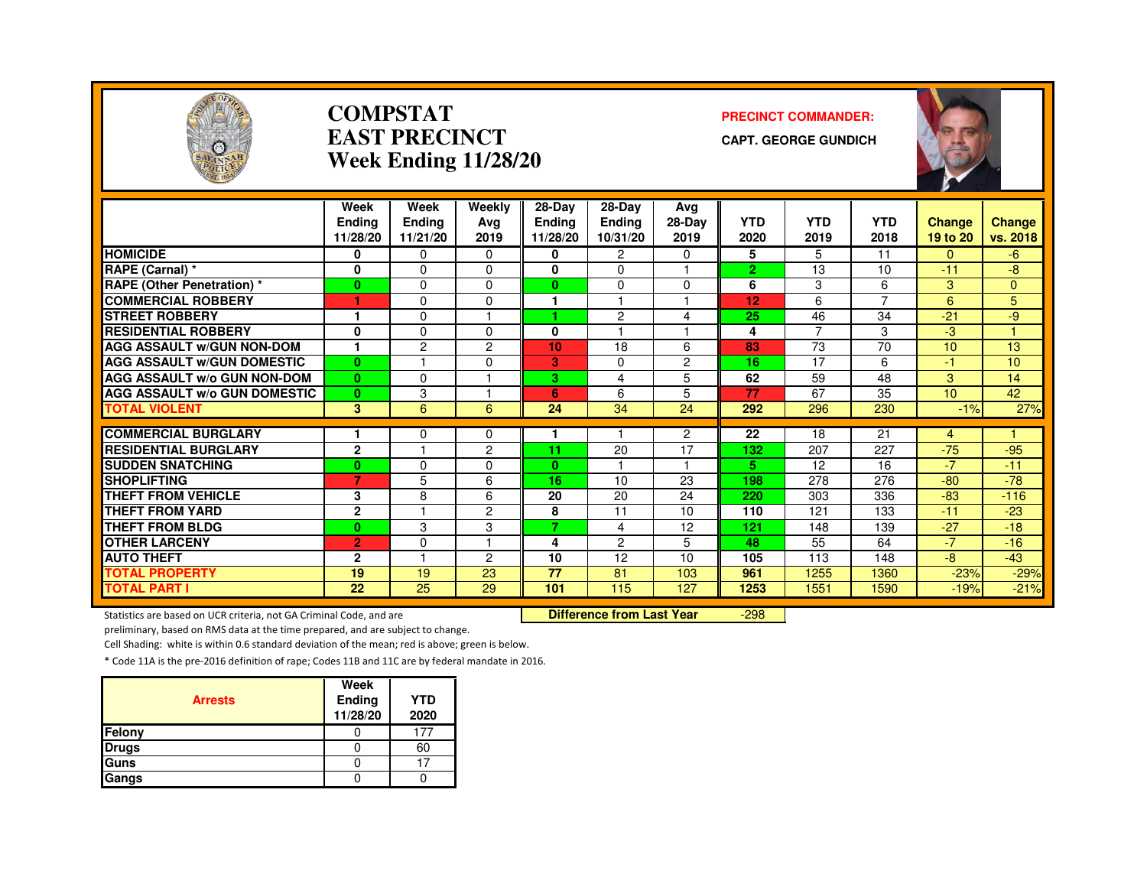

#### **COMPSTATEAST PRECINCTWeek Ending 11/28/20**

#### **PRECINCT COMMANDER:**

**CAPT. GEORGE GUNDICH**



|                                     | Week           | Week           | Weekly         | $28-Dav$      | 28-Day         | Avg            |                |                |            |          |              |
|-------------------------------------|----------------|----------------|----------------|---------------|----------------|----------------|----------------|----------------|------------|----------|--------------|
|                                     | <b>Endina</b>  | <b>Ending</b>  | Avg            | <b>Endina</b> | <b>Endina</b>  | 28-Day         | <b>YTD</b>     | <b>YTD</b>     | <b>YTD</b> | Change   | Change       |
|                                     | 11/28/20       | 11/21/20       | 2019           | 11/28/20      | 10/31/20       | 2019           | 2020           | 2019           | 2018       | 19 to 20 | vs. 2018     |
| <b>HOMICIDE</b>                     | 0              | 0              | $\Omega$       | 0             | 2              | $\Omega$       | 5              | 5              | 11         | $\Omega$ | -6           |
| RAPE (Carnal) *                     | 0              | $\Omega$       | $\Omega$       | 0             | $\Omega$       |                | $\overline{2}$ | 13             | 10         | $-11$    | -8           |
| <b>RAPE (Other Penetration) *</b>   | $\bf{0}$       | $\Omega$       | $\Omega$       | $\mathbf{0}$  | $\Omega$       | $\Omega$       | 6              | 3              | 6          | 3        | $\mathbf{0}$ |
| <b>COMMERCIAL ROBBERY</b>           |                | $\Omega$       | 0              |               |                |                | 12             | 6              | 7          | 6        | 5            |
| <b>STREET ROBBERY</b>               |                | $\Omega$       |                |               | 2              | 4              | 25             | 46             | 34         | $-21$    | -9           |
| <b>RESIDENTIAL ROBBERY</b>          | 0              | $\Omega$       | $\Omega$       | 0             |                |                | 4              | $\overline{7}$ | 3          | -3       |              |
| <b>AGG ASSAULT W/GUN NON-DOM</b>    |                | $\overline{c}$ | 2              | 10            | 18             | 6              | 83             | 73             | 70         | 10       | 13           |
| <b>AGG ASSAULT W/GUN DOMESTIC</b>   | $\bf{0}$       |                | $\Omega$       | 3             | 0              | $\overline{c}$ | 16             | 17             | 6          | $-1$     | 10           |
| <b>AGG ASSAULT w/o GUN NON-DOM</b>  | $\bf{0}$       | $\Omega$       |                | 3             | 4              | 5              | 62             | 59             | 48         | 3        | 14           |
| <b>AGG ASSAULT W/o GUN DOMESTIC</b> | $\bf{0}$       | 3              |                | 6             | 6              | 5              | 77             | 67             | 35         | 10       | 42           |
| <b>TOTAL VIOLENT</b>                | 3              | 6              | 6              | 24            | 34             | 24             | 292            | 296            | 230        | $-1%$    | 27%          |
|                                     |                |                |                |               |                |                |                |                |            |          |              |
| <b>COMMERCIAL BURGLARY</b>          |                | 0<br>н         | 0              |               |                | $\overline{2}$ | 22             | 18             | 21         | 4        |              |
| <b>RESIDENTIAL BURGLARY</b>         | $\mathbf{2}$   |                | $\overline{2}$ | 11            | 20             | 17<br>н        | 132            | 207            | 227        | $-75$    | $-95$        |
| <b>SUDDEN SNATCHING</b>             | $\bf{0}$       | $\Omega$       | 0              | $\mathbf{0}$  |                |                | 5              | 12             | 16         | $-7$     | $-11$        |
| <b>SHOPLIFTING</b>                  | 7              | 5              | 6              | 16            | 10             | 23             | 198            | 278            | 276        | $-80$    | $-78$        |
| <b>THEFT FROM VEHICLE</b>           | 3              | 8              | 6              | 20            | 20             | 24             | 220            | 303            | 336        | $-83$    | $-116$       |
| <b>THEFT FROM YARD</b>              | $\mathbf 2$    |                | 2              | 8             | 11             | 10             | 110            | 121            | 133        | $-11$    | $-23$        |
| <b>THEFT FROM BLDG</b>              | $\bf{0}$       | 3              | 3              | 7.            | 4              | 12             | 121            | 148            | 139        | $-27$    | $-18$        |
| <b>OTHER LARCENY</b>                | $\overline{2}$ | $\Omega$       |                | 4             | $\overline{c}$ | 5              | 48             | 55             | 64         | $-7$     | $-16$        |
| <b>AUTO THEFT</b>                   | $\mathbf{2}$   |                | $\overline{2}$ | 10            | 12             | 10             | 105            | 113            | 148        | $-8$     | $-43$        |
| <b>TOTAL PROPERTY</b>               | 19             | 19             | 23             | 77            | 81             | 103            | 961            | 1255           | 1360       | $-23%$   | $-29%$       |
| <b>TOTAL PART I</b>                 | 22             | 25             | 29             | 101           | 115            | 127            | 1253           | 1551           | 1590       | $-19%$   | $-21%$       |

Statistics are based on UCR criteria, not GA Criminal Code, and are **Difference from Last Year** 

-298

preliminary, based on RMS data at the time prepared, and are subject to change.

Cell Shading: white is within 0.6 standard deviation of the mean; red is above; green is below.

| <b>Arrests</b> | Week<br>Ending<br>11/28/20 | <b>YTD</b><br>2020 |
|----------------|----------------------------|--------------------|
| Felony         |                            |                    |
| <b>Drugs</b>   |                            | 60                 |
| Guns           |                            |                    |
| Gangs          |                            |                    |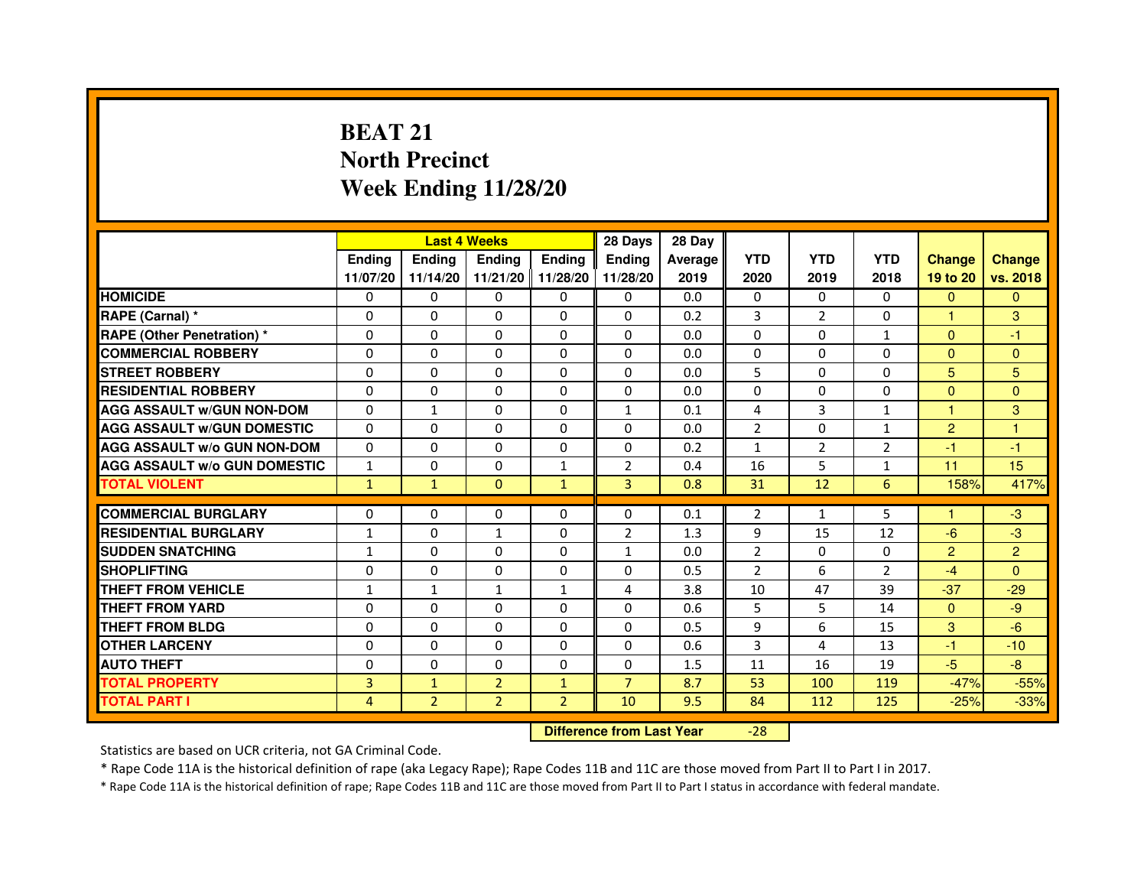# **BEAT 21 North PrecinctWeek Ending 11/28/20**

|                                     |               | <b>Last 4 Weeks</b> |                   |                | 28 Days        | 28 Day  |                |                |                |                |                |
|-------------------------------------|---------------|---------------------|-------------------|----------------|----------------|---------|----------------|----------------|----------------|----------------|----------------|
|                                     | <b>Endina</b> | <b>Ending</b>       | <b>Endina</b>     | <b>Endina</b>  | <b>Endina</b>  | Average | <b>YTD</b>     | <b>YTD</b>     | <b>YTD</b>     | <b>Change</b>  | <b>Change</b>  |
|                                     | 11/07/20      | 11/14/20            | 11/21/20 11/28/20 |                | 11/28/20       | 2019    | 2020           | 2019           | 2018           | 19 to 20       | vs. 2018       |
| <b>HOMICIDE</b>                     | 0             | 0                   | 0                 | 0              | 0              | 0.0     | $\mathbf{0}$   | 0              | $\Omega$       | $\mathbf{0}$   | $\mathbf{0}$   |
| RAPE (Carnal) *                     | $\Omega$      | $\Omega$            | $\Omega$          | $\Omega$       | $\Omega$       | 0.2     | 3              | $\overline{2}$ | $\Omega$       | $\mathbf{1}$   | 3              |
| <b>RAPE (Other Penetration) *</b>   | $\Omega$      | $\Omega$            | $\Omega$          | $\Omega$       | $\Omega$       | 0.0     | $\Omega$       | $\Omega$       | $\mathbf{1}$   | $\Omega$       | $-1$           |
| <b>COMMERCIAL ROBBERY</b>           | 0             | 0                   | $\Omega$          | 0              | $\Omega$       | 0.0     | $\Omega$       | 0              | $\Omega$       | $\Omega$       | $\Omega$       |
| <b>STREET ROBBERY</b>               | $\Omega$      | 0                   | $\Omega$          | 0              | 0              | 0.0     | 5              | $\mathbf{0}$   | 0              | 5              | 5              |
| <b>RESIDENTIAL ROBBERY</b>          | $\Omega$      | $\Omega$            | $\Omega$          | $\Omega$       | 0              | 0.0     | 0              | $\Omega$       | $\Omega$       | $\Omega$       | $\Omega$       |
| <b>AGG ASSAULT w/GUN NON-DOM</b>    | $\Omega$      | $\mathbf 1$         | $\mathbf 0$       | 0              | $\mathbf{1}$   | 0.1     | 4              | 3              | $\mathbf{1}$   | $\mathbf{1}$   | 3              |
| <b>AGG ASSAULT W/GUN DOMESTIC</b>   | $\Omega$      | 0                   | 0                 | 0              | 0              | 0.0     | $\overline{2}$ | 0              | $\mathbf{1}$   | $\overline{2}$ | 1              |
| <b>AGG ASSAULT W/o GUN NON-DOM</b>  | $\Omega$      | $\Omega$            | $\Omega$          | $\Omega$       | $\Omega$       | 0.2     | 1              | $\overline{2}$ | $\overline{2}$ | $-1$           | $-1$           |
| <b>AGG ASSAULT W/o GUN DOMESTIC</b> | 1             | $\Omega$            | $\Omega$          | $\mathbf{1}$   | $\overline{2}$ | 0.4     | 16             | 5              | 1              | 11             | 15             |
| <b>TOTAL VIOLENT</b>                | $\mathbf{1}$  | $\mathbf{1}$        | $\Omega$          | $\mathbf{1}$   | 3              | 0.8     | 31             | 12             | 6              | 158%           | 417%           |
|                                     |               |                     |                   |                |                |         |                |                |                |                |                |
| <b>COMMERCIAL BURGLARY</b>          | $\Omega$      | $\Omega$            | $\Omega$          | $\Omega$       | $\Omega$       | 0.1     | $\overline{2}$ | $\mathbf{1}$   | 5              | 1              | $-3$           |
| <b>RESIDENTIAL BURGLARY</b>         | $\mathbf{1}$  | $\Omega$            | 1                 | 0              | $\overline{2}$ | 1.3     | 9              | 15             | 12             | $-6$           | $-3$           |
| <b>SUDDEN SNATCHING</b>             | $\mathbf{1}$  | $\Omega$            | 0                 | 0              | $\mathbf{1}$   | 0.0     | $\overline{2}$ | $\Omega$       | $\Omega$       | 2              | $\overline{2}$ |
| <b>SHOPLIFTING</b>                  | 0             | $\mathbf 0$         | 0                 | 0              | 0              | 0.5     | $\overline{2}$ | 6              | $\overline{2}$ | $-4$           | $\Omega$       |
| <b>THEFT FROM VEHICLE</b>           | 1             | $\mathbf{1}$        | $\mathbf{1}$      | $\mathbf{1}$   | 4              | 3.8     | 10             | 47             | 39             | $-37$          | $-29$          |
| <b>THEFT FROM YARD</b>              | 0             | 0                   | $\Omega$          | $\Omega$       | $\Omega$       | 0.6     | 5              | 5              | 14             | $\Omega$       | -9             |
| <b>THEFT FROM BLDG</b>              | $\Omega$      | $\Omega$            | 0                 | 0              | 0              | 0.5     | 9              | 6              | 15             | 3              | $-6$           |
| <b>OTHER LARCENY</b>                | $\Omega$      | $\Omega$            | $\Omega$          | 0              | 0              | 0.6     | 3              | 4              | 13             | $-1$           | $-10$          |
| <b>AUTO THEFT</b>                   | $\mathbf 0$   | $\mathbf 0$         | 0                 | 0              | 0              | 1.5     | 11             | 16             | 19             | $-5$           | $-8$           |
| <b>TOTAL PROPERTY</b>               | 3             | $\mathbf{1}$        | $\overline{2}$    | $\mathbf{1}$   | $\overline{7}$ | 8.7     | 53             | 100            | 119            | $-47%$         | $-55%$         |
| <b>TOTAL PART I</b>                 | 4             | $\overline{2}$      | $\overline{2}$    | $\overline{2}$ | 10             | 9.5     | 84             | 112            | 125            | $-25%$         | $-33%$         |

 **Difference from Last Year**

-28

Statistics are based on UCR criteria, not GA Criminal Code.

\* Rape Code 11A is the historical definition of rape (aka Legacy Rape); Rape Codes 11B and 11C are those moved from Part II to Part I in 2017.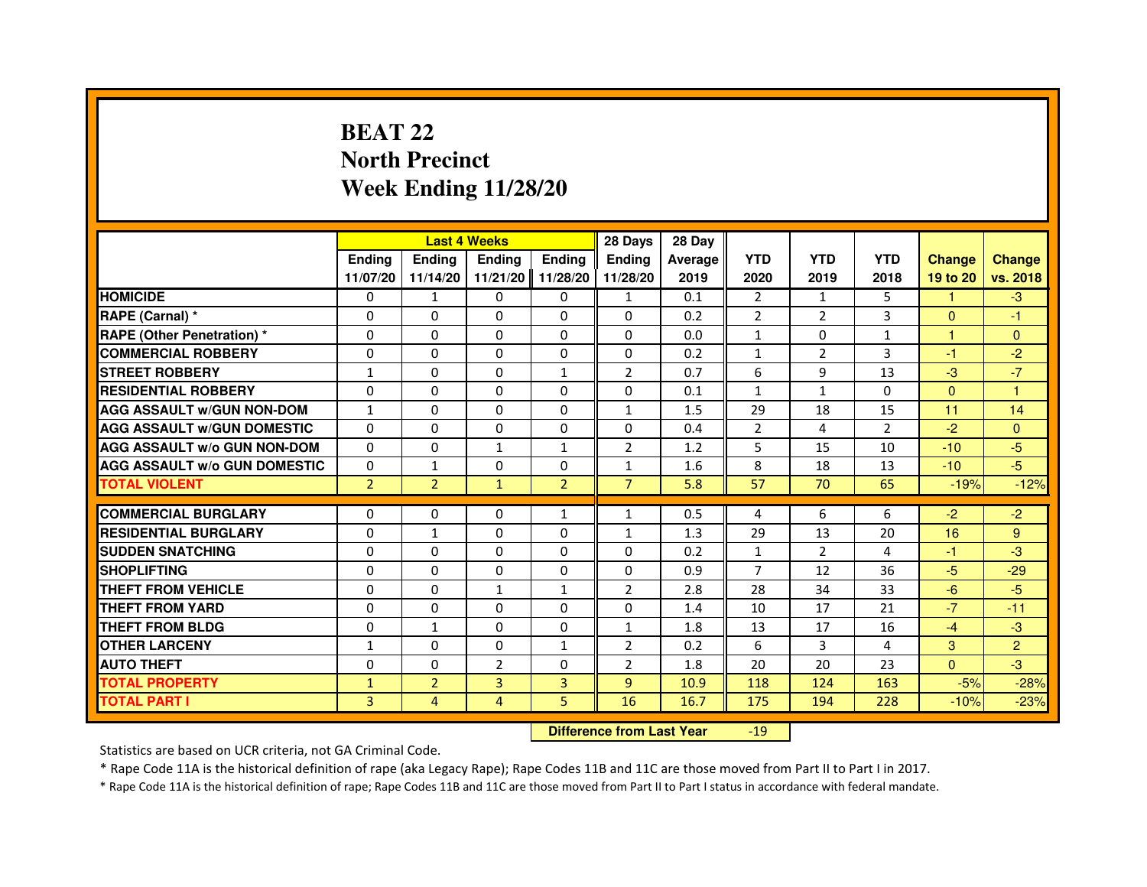# **BEAT 22 North PrecinctWeek Ending 11/28/20**

|                                     |                |                                  | <b>Last 4 Weeks</b> |                | 28 Days        | 28 Day  |                |                |                |               |                |
|-------------------------------------|----------------|----------------------------------|---------------------|----------------|----------------|---------|----------------|----------------|----------------|---------------|----------------|
|                                     | <b>Ending</b>  | <b>Ending</b>                    | <b>Ending</b>       | <b>Ending</b>  | <b>Ending</b>  | Average | <b>YTD</b>     | <b>YTD</b>     | <b>YTD</b>     | <b>Change</b> | <b>Change</b>  |
|                                     | 11/07/20       | 11/14/20                         | 11/21/20            | 11/28/20       | 11/28/20       | 2019    | 2020           | 2019           | 2018           | 19 to 20      | vs. 2018       |
| <b>HOMICIDE</b>                     | $\Omega$       | $\mathbf{1}$                     | $\Omega$            | $\Omega$       | $\mathbf{1}$   | 0.1     | $\overline{2}$ | $\mathbf{1}$   | 5              | 1.            | $-3$           |
| RAPE (Carnal) *                     | 0              | 0                                | 0                   | $\Omega$       | 0              | 0.2     | $\overline{2}$ | 2              | 3              | $\mathbf{0}$  | $-1$           |
| <b>RAPE (Other Penetration) *</b>   | $\Omega$       | $\Omega$                         | $\Omega$            | $\Omega$       | $\Omega$       | 0.0     | $\mathbf{1}$   | $\Omega$       | 1              | $\mathbf{1}$  | $\mathbf{0}$   |
| <b>COMMERCIAL ROBBERY</b>           | $\Omega$       | $\Omega$                         | $\Omega$            | $\Omega$       | $\Omega$       | 0.2     | $\mathbf{1}$   | 2              | 3              | $-1$          | $-2$           |
| <b>STREET ROBBERY</b>               | $\mathbf{1}$   | $\Omega$                         | $\Omega$            | $\mathbf{1}$   | $\overline{2}$ | 0.7     | 6              | 9              | 13             | $-3$          | $-7$           |
| <b>RESIDENTIAL ROBBERY</b>          | $\Omega$       | $\Omega$                         | $\Omega$            | $\Omega$       | $\Omega$       | 0.1     | $\mathbf{1}$   | $\mathbf{1}$   | $\Omega$       | $\Omega$      | 1              |
| <b>AGG ASSAULT W/GUN NON-DOM</b>    | $\mathbf{1}$   | $\Omega$                         | $\Omega$            | $\Omega$       | $\mathbf{1}$   | 1.5     | 29             | 18             | 15             | 11            | 14             |
| <b>AGG ASSAULT w/GUN DOMESTIC</b>   | $\Omega$       | $\Omega$                         | $\Omega$            | $\Omega$       | $\Omega$       | 0.4     | $\overline{2}$ | 4              | $\overline{2}$ | $-2$          | $\Omega$       |
| <b>AGG ASSAULT W/o GUN NON-DOM</b>  | $\Omega$       | 0                                | $\mathbf{1}$        | 1              | $\overline{2}$ | 1.2     | 5              | 15             | 10             | $-10$         | $-5$           |
| <b>AGG ASSAULT W/o GUN DOMESTIC</b> | $\Omega$       | 1                                | 0                   | $\Omega$       | $\mathbf{1}$   | 1.6     | 8              | 18             | 13             | $-10$         | $-5$           |
| <b>TOTAL VIOLENT</b>                | $\overline{2}$ | $\overline{2}$                   | $\mathbf{1}$        | $\overline{2}$ | $\overline{7}$ | 5.8     | 57             | 70             | 65             | $-19%$        | $-12%$         |
| <b>COMMERCIAL BURGLARY</b>          | 0              | 0                                | 0                   | $\mathbf{1}$   | 1              | 0.5     | 4              | 6              | 6              | $-2$          | $-2$           |
| <b>RESIDENTIAL BURGLARY</b>         | $\Omega$       | $\mathbf{1}$                     | $\Omega$            | $\Omega$       | $\mathbf{1}$   | 1.3     | 29             | 13             | 20             | 16            | 9              |
| <b>SUDDEN SNATCHING</b>             | $\Omega$       | $\Omega$                         | $\Omega$            | $\Omega$       | $\Omega$       | 0.2     | $\mathbf{1}$   | $\overline{2}$ | 4              | $-1$          | $-3$           |
| <b>SHOPLIFTING</b>                  | 0              | 0                                | 0                   | 0              | 0              | 0.9     | 7              | 12             | 36             | $-5$          | $-29$          |
| THEFT FROM VEHICLE                  | $\Omega$       | $\Omega$                         | $\mathbf{1}$        | $\mathbf{1}$   | $\overline{2}$ | 2.8     | 28             | 34             | 33             | $-6$          | $-5$           |
| THEFT FROM YARD                     | $\Omega$       | 0                                | $\Omega$            | 0              | 0              | 1.4     | 10             | 17             | 21             | $-7$          | $-11$          |
| <b>THEFT FROM BLDG</b>              | $\Omega$       | $\mathbf{1}$                     | $\Omega$            | $\Omega$       | $\mathbf{1}$   | 1.8     | 13             | 17             | 16             | $-4$          | $-3$           |
| <b>OTHER LARCENY</b>                | $\mathbf{1}$   | $\Omega$                         | $\Omega$            | $\mathbf{1}$   | 2              | 0.2     | 6              | 3              | 4              | 3             | $\overline{2}$ |
| <b>AUTO THEFT</b>                   | $\Omega$       | $\Omega$                         | $\overline{2}$      | $\Omega$       | $\overline{2}$ | 1.8     | 20             | 20             | 23             | $\Omega$      | $-3$           |
| <b>TOTAL PROPERTY</b>               | $\mathbf{1}$   | $\overline{2}$                   | $\overline{3}$      | 3              | $\overline{9}$ | 10.9    | 118            | 124            | 163            | $-5%$         | $-28%$         |
| <b>TOTAL PART I</b>                 | 3              | $\overline{4}$                   | 4                   | 5              | 16             | 16.7    | 175            | 194            | 228            | $-10%$        | $-23%$         |
|                                     |                | <b>Difference from Last Year</b> |                     | $-19$          |                |         |                |                |                |               |                |

 **Difference from Last Year**

Statistics are based on UCR criteria, not GA Criminal Code.

\* Rape Code 11A is the historical definition of rape (aka Legacy Rape); Rape Codes 11B and 11C are those moved from Part II to Part I in 2017.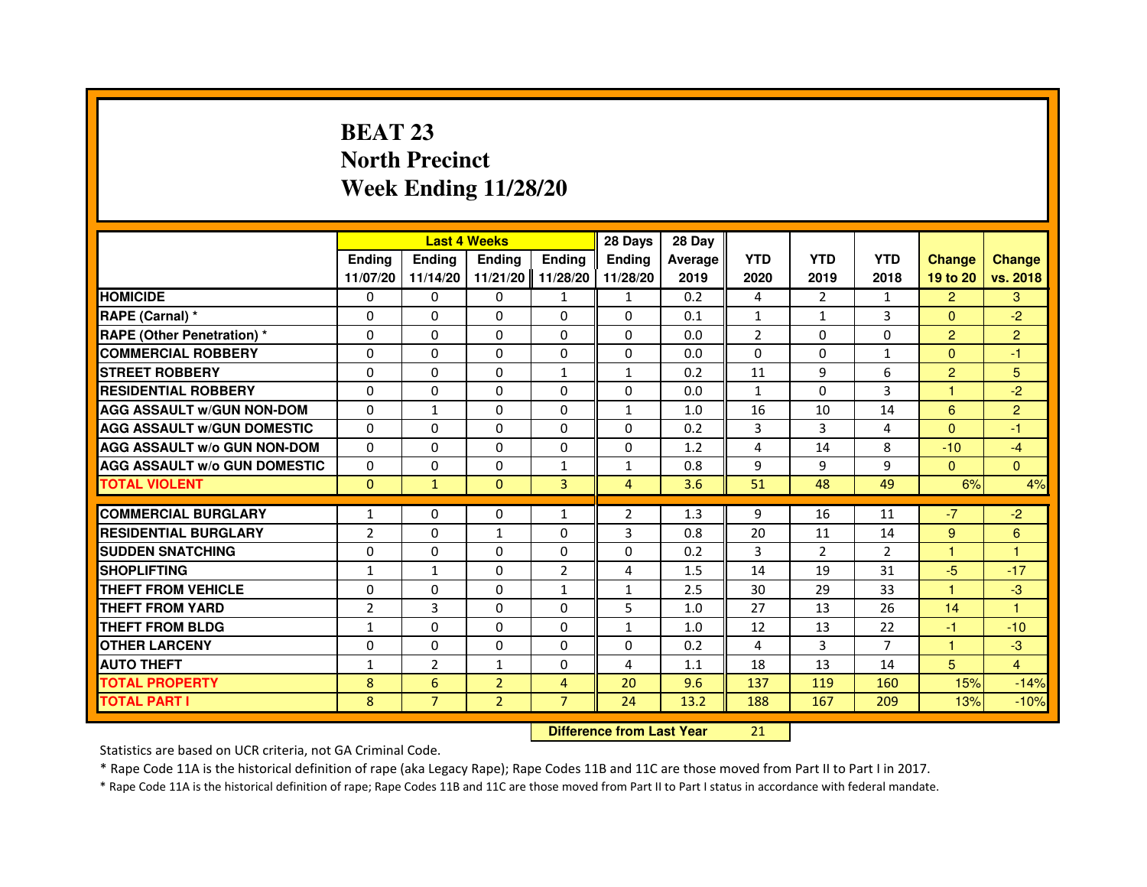# **BEAT 23 North PrecinctWeek Ending 11/28/20**

|                                     |                | <b>Last 4 Weeks</b>              |                |                | 28 Days        | 28 Day  |                |                |                |                      |                |
|-------------------------------------|----------------|----------------------------------|----------------|----------------|----------------|---------|----------------|----------------|----------------|----------------------|----------------|
|                                     | <b>Ending</b>  | <b>Ending</b>                    | <b>Ending</b>  | <b>Ending</b>  | <b>Ending</b>  | Average | <b>YTD</b>     | <b>YTD</b>     | <b>YTD</b>     | <b>Change</b>        | <b>Change</b>  |
|                                     | 11/07/20       | 11/14/20                         | 11/21/20       | 11/28/20       | 11/28/20       | 2019    | 2020           | 2019           | 2018           | 19 to 20             | vs. 2018       |
| <b>HOMICIDE</b>                     | $\mathbf{0}$   | $\Omega$                         | $\mathbf{0}$   | $\mathbf{1}$   | $\mathbf{1}$   | 0.2     | 4              | $\overline{2}$ | $\mathbf{1}$   | $\overline{2}$       | 3              |
| RAPE (Carnal) *                     | 0              | 0                                | 0              | 0              | 0              | 0.1     | 1              | 1              | 3              | $\Omega$             | $-2$           |
| RAPE (Other Penetration) *          | $\Omega$       | $\Omega$                         | 0              | $\Omega$       | $\Omega$       | 0.0     | $\overline{2}$ | $\Omega$       | $\Omega$       | $\overline{2}$       | $\overline{2}$ |
| <b>COMMERCIAL ROBBERY</b>           | 0              | $\Omega$                         | $\Omega$       | 0              | 0              | 0.0     | 0              | $\Omega$       | $\mathbf{1}$   | $\overline{0}$       | $-1$           |
| <b>STREET ROBBERY</b>               | $\Omega$       | $\Omega$                         | $\Omega$       | $\mathbf{1}$   | $\mathbf{1}$   | 0.2     | 11             | 9              | 6              | $\overline{2}$       | 5              |
| <b>RESIDENTIAL ROBBERY</b>          | 0              | 0                                | 0              | 0              | $\Omega$       | 0.0     | 1              | $\Omega$       | 3              | $\blacktriangleleft$ | $-2$           |
| <b>AGG ASSAULT W/GUN NON-DOM</b>    | $\Omega$       | $\mathbf{1}$                     | 0              | $\Omega$       | $\mathbf{1}$   | 1.0     | 16             | 10             | 14             | 6                    | $\overline{2}$ |
| <b>AGG ASSAULT W/GUN DOMESTIC</b>   | $\Omega$       | $\Omega$                         | 0              | $\Omega$       | $\Omega$       | 0.2     | 3              | 3              | 4              | $\Omega$             | $-1$           |
| <b>AGG ASSAULT W/o GUN NON-DOM</b>  | $\Omega$       | $\Omega$                         | $\Omega$       | $\Omega$       | $\Omega$       | 1.2     | 4              | 14             | 8              | $-10$                | $-4$           |
| <b>AGG ASSAULT W/o GUN DOMESTIC</b> | 0              | 0                                | 0              | $\mathbf{1}$   | 1              | 0.8     | 9              | 9              | 9              | $\mathbf{0}$         | $\Omega$       |
| <b>TOTAL VIOLENT</b>                | $\mathbf{0}$   | $\mathbf{1}$                     | $\mathbf{0}$   | 3              | $\overline{4}$ | 3.6     | 51             | 48             | 49             | 6%                   | 4%             |
| <b>COMMERCIAL BURGLARY</b>          | 1              | 0                                | 0              | 1              | $\overline{2}$ | 1.3     | 9              | 16             | 11             | $-7$                 | $-2$           |
| <b>RESIDENTIAL BURGLARY</b>         | $\overline{2}$ | $\Omega$                         | $\mathbf{1}$   | $\Omega$       | 3              | 0.8     | 20             | 11             | 14             | 9                    | 6              |
| <b>SUDDEN SNATCHING</b>             | 0              | $\Omega$                         | $\Omega$       | $\Omega$       | $\Omega$       | 0.2     | 3              | $\overline{2}$ | $\overline{2}$ | $\mathbf{1}$         | $\mathbf{1}$   |
| <b>SHOPLIFTING</b>                  | $\mathbf{1}$   | $\mathbf{1}$                     | 0              | $\overline{2}$ | 4              | 1.5     | 14             | 19             | 31             | $-5$                 | $-17$          |
| THEFT FROM VEHICLE                  | 0              | $\Omega$                         | 0              | $\mathbf{1}$   | $\mathbf{1}$   | 2.5     | 30             | 29             | 33             | $\blacktriangleleft$ | $-3$           |
| <b>THEFT FROM YARD</b>              | $\overline{2}$ | 3                                | $\Omega$       | $\Omega$       | 5              | 1.0     | 27             | 13             | 26             | 14                   | $\mathbf{1}$   |
| <b>THEFT FROM BLDG</b>              | $\mathbf{1}$   | $\Omega$                         | $\Omega$       | $\Omega$       | $\mathbf{1}$   | 1.0     | 12             | 13             | 22             | $-1$                 | $-10$          |
| <b>OTHER LARCENY</b>                | $\Omega$       | $\Omega$                         | 0              | $\Omega$       | $\mathbf{0}$   | 0.2     | 4              | 3              | $\overline{7}$ | 1                    | $-3$           |
| <b>AUTO THEFT</b>                   | $\mathbf{1}$   | $\overline{2}$                   | $\mathbf{1}$   | $\Omega$       | 4              | 1.1     | 18             | 13             | 14             | 5                    | $\overline{4}$ |
| <b>TOTAL PROPERTY</b>               | 8              | 6                                | $\overline{2}$ | $\overline{4}$ | 20             | 9.6     | 137            | 119            | 160            | 15%                  | $-14%$         |
| <b>TOTAL PART I</b>                 | 8              | $\overline{7}$                   | $\overline{2}$ | $\overline{7}$ | 24             | 13.2    | 188            | 167            | 209            | 13%                  | $-10%$         |
|                                     |                | <b>Difference from Last Year</b> |                | 21             |                |         |                |                |                |                      |                |

 **Difference from Last Year**

Statistics are based on UCR criteria, not GA Criminal Code.

\* Rape Code 11A is the historical definition of rape (aka Legacy Rape); Rape Codes 11B and 11C are those moved from Part II to Part I in 2017.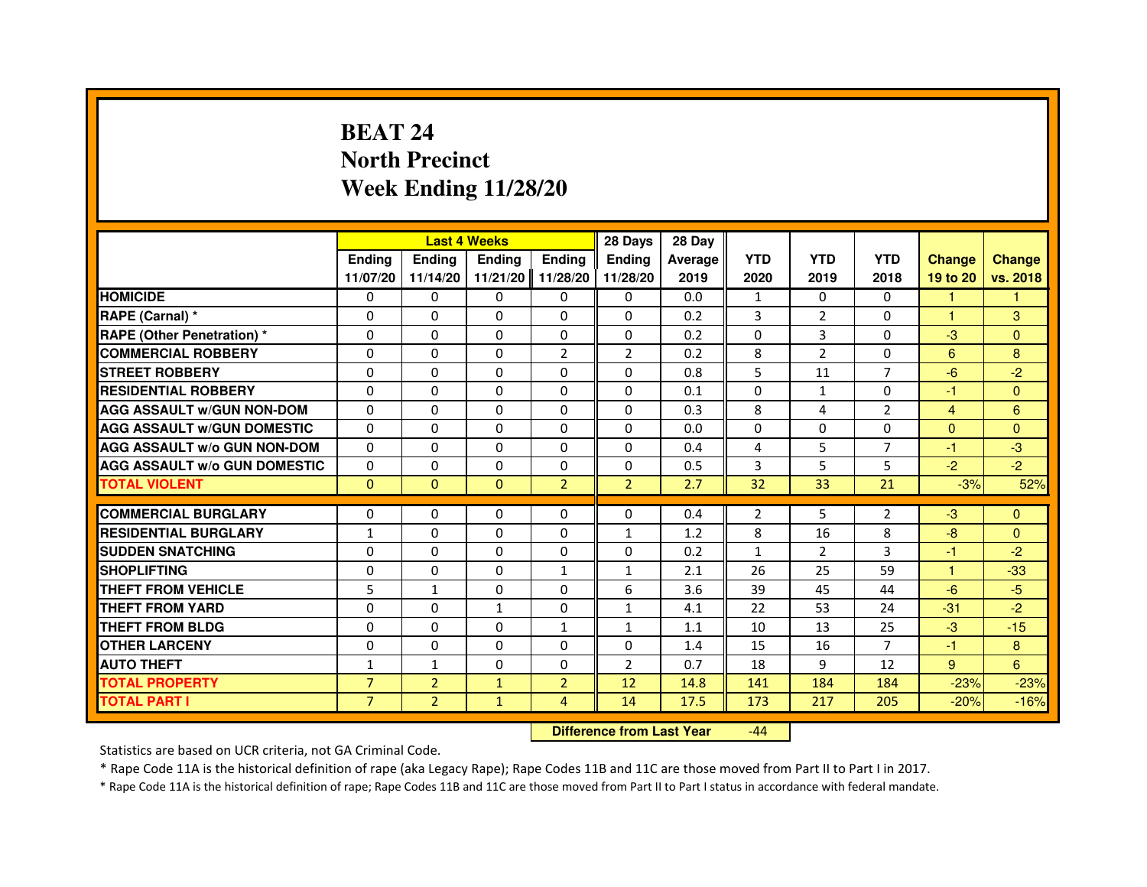# **BEAT 24 North PrecinctWeek Ending 11/28/20**

|                                     |                |                                  | <b>Last 4 Weeks</b> |                | 28 Days        | 28 Day  |              |                |                |                |               |
|-------------------------------------|----------------|----------------------------------|---------------------|----------------|----------------|---------|--------------|----------------|----------------|----------------|---------------|
|                                     | <b>Ending</b>  | Ending                           | <b>Ending</b>       | <b>Ending</b>  | <b>Ending</b>  | Average | <b>YTD</b>   | <b>YTD</b>     | <b>YTD</b>     | <b>Change</b>  | <b>Change</b> |
|                                     | 11/07/20       | 11/14/20                         | 11/21/20            | 11/28/20       | 11/28/20       | 2019    | 2020         | 2019           | 2018           | 19 to 20       | vs. 2018      |
| <b>HOMICIDE</b>                     | $\Omega$       | $\Omega$                         | $\Omega$            | 0              | 0              | 0.0     | $\mathbf{1}$ | 0              | $\Omega$       | $\mathbf{1}$   | 1.            |
| RAPE (Carnal) *                     | 0              | 0                                | 0                   | 0              | 0              | 0.2     | 3            | $\overline{2}$ | 0              | 1              | 3             |
| RAPE (Other Penetration) *          | $\Omega$       | 0                                | $\Omega$            | $\Omega$       | $\Omega$       | 0.2     | $\Omega$     | 3              | $\Omega$       | $-3$           | $\Omega$      |
| <b>COMMERCIAL ROBBERY</b>           | $\Omega$       | $\Omega$                         | $\Omega$            | $\overline{2}$ | $\overline{2}$ | 0.2     | 8            | $\overline{2}$ | $\Omega$       | 6              | 8             |
| <b>STREET ROBBERY</b>               | $\Omega$       | $\Omega$                         | $\Omega$            | $\Omega$       | $\Omega$       | 0.8     | 5            | 11             | $\overline{7}$ | $-6$           | $-2$          |
| <b>RESIDENTIAL ROBBERY</b>          | 0              | 0                                | $\Omega$            | 0              | 0              | 0.1     | 0            | $\mathbf{1}$   | $\Omega$       | $-1$           | $\mathbf{0}$  |
| <b>AGG ASSAULT W/GUN NON-DOM</b>    | $\Omega$       | $\Omega$                         | $\Omega$            | $\Omega$       | $\Omega$       | 0.3     | 8            | 4              | $\overline{2}$ | $\overline{4}$ | 6             |
| <b>AGG ASSAULT W/GUN DOMESTIC</b>   | $\Omega$       | $\Omega$                         | $\Omega$            | $\Omega$       | $\Omega$       | 0.0     | $\Omega$     | $\Omega$       | $\Omega$       | $\Omega$       | $\Omega$      |
| <b>AGG ASSAULT W/o GUN NON-DOM</b>  | $\Omega$       | $\Omega$                         | $\Omega$            | $\Omega$       | $\Omega$       | 0.4     | 4            | 5              | $\overline{7}$ | $-1$           | $-3$          |
| <b>AGG ASSAULT w/o GUN DOMESTIC</b> | $\Omega$       | $\Omega$                         | 0                   | $\Omega$       | $\Omega$       | 0.5     | 3            | 5              | 5              | $-2$           | $-2$          |
| <b>TOTAL VIOLENT</b>                | $\mathbf{0}$   | $\mathbf{0}$                     | $\mathbf{0}$        | $\overline{2}$ | $\overline{2}$ | 2.7     | 32           | 33             | 21             | $-3%$          | 52%           |
| <b>COMMERCIAL BURGLARY</b>          | 0              | 0                                | 0                   | 0              | 0              | 0.4     | 2            | 5              | 2              | $-3$           | $\mathbf{0}$  |
| <b>RESIDENTIAL BURGLARY</b>         | 1              | $\Omega$                         | $\Omega$            | $\Omega$       | $\mathbf{1}$   | 1.2     | 8            | 16             | 8              | $-8$           | $\mathbf{0}$  |
| <b>SUDDEN SNATCHING</b>             | $\Omega$       | $\Omega$                         | $\Omega$            | $\Omega$       | $\Omega$       | 0.2     | $\mathbf{1}$ | $\overline{2}$ | 3              | $-1$           | $-2$          |
| <b>SHOPLIFTING</b>                  | 0              | $\Omega$                         | $\Omega$            | 1              | $\mathbf{1}$   | 2.1     | 26           | 25             | 59             | 1              | $-33$         |
| THEFT FROM VEHICLE                  | 5              | $\mathbf{1}$                     | 0                   | $\Omega$       | 6              | 3.6     | 39           | 45             | 44             | $-6$           | $-5$          |
| <b>THEFT FROM YARD</b>              | $\Omega$       | $\Omega$                         | $\mathbf{1}$        | $\Omega$       | $\mathbf{1}$   | 4.1     | 22           | 53             | 24             | $-31$          | $-2$          |
| <b>THEFT FROM BLDG</b>              | $\Omega$       | $\Omega$                         | $\Omega$            | $\mathbf{1}$   | $\mathbf{1}$   | 1.1     | 10           | 13             | 25             | $-3$           | $-15$         |
| <b>OTHER LARCENY</b>                | 0              | $\Omega$                         | 0                   | 0              | 0              | 1.4     | 15           | 16             | $\overline{7}$ | $-1$           | 8             |
| <b>AUTO THEFT</b>                   | $\mathbf{1}$   | $\mathbf{1}$                     | $\Omega$            | $\Omega$       | $\overline{2}$ | 0.7     | 18           | 9              | 12             | 9              | 6             |
| <b>TOTAL PROPERTY</b>               | $\overline{7}$ | $\overline{2}$                   | $\mathbf{1}$        | $\overline{2}$ | 12             | 14.8    | 141          | 184            | 184            | $-23%$         | $-23%$        |
| <b>TOTAL PART I</b>                 | $\overline{7}$ | $\overline{2}$                   | $\mathbf{1}$        | 4              | 14             | 17.5    | 173          | 217            | 205            | $-20%$         | $-16%$        |
|                                     |                | <b>Difference from Last Year</b> |                     | $-44$          |                |         |              |                |                |                |               |

 **Difference from Last Year**

Statistics are based on UCR criteria, not GA Criminal Code.

\* Rape Code 11A is the historical definition of rape (aka Legacy Rape); Rape Codes 11B and 11C are those moved from Part II to Part I in 2017.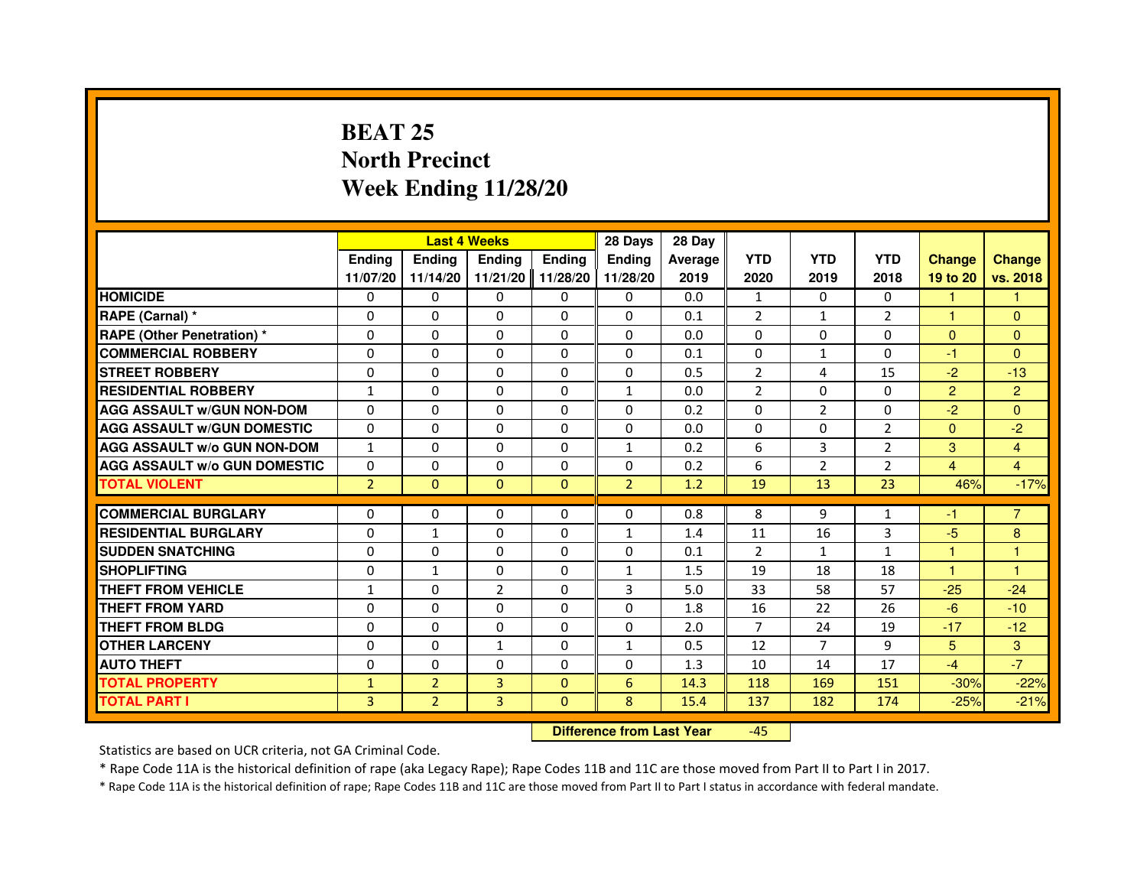# **BEAT 25 North PrecinctWeek Ending 11/28/20**

|                                     |                |                | <b>Last 4 Weeks</b> |               | 28 Days        | 28 Day         |                |                |                |                |                |
|-------------------------------------|----------------|----------------|---------------------|---------------|----------------|----------------|----------------|----------------|----------------|----------------|----------------|
|                                     | <b>Ending</b>  | <b>Endina</b>  | <b>Ending</b>       | <b>Ending</b> | <b>Endina</b>  | <b>Average</b> | <b>YTD</b>     | <b>YTD</b>     | <b>YTD</b>     | <b>Change</b>  | <b>Change</b>  |
|                                     | 11/07/20       | 11/14/20       | 11/21/20            | 11/28/20      | 11/28/20       | 2019           | 2020           | 2019           | 2018           | 19 to 20       | vs. 2018       |
| <b>HOMICIDE</b>                     | 0              | $\Omega$       | $\mathbf{0}$        | $\Omega$      | 0              | 0.0            | $\mathbf{1}$   | 0              | $\Omega$       | 1              |                |
| RAPE (Carnal) *                     | $\Omega$       | $\Omega$       | $\Omega$            | $\Omega$      | $\Omega$       | 0.1            | $\overline{2}$ | $\mathbf{1}$   | $\overline{2}$ | $\mathbf{1}$   | $\Omega$       |
| <b>RAPE (Other Penetration) *</b>   | 0              | $\mathbf{0}$   | $\mathbf{0}$        | 0             | 0              | 0.0            | 0              | 0              | 0              | $\mathbf{0}$   | $\Omega$       |
| <b>COMMERCIAL ROBBERY</b>           | 0              | $\Omega$       | $\Omega$            | $\Omega$      | $\Omega$       | 0.1            | $\Omega$       | $\mathbf{1}$   | $\Omega$       | $-1$           | $\Omega$       |
| <b>STREET ROBBERY</b>               | $\Omega$       | $\Omega$       | $\Omega$            | $\Omega$      | $\Omega$       | 0.5            | $\overline{2}$ | 4              | 15             | $-2$           | $-13$          |
| <b>RESIDENTIAL ROBBERY</b>          | $\mathbf{1}$   | $\Omega$       | $\Omega$            | $\Omega$      | $\mathbf{1}$   | 0.0            | $\overline{2}$ | $\Omega$       | $\Omega$       | $\overline{2}$ | $\overline{2}$ |
| <b>AGG ASSAULT w/GUN NON-DOM</b>    | $\Omega$       | $\Omega$       | $\Omega$            | $\Omega$      | $\Omega$       | 0.2            | $\Omega$       | $\overline{2}$ | $\Omega$       | $-2$           | $\Omega$       |
| <b>AGG ASSAULT W/GUN DOMESTIC</b>   | $\Omega$       | $\Omega$       | $\Omega$            | 0             | $\Omega$       | 0.0            | $\Omega$       | 0              | $\overline{2}$ | $\Omega$       | $-2$           |
| <b>AGG ASSAULT W/o GUN NON-DOM</b>  | $\mathbf{1}$   | $\Omega$       | 0                   | $\Omega$      | $\mathbf{1}$   | 0.2            | 6              | 3              | $\overline{2}$ | 3              | $\overline{4}$ |
| <b>AGG ASSAULT W/o GUN DOMESTIC</b> | 0              | $\Omega$       | $\Omega$            | $\Omega$      | $\Omega$       | 0.2            | 6              | $\overline{2}$ | $\overline{2}$ | 4              | $\overline{4}$ |
| <b>TOTAL VIOLENT</b>                | $\overline{2}$ | $\mathbf{0}$   | $\Omega$            | $\Omega$      | $\overline{2}$ | 1.2            | 19             | 13             | 23             | 46%            | $-17%$         |
|                                     |                |                |                     |               |                |                |                |                |                |                |                |
| <b>COMMERCIAL BURGLARY</b>          | 0              | $\mathbf{0}$   | 0                   | 0             | $\Omega$       | 0.8            | 8              | 9              | 1              | -1             | $\overline{7}$ |
| <b>RESIDENTIAL BURGLARY</b>         | 0              | 1              | 0                   | 0             | 1              | 1.4            | 11             | 16             | 3              | $-5$           | 8              |
| <b>SUDDEN SNATCHING</b>             | 0              | $\Omega$       | 0                   | 0             | 0              | 0.1            | 2              | $\mathbf{1}$   | $\mathbf{1}$   | 1              | 1              |
| <b>SHOPLIFTING</b>                  | $\Omega$       | 1              | $\Omega$            | $\Omega$      | $\mathbf{1}$   | 1.5            | 19             | 18             | 18             | $\mathbf{1}$   | 1              |
| THEFT FROM VEHICLE                  | $\mathbf{1}$   | $\Omega$       | $\overline{2}$      | $\Omega$      | 3              | 5.0            | 33             | 58             | 57             | $-25$          | $-24$          |
| <b>THEFT FROM YARD</b>              | 0              | $\Omega$       | $\Omega$            | $\Omega$      | $\Omega$       | 1.8            | 16             | 22             | 26             | $-6$           | $-10$          |
| THEFT FROM BLDG                     | $\Omega$       | $\Omega$       | 0                   | $\Omega$      | $\Omega$       | 2.0            | 7              | 24             | 19             | $-17$          | $-12$          |
| <b>OTHER LARCENY</b>                | $\Omega$       | $\Omega$       | $\mathbf{1}$        | $\Omega$      | $\mathbf{1}$   | 0.5            | 12             | $\overline{7}$ | 9              | 5              | 3              |
| <b>AUTO THEFT</b>                   | $\Omega$       | $\Omega$       | $\Omega$            | $\Omega$      | $\Omega$       | 1.3            | 10             | 14             | 17             | $-4$           | $-7$           |
| <b>TOTAL PROPERTY</b>               | $\mathbf{1}$   | $\overline{2}$ | 3                   | $\Omega$      | 6              | 14.3           | 118            | 169            | 151            | $-30%$         | $-22%$         |
| <b>TOTAL PART I</b>                 | 3              | $\overline{2}$ | 3                   | $\Omega$      | 8              | 15.4           | 137            | 182            | 174            | $-25%$         | $-21%$         |

 **Difference from Last Year**-45

Statistics are based on UCR criteria, not GA Criminal Code.

\* Rape Code 11A is the historical definition of rape (aka Legacy Rape); Rape Codes 11B and 11C are those moved from Part II to Part I in 2017.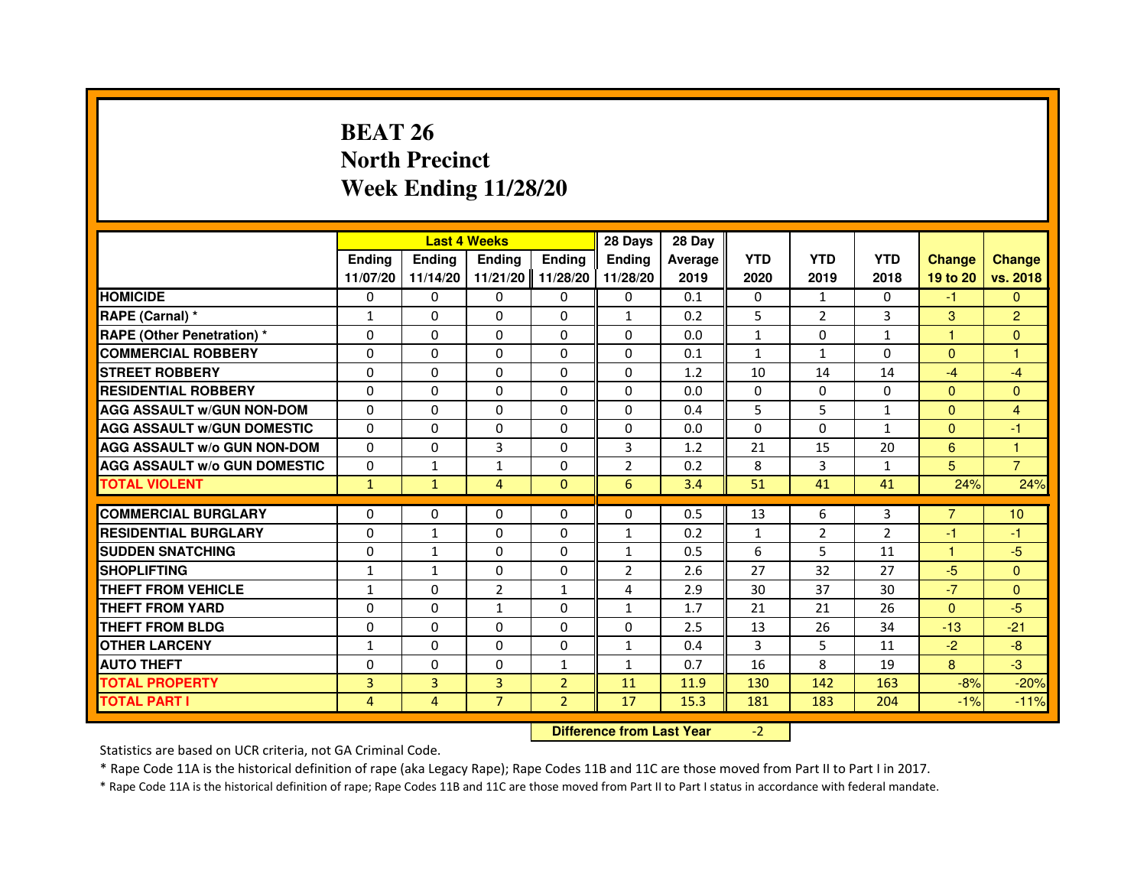# **BEAT 26 North PrecinctWeek Ending 11/28/20**

|                                     |               |                                  | <b>Last 4 Weeks</b> |                | 28 Days        | 28 Day  |              |                |              |               |                |
|-------------------------------------|---------------|----------------------------------|---------------------|----------------|----------------|---------|--------------|----------------|--------------|---------------|----------------|
|                                     | <b>Ending</b> | Ending                           | <b>Ending</b>       | <b>Ending</b>  | <b>Ending</b>  | Average | <b>YTD</b>   | <b>YTD</b>     | <b>YTD</b>   | <b>Change</b> | <b>Change</b>  |
|                                     | 11/07/20      | 11/14/20                         | 11/21/20            | 11/28/20       | 11/28/20       | 2019    | 2020         | 2019           | 2018         | 19 to 20      | vs. 2018       |
| <b>HOMICIDE</b>                     | 0             | $\Omega$                         | $\Omega$            | 0              | 0              | 0.1     | 0            | $\mathbf{1}$   | $\Omega$     | $-1$          | $\mathbf{0}$   |
| RAPE (Carnal) *                     | 1             | 0                                | 0                   | 0              | $\mathbf{1}$   | 0.2     | 5            | $\overline{2}$ | 3            | 3             | $\overline{2}$ |
| RAPE (Other Penetration) *          | $\Omega$      | 0                                | $\Omega$            | $\Omega$       | $\Omega$       | 0.0     | $\mathbf{1}$ | $\Omega$       | 1            | 1             | $\mathbf{0}$   |
| <b>COMMERCIAL ROBBERY</b>           | $\Omega$      | $\Omega$                         | $\Omega$            | $\Omega$       | $\Omega$       | 0.1     | $\mathbf{1}$ | $\mathbf{1}$   | $\Omega$     | $\Omega$      | $\mathbf{1}$   |
| <b>STREET ROBBERY</b>               | $\Omega$      | $\Omega$                         | $\Omega$            | $\Omega$       | $\Omega$       | 1.2     | 10           | 14             | 14           | $-4$          | $-4$           |
| <b>RESIDENTIAL ROBBERY</b>          | 0             | 0                                | $\Omega$            | 0              | 0              | 0.0     | 0            | 0              | 0            | $\mathbf{0}$  | $\mathbf{0}$   |
| <b>AGG ASSAULT W/GUN NON-DOM</b>    | $\Omega$      | $\Omega$                         | $\Omega$            | $\Omega$       | $\Omega$       | 0.4     | 5            | 5              | $\mathbf{1}$ | $\Omega$      | 4              |
| <b>AGG ASSAULT W/GUN DOMESTIC</b>   | $\Omega$      | $\Omega$                         | $\Omega$            | $\Omega$       | $\Omega$       | 0.0     | $\Omega$     | $\Omega$       | $\mathbf{1}$ | $\Omega$      | $-1$           |
| <b>AGG ASSAULT W/o GUN NON-DOM</b>  | $\Omega$      | $\Omega$                         | 3                   | $\Omega$       | 3              | 1.2     | 21           | 15             | 20           | 6             | $\mathbf{1}$   |
| <b>AGG ASSAULT w/o GUN DOMESTIC</b> | $\Omega$      | $\mathbf{1}$                     | $\mathbf{1}$        | $\Omega$       | $\overline{2}$ | 0.2     | 8            | 3              | $\mathbf{1}$ | 5             | $\overline{7}$ |
| <b>TOTAL VIOLENT</b>                | $\mathbf{1}$  | $\mathbf{1}$                     | 4                   | $\mathbf{0}$   | 6              | 3.4     | 51           | 41             | 41           | 24%           | 24%            |
| <b>COMMERCIAL BURGLARY</b>          | 0             | 0                                | 0                   | 0              | 0              | 0.5     | 13           | 6              | 3            | 7             | 10             |
| <b>RESIDENTIAL BURGLARY</b>         | 0             | 1                                | $\Omega$            | $\Omega$       | 1              | 0.2     | $\mathbf{1}$ | $\overline{2}$ | 2            | $-1$          | $-1$           |
| <b>SUDDEN SNATCHING</b>             | $\Omega$      | $\mathbf{1}$                     | $\Omega$            | $\Omega$       | $\mathbf{1}$   | 0.5     | 6            | 5              | 11           | $\mathbf{1}$  | $-5$           |
| <b>SHOPLIFTING</b>                  | 1             | $\mathbf{1}$                     | 0                   | 0              | $\overline{2}$ | 2.6     | 27           | 32             | 27           | $-5$          | $\Omega$       |
| THEFT FROM VEHICLE                  | 1             | 0                                | $\overline{2}$      | 1              | 4              | 2.9     | 30           | 37             | 30           | $-7$          | $\mathbf{0}$   |
| <b>THEFT FROM YARD</b>              | $\Omega$      | $\Omega$                         | $\mathbf{1}$        | $\Omega$       | $\mathbf{1}$   | 1.7     | 21           | 21             | 26           | $\Omega$      | $-5$           |
| <b>THEFT FROM BLDG</b>              | $\Omega$      | $\Omega$                         | $\Omega$            | $\Omega$       | $\Omega$       | 2.5     | 13           | 26             | 34           | $-13$         | $-21$          |
| <b>OTHER LARCENY</b>                | 1             | 0                                | 0                   | 0              | $\mathbf{1}$   | 0.4     | 3            | 5              | 11           | $-2$          | $-8$           |
| <b>AUTO THEFT</b>                   | $\Omega$      | $\Omega$                         | $\Omega$            | $\mathbf{1}$   | $\mathbf{1}$   | 0.7     | 16           | 8              | 19           | 8             | $-3$           |
| <b>TOTAL PROPERTY</b>               | 3             | 3                                | $\overline{3}$      | $\overline{2}$ | 11             | 11.9    | 130          | 142            | 163          | $-8%$         | $-20%$         |
| <b>TOTAL PART I</b>                 | 4             | 4                                | $\overline{7}$      | $\overline{2}$ | 17             | 15.3    | 181          | 183            | 204          | $-1%$         | $-11%$         |
|                                     |               | <b>Difference from Last Year</b> |                     | $-2$           |                |         |              |                |              |               |                |

 **Difference from Last Year**

Statistics are based on UCR criteria, not GA Criminal Code.

\* Rape Code 11A is the historical definition of rape (aka Legacy Rape); Rape Codes 11B and 11C are those moved from Part II to Part I in 2017.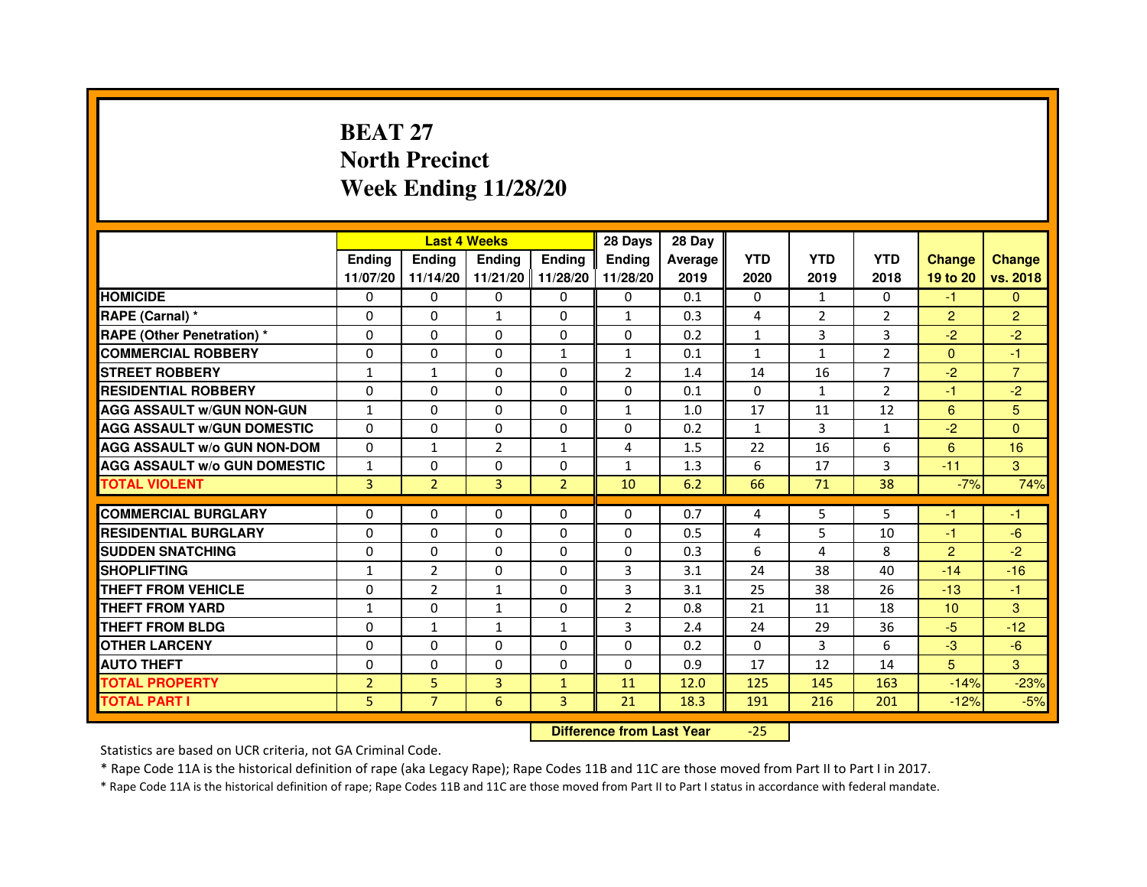# **BEAT 27 North PrecinctWeek Ending 11/28/20**

|                                     |                | <b>Last 4 Weeks</b> |                |                   | 28 Days        | 28 Day  |              |                |                |                 |                |
|-------------------------------------|----------------|---------------------|----------------|-------------------|----------------|---------|--------------|----------------|----------------|-----------------|----------------|
|                                     | <b>Endina</b>  | <b>Endina</b>       | <b>Endina</b>  | Ending            | <b>Endina</b>  | Average | <b>YTD</b>   | <b>YTD</b>     | <b>YTD</b>     | <b>Change</b>   | <b>Change</b>  |
|                                     | 11/07/20       | 11/14/20            |                | 11/21/20 11/28/20 | 11/28/20       | 2019    | 2020         | 2019           | 2018           | 19 to 20        | vs. 2018       |
| <b>HOMICIDE</b>                     | 0              | 0                   | $\mathbf{0}$   | 0                 | 0              | 0.1     | $\mathbf{0}$ | 1              | $\mathbf{0}$   | $-1$            | $\mathbf{0}$   |
| RAPE (Carnal) *                     | $\Omega$       | $\Omega$            | $\mathbf{1}$   | $\mathbf{0}$      | $\mathbf{1}$   | 0.3     | 4            | $\overline{2}$ | $\overline{2}$ | $\overline{2}$  | $\overline{2}$ |
| <b>RAPE (Other Penetration) *</b>   | 0              | $\Omega$            | $\Omega$       | $\mathbf{0}$      | $\Omega$       | 0.2     | $\mathbf{1}$ | 3              | 3              | $-2$            | $-2$           |
| <b>COMMERCIAL ROBBERY</b>           | 0              | 0                   | 0              | $\mathbf{1}$      | $\mathbf{1}$   | 0.1     | $\mathbf{1}$ | $\mathbf{1}$   | 2              | $\Omega$        | $-1$           |
| <b>STREET ROBBERY</b>               | $\mathbf{1}$   | 1                   | 0              | 0                 | $\overline{2}$ | 1.4     | 14           | 16             | 7              | $-2$            | $\overline{7}$ |
| <b>RESIDENTIAL ROBBERY</b>          | 0              | $\Omega$            | $\Omega$       | $\Omega$          | $\Omega$       | 0.1     | $\Omega$     | $\mathbf{1}$   | $\overline{2}$ | $-1$            | $-2$           |
| <b>AGG ASSAULT W/GUN NON-GUN</b>    | $\mathbf{1}$   | $\mathbf 0$         | $\Omega$       | $\mathbf{0}$      | $\mathbf{1}$   | 1.0     | 17           | 11             | 12             | 6               | 5              |
| <b>AGG ASSAULT W/GUN DOMESTIC</b>   | $\Omega$       | 0                   | 0              | 0                 | 0              | 0.2     | $\mathbf{1}$ | 3              | $\mathbf{1}$   | $-2$            | $\Omega$       |
| <b>AGG ASSAULT W/o GUN NON-DOM</b>  | $\Omega$       | 1                   | $\overline{2}$ | $\mathbf{1}$      | 4              | 1.5     | 22           | 16             | 6              | 6               | 16             |
| <b>AGG ASSAULT W/o GUN DOMESTIC</b> | $\mathbf{1}$   | 0                   | 0              | $\Omega$          | $\mathbf{1}$   | 1.3     | 6            | 17             | 3              | $-11$           | 3              |
| <b>TOTAL VIOLENT</b>                | 3              | $\overline{2}$      | 3              | $\overline{2}$    | 10             | 6.2     | 66           | 71             | 38             | $-7%$           | 74%            |
|                                     |                |                     |                |                   |                |         |              |                |                |                 |                |
| <b>COMMERCIAL BURGLARY</b>          | 0              | 0                   | 0              | 0                 | $\Omega$       | 0.7     | 4            | 5              | 5              | -1              | -1             |
| <b>RESIDENTIAL BURGLARY</b>         | 0              | $\Omega$            | 0              | $\Omega$          | $\Omega$       | 0.5     | 4            | 5              | 10             | $-1$            | -6             |
| <b>SUDDEN SNATCHING</b>             | 0              | 0                   | 0              | $\Omega$          | $\Omega$       | 0.3     | 6            | $\overline{a}$ | 8              | $\overline{2}$  | $-2$           |
| <b>SHOPLIFTING</b>                  | $\mathbf{1}$   | $\overline{2}$      | 0              | $\Omega$          | 3              | 3.1     | 24           | 38             | 40             | $-14$           | $-16$          |
| <b>THEFT FROM VEHICLE</b>           | 0              | $\overline{2}$      | $\mathbf{1}$   | $\mathbf{0}$      | 3              | 3.1     | 25           | 38             | 26             | $-13$           | $-1$           |
| <b>THEFT FROM YARD</b>              | 1              | 0                   | $\mathbf{1}$   | $\Omega$          | $\overline{2}$ | 0.8     | 21           | 11             | 18             | 10 <sup>1</sup> | 3              |
| <b>THEFT FROM BLDG</b>              | 0              | 1                   | 1              | 1                 | 3              | 2.4     | 24           | 29             | 36             | $-5$            | $-12$          |
| <b>OTHER LARCENY</b>                | 0              | 0                   | $\Omega$       | $\Omega$          | $\Omega$       | 0.2     | $\Omega$     | 3              | 6              | $-3$            | $-6$           |
| <b>AUTO THEFT</b>                   | $\mathbf 0$    | 0                   | $\Omega$       | $\Omega$          | $\Omega$       | 0.9     | 17           | 12             | 14             | 5               | 3              |
| <b>TOTAL PROPERTY</b>               | $\overline{2}$ | 5                   | 3              | $\mathbf{1}$      | 11             | 12.0    | 125          | 145            | 163            | $-14%$          | $-23%$         |
| <b>TOTAL PART I</b>                 | 5              | $\overline{7}$      | 6              | 3                 | 21             | 18.3    | 191          | 216            | 201            | $-12%$          | $-5%$          |

 **Difference from Last Year**-25

Statistics are based on UCR criteria, not GA Criminal Code.

\* Rape Code 11A is the historical definition of rape (aka Legacy Rape); Rape Codes 11B and 11C are those moved from Part II to Part I in 2017.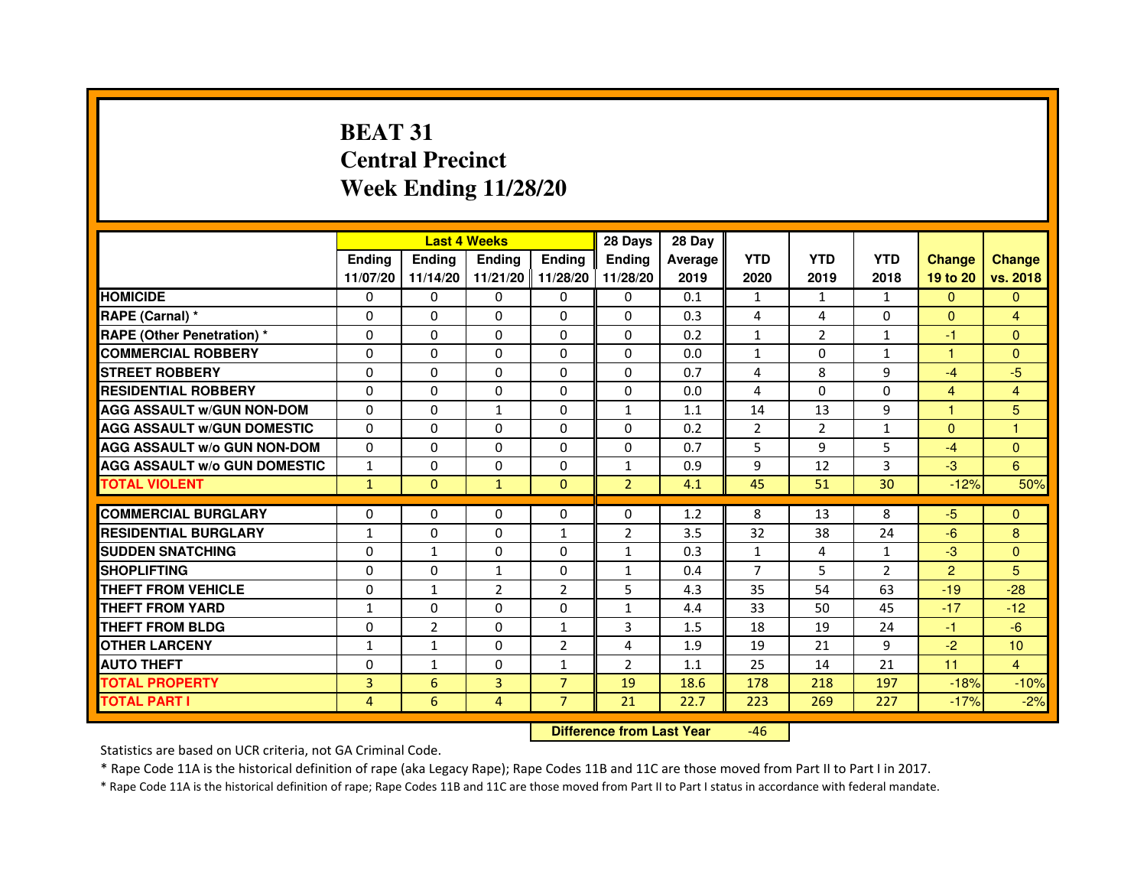# **BEAT 31 Central PrecinctWeek Ending 11/28/20**

|                                     |               | <b>Last 4 Weeks</b> |                   |                | 28 Days        | 28 Day  |                |                |                |                |                |
|-------------------------------------|---------------|---------------------|-------------------|----------------|----------------|---------|----------------|----------------|----------------|----------------|----------------|
|                                     | <b>Endina</b> | <b>Ending</b>       | <b>Ending</b>     | <b>Endina</b>  | <b>Endina</b>  | Average | <b>YTD</b>     | <b>YTD</b>     | <b>YTD</b>     | <b>Change</b>  | <b>Change</b>  |
|                                     | 11/07/20      | 11/14/20            | 11/21/20 11/28/20 |                | 11/28/20       | 2019    | 2020           | 2019           | 2018           | 19 to 20       | vs. 2018       |
| <b>HOMICIDE</b>                     | 0             | 0                   | 0                 | 0              | 0              | 0.1     | 1              | $\mathbf{1}$   | $\mathbf{1}$   | $\mathbf{0}$   | $\mathbf{0}$   |
| RAPE (Carnal) *                     | $\Omega$      | $\Omega$            | $\Omega$          | $\Omega$       | $\Omega$       | 0.3     | 4              | 4              | $\Omega$       | $\Omega$       | $\overline{4}$ |
| <b>RAPE (Other Penetration) *</b>   | $\Omega$      | $\Omega$            | $\Omega$          | $\Omega$       | $\Omega$       | 0.2     | $\mathbf{1}$   | $\overline{2}$ | $\mathbf{1}$   | $-1$           | $\Omega$       |
| <b>COMMERCIAL ROBBERY</b>           | 0             | 0                   | $\Omega$          | 0              | $\Omega$       | 0.0     | $\mathbf{1}$   | $\Omega$       | $\mathbf{1}$   | 1              | $\Omega$       |
| <b>STREET ROBBERY</b>               | $\Omega$      | 0                   | $\Omega$          | 0              | 0              | 0.7     | 4              | 8              | 9              | $-4$           | $-5$           |
| <b>RESIDENTIAL ROBBERY</b>          | $\Omega$      | $\Omega$            | $\Omega$          | $\Omega$       | 0              | 0.0     | 4              | $\Omega$       | $\Omega$       | $\overline{4}$ | $\overline{4}$ |
| <b>AGG ASSAULT w/GUN NON-DOM</b>    | $\Omega$      | 0                   | $\mathbf{1}$      | 0              | $\mathbf{1}$   | 1.1     | 14             | 13             | 9              | $\mathbf{1}$   | 5              |
| <b>AGG ASSAULT W/GUN DOMESTIC</b>   | $\Omega$      | 0                   | 0                 | 0              | 0              | 0.2     | $\overline{2}$ | $\overline{2}$ | $\mathbf{1}$   | $\Omega$       | 1              |
| <b>AGG ASSAULT W/o GUN NON-DOM</b>  | $\Omega$      | $\Omega$            | $\Omega$          | $\Omega$       | $\Omega$       | 0.7     | 5              | 9              | 5              | $-4$           | $\Omega$       |
| <b>AGG ASSAULT W/o GUN DOMESTIC</b> | 1             | $\Omega$            | $\Omega$          | 0              | 1              | 0.9     | 9              | 12             | 3              | $-3$           | 6              |
| <b>TOTAL VIOLENT</b>                | $\mathbf{1}$  | $\Omega$            | $\mathbf{1}$      | $\Omega$       | $\overline{2}$ | 4.1     | 45             | 51             | 30             | $-12%$         | 50%            |
|                                     |               |                     |                   |                |                |         |                |                |                |                |                |
| <b>COMMERCIAL BURGLARY</b>          | $\Omega$      | $\Omega$            | $\Omega$          | $\Omega$       | $\Omega$       | 1.2     | 8              | 13             | 8              | $-5$           | $\Omega$       |
| <b>RESIDENTIAL BURGLARY</b>         | $\mathbf{1}$  | $\Omega$            | $\Omega$          | 1              | $\overline{2}$ | 3.5     | 32             | 38             | 24             | $-6$           | 8              |
| <b>SUDDEN SNATCHING</b>             | 0             | 1                   | 0                 | 0              | $\mathbf{1}$   | 0.3     | $\mathbf{1}$   | 4              | 1              | $-3$           | $\Omega$       |
| <b>SHOPLIFTING</b>                  | 0             | 0                   | 1                 | 0              | $\mathbf{1}$   | 0.4     | $\overline{7}$ | 5              | $\overline{2}$ | $\overline{2}$ | 5              |
| <b>THEFT FROM VEHICLE</b>           | 0             | $\mathbf{1}$        | $\overline{2}$    | $\overline{2}$ | 5              | 4.3     | 35             | 54             | 63             | $-19$          | $-28$          |
| <b>THEFT FROM YARD</b>              | $\mathbf{1}$  | 0                   | $\Omega$          | $\Omega$       | 1              | 4.4     | 33             | 50             | 45             | $-17$          | $-12$          |
| <b>THEFT FROM BLDG</b>              | $\Omega$      | $\overline{2}$      | 0                 | 1              | 3              | 1.5     | 18             | 19             | 24             | $-1$           | $-6$           |
| <b>OTHER LARCENY</b>                | $\mathbf{1}$  | $\mathbf{1}$        | $\Omega$          | $\overline{2}$ | 4              | 1.9     | 19             | 21             | 9              | $-2$           | 10             |
| <b>AUTO THEFT</b>                   | $\mathbf 0$   | 1                   | 0                 | $\mathbf{1}$   | $\overline{2}$ | 1.1     | 25             | 14             | 21             | 11             | $\overline{4}$ |
| <b>TOTAL PROPERTY</b>               | 3             | 6                   | 3                 | $\overline{7}$ | 19             | 18.6    | 178            | 218            | 197            | $-18%$         | $-10%$         |
| <b>TOTAL PART I</b>                 | 4             | 6                   | 4                 | $\overline{7}$ | 21             | 22.7    | 223            | 269            | 227            | $-17%$         | $-2%$          |

 **Difference from Last Year**-46

Statistics are based on UCR criteria, not GA Criminal Code.

\* Rape Code 11A is the historical definition of rape (aka Legacy Rape); Rape Codes 11B and 11C are those moved from Part II to Part I in 2017.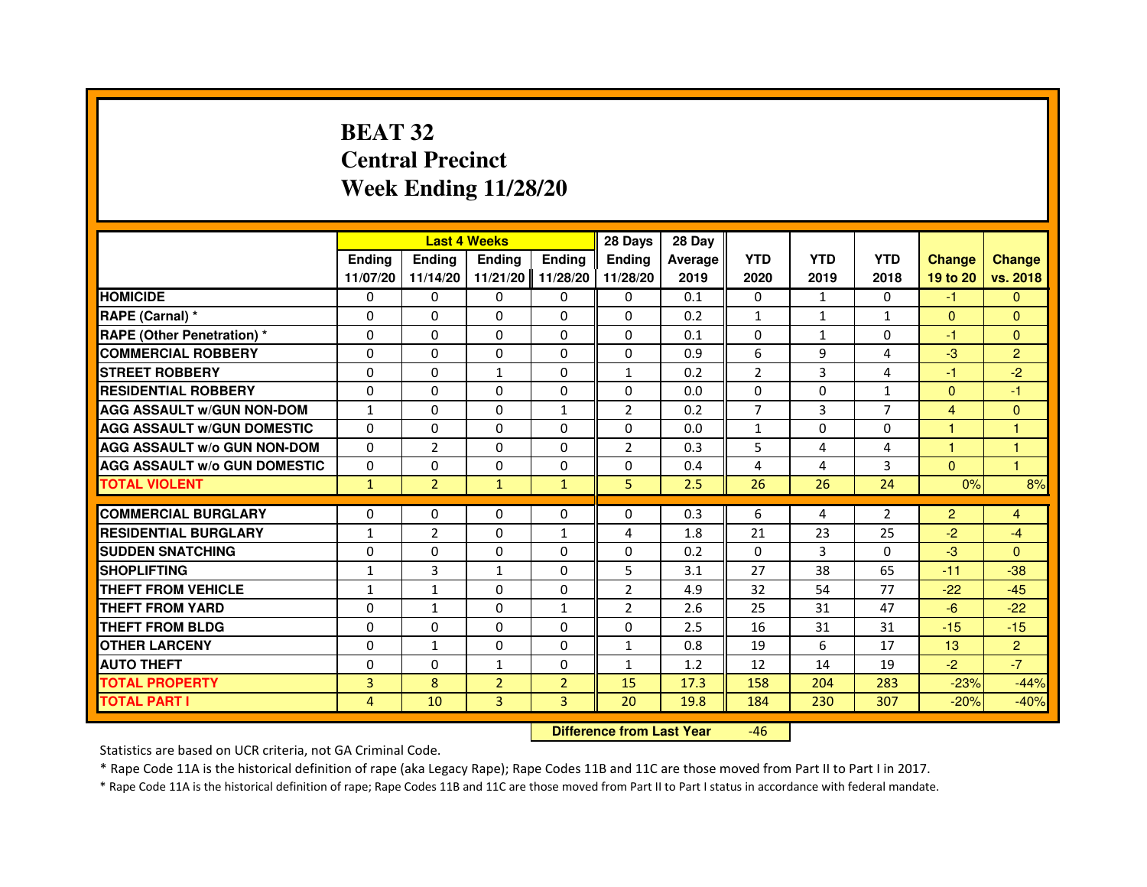# **BEAT 32 Central PrecinctWeek Ending 11/28/20**

|                                     |               | <b>Last 4 Weeks</b> |                |                | 28 Days        | 28 Day  |                |              |                |                      |                |
|-------------------------------------|---------------|---------------------|----------------|----------------|----------------|---------|----------------|--------------|----------------|----------------------|----------------|
|                                     | <b>Endina</b> | <b>Ending</b>       | <b>Endina</b>  | Ending         | <b>Endina</b>  | Average | <b>YTD</b>     | <b>YTD</b>   | <b>YTD</b>     | <b>Change</b>        | <b>Change</b>  |
|                                     | 11/07/20      | 11/14/20            | 11/21/20       | 11/28/20       | 11/28/20       | 2019    | 2020           | 2019         | 2018           | 19 to 20             | vs. 2018       |
| <b>HOMICIDE</b>                     | 0             | $\Omega$            | 0              | 0              | 0              | 0.1     | $\mathbf{0}$   | $\mathbf{1}$ | 0              | $-1$                 | $\mathbf{0}$   |
| RAPE (Carnal) *                     | $\Omega$      | $\Omega$            | $\Omega$       | $\Omega$       | $\Omega$       | 0.2     | $\mathbf{1}$   | $\mathbf{1}$ | $\mathbf{1}$   | $\Omega$             | $\mathbf{0}$   |
| <b>RAPE (Other Penetration)*</b>    | $\Omega$      | $\Omega$            | $\Omega$       | $\Omega$       | $\Omega$       | 0.1     | $\Omega$       | $\mathbf{1}$ | $\Omega$       | $-1$                 | $\mathbf{0}$   |
| <b>COMMERCIAL ROBBERY</b>           | 0             | 0                   | 0              | 0              | 0              | 0.9     | 6              | 9            | 4              | $-3$                 | $\overline{2}$ |
| <b>STREET ROBBERY</b>               | $\Omega$      | $\mathbf{0}$        | $\mathbf{1}$   | $\Omega$       | $\mathbf{1}$   | 0.2     | $\overline{2}$ | 3            | 4              | $-1$                 | $-2$           |
| <b>RESIDENTIAL ROBBERY</b>          | $\Omega$      | $\Omega$            | $\Omega$       | $\Omega$       | 0              | 0.0     | 0              | $\Omega$     | $\mathbf{1}$   | $\mathbf{0}$         | $-1$           |
| <b>AGG ASSAULT W/GUN NON-DOM</b>    | $\mathbf{1}$  | $\Omega$            | $\Omega$       | $\mathbf{1}$   | $\overline{2}$ | 0.2     | $\overline{7}$ | 3            | $\overline{7}$ | 4                    | $\mathbf{0}$   |
| <b>AGG ASSAULT W/GUN DOMESTIC</b>   | $\Omega$      | $\Omega$            | $\Omega$       | $\Omega$       | $\Omega$       | 0.0     | $\mathbf{1}$   | $\Omega$     | $\Omega$       | $\mathbf{1}$         | 1              |
| <b>AGG ASSAULT W/o GUN NON-DOM</b>  | 0             | 2                   | 0              | 0              | $\overline{2}$ | 0.3     | 5              | 4            | 4              | $\blacktriangleleft$ | 1              |
| <b>AGG ASSAULT W/o GUN DOMESTIC</b> | 0             | 0                   | 0              | 0              | 0              | 0.4     | 4              | 4            | 3              | $\mathbf{0}$         | $\overline{1}$ |
| <b>TOTAL VIOLENT</b>                | $\mathbf{1}$  | $\overline{2}$      | $\mathbf{1}$   | $\mathbf{1}$   | 5              | 2.5     | 26             | 26           | 24             | 0%                   | 8%             |
|                                     |               |                     |                |                |                |         |                |              |                |                      |                |
| <b>COMMERCIAL BURGLARY</b>          | 0             | $\mathbf{0}$        | 0              | $\mathbf{0}$   | 0              | 0.3     | 6              | 4            | 2              | $\overline{2}$       | 4              |
| <b>RESIDENTIAL BURGLARY</b>         | $\mathbf{1}$  | 2                   | 0              | $\mathbf{1}$   | 4              | 1.8     | 21             | 23           | 25             | $-2$                 | -4             |
| <b>SUDDEN SNATCHING</b>             | $\Omega$      | $\Omega$            | $\Omega$       | $\Omega$       | $\Omega$       | 0.2     | $\Omega$       | 3            | $\Omega$       | $-3$                 | $\Omega$       |
| <b>SHOPLIFTING</b>                  | $\mathbf{1}$  | 3                   | $\mathbf{1}$   | $\Omega$       | 5              | 3.1     | 27             | 38           | 65             | $-11$                | $-38$          |
| <b>THEFT FROM VEHICLE</b>           | $\mathbf{1}$  | $\mathbf{1}$        | $\Omega$       | $\mathbf{0}$   | $\overline{2}$ | 4.9     | 32             | 54           | 77             | $-22$                | $-45$          |
| <b>THEFT FROM YARD</b>              | $\Omega$      | $\mathbf{1}$        | $\Omega$       | $\mathbf{1}$   | $\overline{2}$ | 2.6     | 25             | 31           | 47             | $-6$                 | $-22$          |
| <b>THEFT FROM BLDG</b>              | 0             | $\Omega$            | 0              | $\Omega$       | $\Omega$       | 2.5     | 16             | 31           | 31             | $-15$                | $-15$          |
| <b>OTHER LARCENY</b>                | 0             | $\mathbf{1}$        | 0              | 0              | $\mathbf{1}$   | 0.8     | 19             | 6            | 17             | 13                   | $\overline{2}$ |
| <b>AUTO THEFT</b>                   | $\Omega$      | 0                   | $\mathbf{1}$   | 0              | $\mathbf{1}$   | 1.2     | 12             | 14           | 19             | $-2$                 | $-7$           |
| <b>TOTAL PROPERTY</b>               | 3             | 8                   | $\overline{2}$ | $\overline{2}$ | 15             | 17.3    | 158            | 204          | 283            | $-23%$               | $-44%$         |
| <b>TOTAL PART I</b>                 | 4             | 10                  | 3              | 3              | 20             | 19.8    | 184            | 230          | 307            | $-20%$               | $-40%$         |

 **Difference from Last Year**-46

Statistics are based on UCR criteria, not GA Criminal Code.

\* Rape Code 11A is the historical definition of rape (aka Legacy Rape); Rape Codes 11B and 11C are those moved from Part II to Part I in 2017.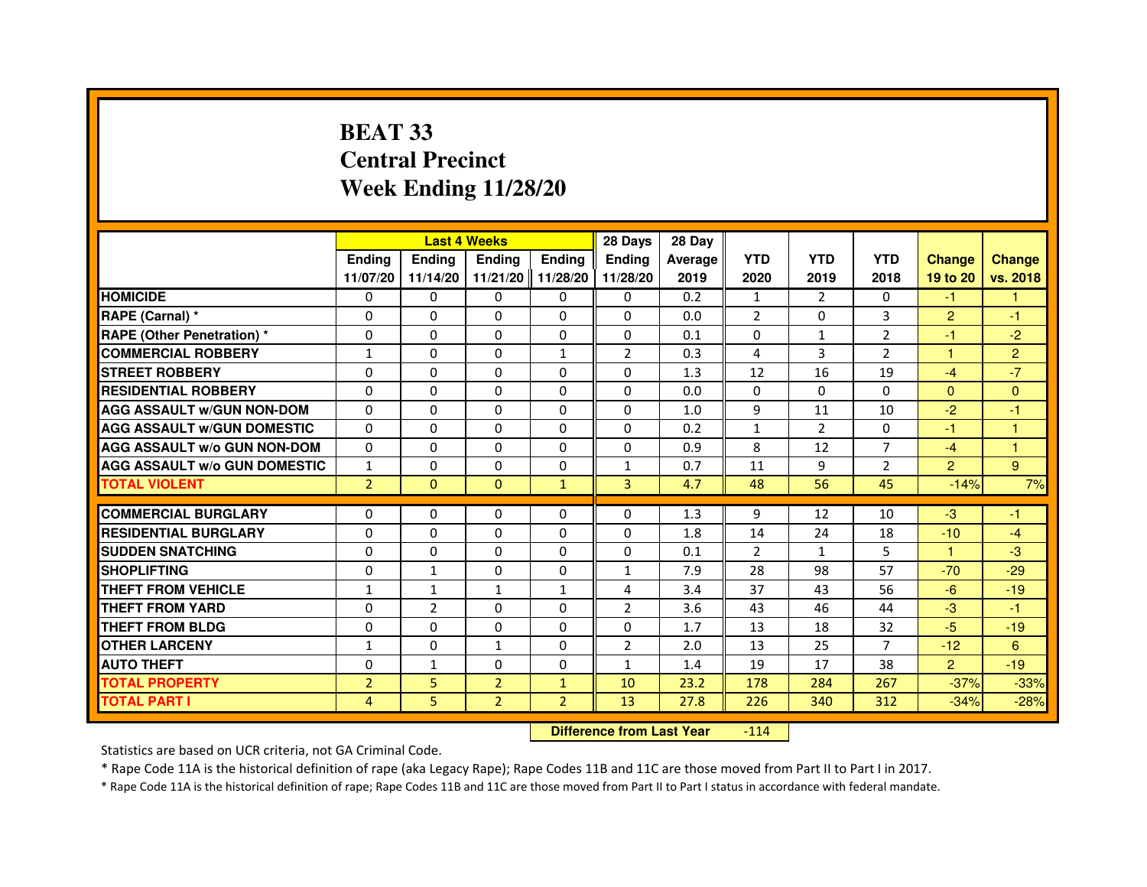# **BEAT 33 Central PrecinctWeek Ending 11/28/20**

|                                     |                | <b>Last 4 Weeks</b> |                |                   | 28 Days        | 28 Day  |                |                |                |                      |                |
|-------------------------------------|----------------|---------------------|----------------|-------------------|----------------|---------|----------------|----------------|----------------|----------------------|----------------|
|                                     | <b>Ending</b>  | <b>Endina</b>       | <b>Ending</b>  | <b>Ending</b>     | <b>Endina</b>  | Average | <b>YTD</b>     | <b>YTD</b>     | <b>YTD</b>     | <b>Change</b>        | <b>Change</b>  |
|                                     | 11/07/20       | 11/14/20            |                | 11/21/20 11/28/20 | 11/28/20       | 2019    | 2020           | 2019           | 2018           | 19 to 20             | vs. 2018       |
| <b>HOMICIDE</b>                     | 0              | $\mathbf{0}$        | $\mathbf{0}$   | $\Omega$          | $\Omega$       | 0.2     | $\mathbf{1}$   | $\overline{2}$ | $\Omega$       | $-1$                 | 1              |
| RAPE (Carnal) *                     | $\Omega$       | $\Omega$            | $\Omega$       | $\Omega$          | $\Omega$       | 0.0     | $\overline{2}$ | $\Omega$       | 3              | $\overline{2}$       | $-1$           |
| <b>RAPE (Other Penetration) *</b>   | $\Omega$       | 0                   | 0              | $\mathbf{0}$      | 0              | 0.1     | $\Omega$       | $\mathbf{1}$   | $\overline{2}$ | $-1$                 | $-2$           |
| <b>COMMERCIAL ROBBERY</b>           | 1              | $\Omega$            | 0              | $\mathbf{1}$      | 2              | 0.3     | 4              | 3              | 2              | $\blacktriangleleft$ | $\overline{2}$ |
| <b>STREET ROBBERY</b>               | $\Omega$       | $\Omega$            | 0              | 0                 | $\Omega$       | 1.3     | 12             | 16             | 19             | $-4$                 | $-7$           |
| <b>RESIDENTIAL ROBBERY</b>          | $\Omega$       | $\Omega$            | 0              | $\Omega$          | 0              | 0.0     | $\Omega$       | $\Omega$       | 0              | $\mathbf{0}$         | $\Omega$       |
| <b>AGG ASSAULT W/GUN NON-DOM</b>    | $\Omega$       | $\Omega$            | $\Omega$       | $\mathbf{0}$      | $\Omega$       | 1.0     | 9              | 11             | 10             | $-2$                 | $-1$           |
| <b>AGG ASSAULT W/GUN DOMESTIC</b>   | $\Omega$       | $\Omega$            | $\Omega$       | 0                 | $\Omega$       | 0.2     | $\mathbf{1}$   | $\mathcal{P}$  | 0              | $-1$                 | $\mathbf{1}$   |
| <b>AGG ASSAULT W/o GUN NON-DOM</b>  | $\Omega$       | $\Omega$            | 0              | 0                 | 0              | 0.9     | 8              | 12             | $\overline{7}$ | $-4$                 |                |
| <b>AGG ASSAULT w/o GUN DOMESTIC</b> | $\mathbf{1}$   | 0                   | 0              | 0                 | $\mathbf{1}$   | 0.7     | 11             | 9              | $\overline{2}$ | $\overline{2}$       | 9              |
| <b>TOTAL VIOLENT</b>                | $\overline{2}$ | $\mathbf{0}$        | $\mathbf{0}$   | $\mathbf{1}$      | 3              | 4.7     | 48             | 56             | 45             | $-14%$               | 7%             |
|                                     |                |                     |                |                   |                |         |                |                |                |                      |                |
| <b>COMMERCIAL BURGLARY</b>          | 0              | $\Omega$            | 0              | 0                 | $\Omega$       | 1.3     | 9              | 12             | 10             | -3                   | -1             |
| <b>RESIDENTIAL BURGLARY</b>         | 0              | 0                   | 0              | $\mathbf{0}$      | 0              | 1.8     | 14             | 24             | 18             | $-10$                | $-4$           |
| <b>SUDDEN SNATCHING</b>             | $\Omega$       | $\Omega$            | $\Omega$       | $\Omega$          | $\Omega$       | 0.1     | 2              | $\mathbf{1}$   | 5              | $\blacktriangleleft$ | $-3$           |
| <b>SHOPLIFTING</b>                  | $\Omega$       | $\mathbf{1}$        | 0              | $\Omega$          | $\mathbf{1}$   | 7.9     | 28             | 98             | 57             | $-70$                | $-29$          |
| <b>THEFT FROM VEHICLE</b>           | $\mathbf{1}$   | $\mathbf{1}$        | $\mathbf{1}$   | $\mathbf{1}$      | 4              | 3.4     | 37             | 43             | 56             | $-6$                 | $-19$          |
| <b>THEFT FROM YARD</b>              | $\Omega$       | $\overline{2}$      | 0              | 0                 | $\overline{2}$ | 3.6     | 43             | 46             | 44             | $-3$                 | $-1$           |
| <b>THEFT FROM BLDG</b>              | $\Omega$       | $\Omega$            | 0              | 0                 | $\Omega$       | 1.7     | 13             | 18             | 32             | $-5$                 | $-19$          |
| <b>OTHER LARCENY</b>                | $\mathbf{1}$   | $\Omega$            | 1              | 0                 | $\overline{2}$ | 2.0     | 13             | 25             | $\overline{7}$ | $-12$                | 6              |
| <b>AUTO THEFT</b>                   | $\Omega$       | 1                   | $\Omega$       | $\Omega$          | $\mathbf{1}$   | 1.4     | 19             | 17             | 38             | $\overline{2}$       | $-19$          |
| <b>TOTAL PROPERTY</b>               | $\overline{2}$ | 5                   | $\overline{2}$ | $\mathbf{1}$      | 10             | 23.2    | 178            | 284            | 267            | $-37%$               | $-33%$         |
| <b>TOTAL PART I</b>                 | 4              | 5                   | $\overline{2}$ | $\overline{2}$    | 13             | 27.8    | 226            | 340            | 312            | $-34%$               | $-28%$         |

 **Difference from Last Year**-114

Statistics are based on UCR criteria, not GA Criminal Code.

\* Rape Code 11A is the historical definition of rape (aka Legacy Rape); Rape Codes 11B and 11C are those moved from Part II to Part I in 2017.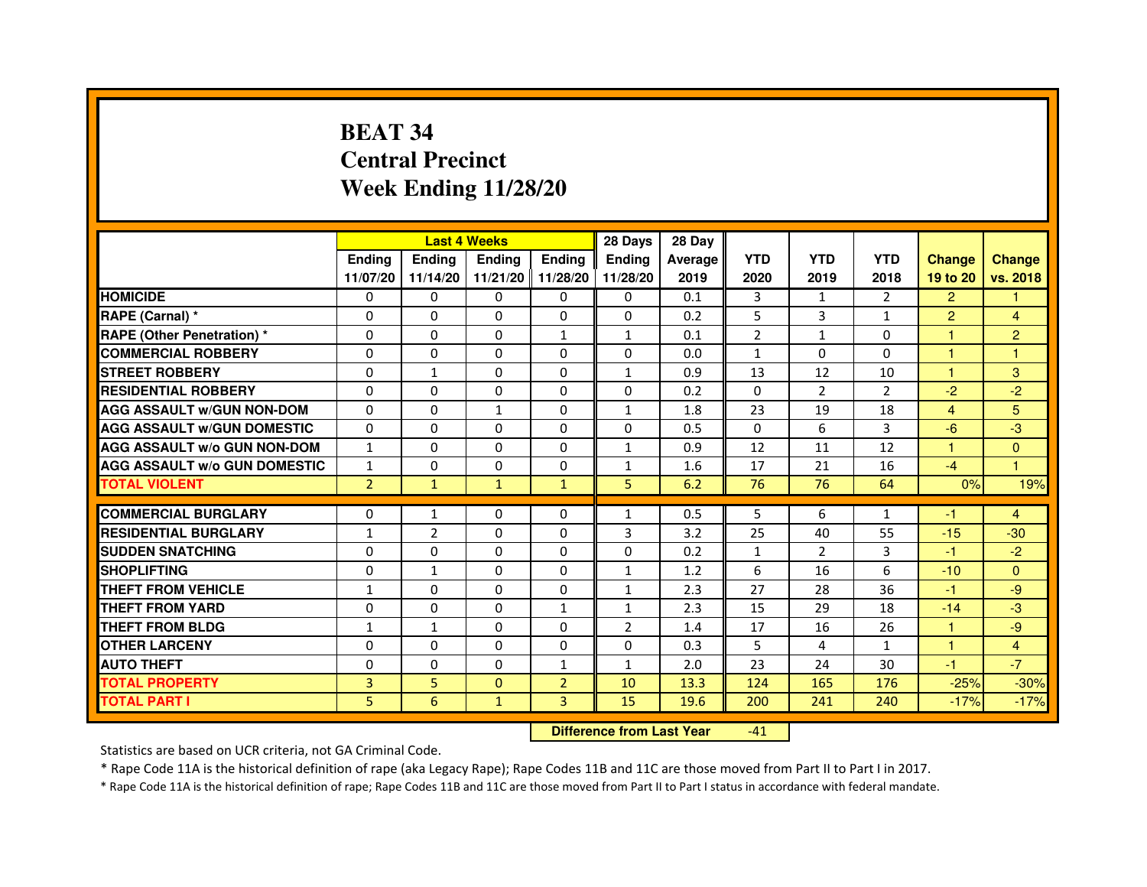# **BEAT 34 Central PrecinctWeek Ending 11/28/20**

|                                                  |                          |                          | <b>Last 4 Weeks</b>  |                | 28 Days                      | 28 Day         |                |                |                    |                |                |
|--------------------------------------------------|--------------------------|--------------------------|----------------------|----------------|------------------------------|----------------|----------------|----------------|--------------------|----------------|----------------|
|                                                  | <b>Ending</b>            | <b>Ending</b>            | <b>Ending</b>        | <b>Ending</b>  | <b>Ending</b>                | <b>Average</b> | <b>YTD</b>     | <b>YTD</b>     | <b>YTD</b>         | <b>Change</b>  | <b>Change</b>  |
|                                                  | 11/07/20                 | 11/14/20                 | 11/21/20 11/28/20    |                | 11/28/20                     | 2019           | 2020           | 2019           | 2018               | 19 to 20       | vs. 2018       |
| <b>HOMICIDE</b>                                  | 0                        | 0                        | $\Omega$             | 0              | 0                            | 0.1            | 3              | $\mathbf{1}$   | 2                  | $\overline{2}$ | 1              |
| RAPE (Carnal) *                                  | $\Omega$                 | $\Omega$                 | $\mathbf 0$          | $\Omega$       | $\Omega$                     | 0.2            | 5              | 3              | $\mathbf{1}$       | $\overline{2}$ | $\overline{4}$ |
| <b>RAPE (Other Penetration) *</b>                | $\Omega$                 | $\Omega$                 | $\Omega$             | $\mathbf{1}$   | $\mathbf{1}$                 | 0.1            | $\overline{2}$ | $\mathbf{1}$   | $\Omega$           | 1              | 2              |
| <b>COMMERCIAL ROBBERY</b>                        | 0                        | 0                        | 0                    | 0              | 0                            | 0.0            | $\mathbf{1}$   | 0              | $\Omega$           | 1              | 1              |
| <b>STREET ROBBERY</b>                            | 0                        | $\mathbf{1}$             | 0                    | 0              | $\mathbf{1}$                 | 0.9            | 13             | 12             | 10                 | 1              | 3              |
| <b>RESIDENTIAL ROBBERY</b>                       | $\Omega$                 | $\Omega$                 | 0                    | 0              | 0                            | 0.2            | $\Omega$       | $\overline{2}$ | $\overline{2}$     | $-2$           | $-2$           |
| <b>AGG ASSAULT w/GUN NON-DOM</b>                 | $\Omega$                 | $\mathbf 0$              | $\mathbf{1}$         | 0              | $\mathbf{1}$                 | 1.8            | 23             | 19             | 18                 | $\overline{4}$ | 5              |
| <b>AGG ASSAULT W/GUN DOMESTIC</b>                | $\Omega$                 | $\Omega$                 | $\Omega$             | $\Omega$       | 0                            | 0.5            | $\Omega$       | 6              | 3                  | $-6$           | $-3$           |
| <b>AGG ASSAULT w/o GUN NON-DOM</b>               | $\mathbf{1}$             | $\Omega$                 | $\Omega$             | $\Omega$       | 1                            | 0.9            | 12             | 11             | 12                 | 1              | $\Omega$       |
| <b>AGG ASSAULT W/o GUN DOMESTIC</b>              | $\mathbf{1}$             | 0                        | 0                    | 0              | 1                            | 1.6            | 17             | 21             | 16                 | $-4$           | 1              |
| <b>TOTAL VIOLENT</b>                             | $\overline{2}$           | $\mathbf{1}$             | $\mathbf{1}$         | $\mathbf{1}$   | 5                            | 6.2            | 76             | 76             | 64                 | 0%             | 19%            |
| <b>COMMERCIAL BURGLARY</b>                       |                          |                          |                      |                |                              |                | 5              |                |                    |                |                |
| <b>RESIDENTIAL BURGLARY</b>                      | 0<br>1                   | $\mathbf{1}$             | 0<br>0               | 0              | 1                            | 0.5            |                | 6              | $\mathbf{1}$       | -1<br>$-15$    | $\overline{4}$ |
|                                                  |                          | $\overline{2}$           |                      | 0              | 3                            | 3.2            | 25             | 40             | 55                 |                | $-30$          |
| <b>SUDDEN SNATCHING</b><br><b>SHOPLIFTING</b>    | $\Omega$                 | $\Omega$                 | $\Omega$             | $\Omega$       | 0                            | 0.2            | $\mathbf{1}$   | $\overline{2}$ | 3<br>6             | $-1$           | $-2$           |
| <b>THEFT FROM VEHICLE</b>                        | $\Omega$<br>$\mathbf{1}$ | $\mathbf{1}$<br>$\Omega$ | $\Omega$<br>$\Omega$ | 0<br>$\Omega$  | $\mathbf{1}$<br>$\mathbf{1}$ | 1.2<br>2.3     | 6<br>27        | 16<br>28       | 36                 | $-10$<br>$-1$  | $\Omega$<br>-9 |
|                                                  | $\mathbf 0$              | $\Omega$                 | $\Omega$             | $\mathbf{1}$   | $\mathbf{1}$                 |                | 15             | 29             | 18                 | $-14$          | $-3$           |
| <b>THEFT FROM YARD</b><br><b>THEFT FROM BLDG</b> | $\mathbf{1}$             | $\mathbf{1}$             | 0                    | 0              | $\overline{2}$               | 2.3<br>1.4     | 17             | 16             | 26                 | $\mathbf{1}$   | -9             |
| <b>OTHER LARCENY</b>                             |                          |                          |                      |                |                              |                |                |                |                    |                |                |
| <b>AUTO THEFT</b>                                | $\Omega$<br>$\Omega$     | $\Omega$<br>$\Omega$     | 0<br>$\Omega$        | $\Omega$       | 0                            | 0.3<br>2.0     | 5<br>23        | 4<br>24        | $\mathbf{1}$<br>30 | 1<br>$-1$      | 4<br>$-7$      |
|                                                  |                          |                          |                      | $\mathbf{1}$   | $\mathbf{1}$                 |                |                |                |                    |                |                |
| <b>TOTAL PROPERTY</b>                            | 3                        | 5                        | $\mathbf{0}$         | $\overline{2}$ | 10                           | 13.3           | 124            | 165            | 176                | $-25%$         | $-30%$         |
| <b>TOTAL PART I</b>                              | 5                        | 6                        | $\mathbf{1}$         | 3              | 15                           | 19.6           | 200            | 241            | 240                | $-17%$         | $-17%$         |

 **Difference from Last Year**

-41

Statistics are based on UCR criteria, not GA Criminal Code.

\* Rape Code 11A is the historical definition of rape (aka Legacy Rape); Rape Codes 11B and 11C are those moved from Part II to Part I in 2017.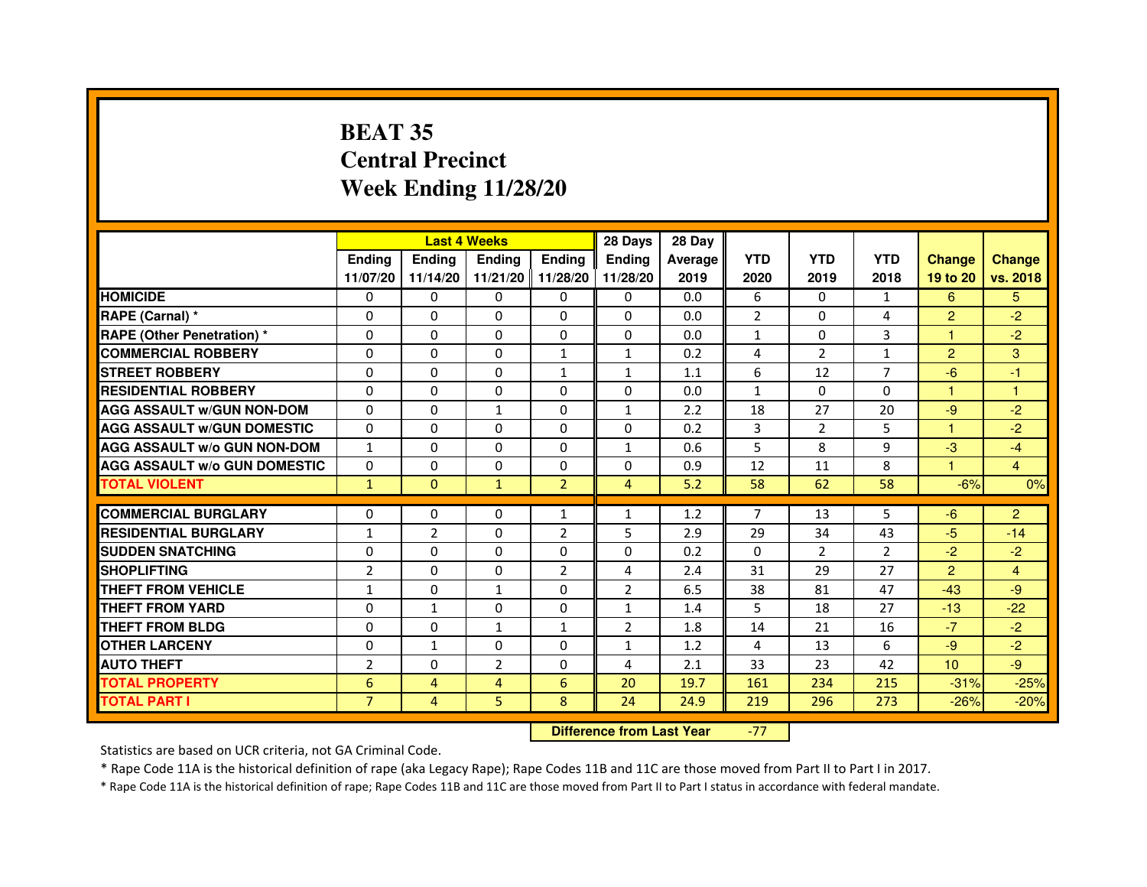# **BEAT 35 Central PrecinctWeek Ending 11/28/20**

|                                     |                | <b>Last 4 Weeks</b> |                   |                | 28 Days        | 28 Day  |                |                |                |                  |                |
|-------------------------------------|----------------|---------------------|-------------------|----------------|----------------|---------|----------------|----------------|----------------|------------------|----------------|
|                                     | <b>Ending</b>  | <b>Ending</b>       | <b>Ending</b>     | <b>Endina</b>  | <b>Endina</b>  | Average | <b>YTD</b>     | <b>YTD</b>     | <b>YTD</b>     | <b>Change</b>    | <b>Change</b>  |
|                                     | 11/07/20       | 11/14/20            | 11/21/20 11/28/20 |                | 11/28/20       | 2019    | 2020           | 2019           | 2018           | 19 to 20         | vs. 2018       |
| <b>HOMICIDE</b>                     | 0              | 0                   | 0                 | 0              | 0              | 0.0     | 6              | 0              | $\mathbf{1}$   | 6                | 5.             |
| RAPE (Carnal) *                     | $\Omega$       | $\Omega$            | $\Omega$          | $\Omega$       | $\Omega$       | 0.0     | $\overline{2}$ | $\Omega$       | 4              | $\overline{2}$   | $-2$           |
| <b>RAPE (Other Penetration) *</b>   | $\Omega$       | $\Omega$            | $\Omega$          | $\Omega$       | $\Omega$       | 0.0     | $\mathbf{1}$   | $\Omega$       | 3              | 1                | $-2$           |
| <b>COMMERCIAL ROBBERY</b>           | 0              | 0                   | $\Omega$          | 1              | 1              | 0.2     | 4              | 2              | $\mathbf{1}$   | $\overline{2}$   | 3              |
| <b>STREET ROBBERY</b>               | $\Omega$       | 0                   | $\Omega$          | $\mathbf{1}$   | 1              | 1.1     | 6              | 12             | 7              | $-6$             | $-1$           |
| <b>RESIDENTIAL ROBBERY</b>          | $\Omega$       | $\Omega$            | $\Omega$          | $\Omega$       | 0              | 0.0     | $\mathbf{1}$   | $\Omega$       | $\Omega$       | 1                | 1              |
| <b>AGG ASSAULT w/GUN NON-DOM</b>    | $\Omega$       | 0                   | $\mathbf{1}$      | 0              | $\mathbf{1}$   | 2.2     | 18             | 27             | 20             | $-9$             | $-2$           |
| <b>AGG ASSAULT W/GUN DOMESTIC</b>   | $\Omega$       | 0                   | 0                 | 0              | 0              | 0.2     | 3              | $\overline{2}$ | 5              | $\mathbf{1}$     | $-2$           |
| <b>AGG ASSAULT W/o GUN NON-DOM</b>  | $\mathbf{1}$   | $\Omega$            | $\Omega$          | $\Omega$       | 1              | 0.6     | 5              | 8              | 9              | $-3$             | $-4$           |
| <b>AGG ASSAULT W/o GUN DOMESTIC</b> | $\Omega$       | $\Omega$            | $\Omega$          | 0              | 0              | 0.9     | 12             | 11             | 8              | 1.               | $\overline{4}$ |
| <b>TOTAL VIOLENT</b>                | $\mathbf{1}$   | $\Omega$            | $\mathbf{1}$      | $\overline{2}$ | 4              | 5.2     | 58             | 62             | 58             | $-6%$            | 0%             |
|                                     |                |                     |                   |                |                |         |                |                |                |                  |                |
| <b>COMMERCIAL BURGLARY</b>          | $\Omega$       | $\Omega$            | $\Omega$          | $\mathbf{1}$   | $\mathbf{1}$   | 1.2     | $\overline{7}$ | 13             | 5              | $-6$             | $\overline{c}$ |
| <b>RESIDENTIAL BURGLARY</b>         | $\mathbf{1}$   | $\overline{2}$      | $\Omega$          | $\overline{2}$ | 5              | 2.9     | 29             | 34             | 43             | $-5$             | $-14$          |
| <b>SUDDEN SNATCHING</b>             | 0              | $\Omega$            | $\Omega$          | 0              | 0              | 0.2     | $\Omega$       | $\overline{2}$ | $\mathfrak{p}$ | $-2$             | $-2$           |
| <b>SHOPLIFTING</b>                  | $\overline{2}$ | $\mathbf 0$         | 0                 | $\overline{2}$ | 4              | 2.4     | 31             | 29             | 27             | $\overline{2}$   | $\overline{4}$ |
| <b>THEFT FROM VEHICLE</b>           | $\mathbf{1}$   | $\Omega$            | $\mathbf{1}$      | $\Omega$       | $\overline{2}$ | 6.5     | 38             | 81             | 47             | $-43$            | $-9$           |
| <b>THEFT FROM YARD</b>              | 0              | $\mathbf{1}$        | $\Omega$          | $\Omega$       | 1              | 1.4     | 5              | 18             | 27             | $-13$            | $-22$          |
| <b>THEFT FROM BLDG</b>              | $\Omega$       | $\Omega$            | $\mathbf{1}$      | 1              | $\overline{2}$ | 1.8     | 14             | 21             | 16             | $-7$             | $-2$           |
| <b>OTHER LARCENY</b>                | $\Omega$       | $\mathbf{1}$        | $\Omega$          | 0              | 1              | 1.2     | 4              | 13             | 6              | $-9$             | $-2$           |
| <b>AUTO THEFT</b>                   | $\overline{2}$ | $\mathbf 0$         | $\overline{2}$    | 0              | 4              | 2.1     | 33             | 23             | 42             | 10 <sup>10</sup> | $-9$           |
| <b>TOTAL PROPERTY</b>               | 6              | 4                   | 4                 | 6              | 20             | 19.7    | 161            | 234            | 215            | $-31%$           | $-25%$         |
| <b>TOTAL PART I</b>                 | $\overline{7}$ | 4                   | 5                 | 8              | 24             | 24.9    | 219            | 296            | 273            | $-26%$           | $-20%$         |

 **Difference from Last Year**-77

Statistics are based on UCR criteria, not GA Criminal Code.

\* Rape Code 11A is the historical definition of rape (aka Legacy Rape); Rape Codes 11B and 11C are those moved from Part II to Part I in 2017.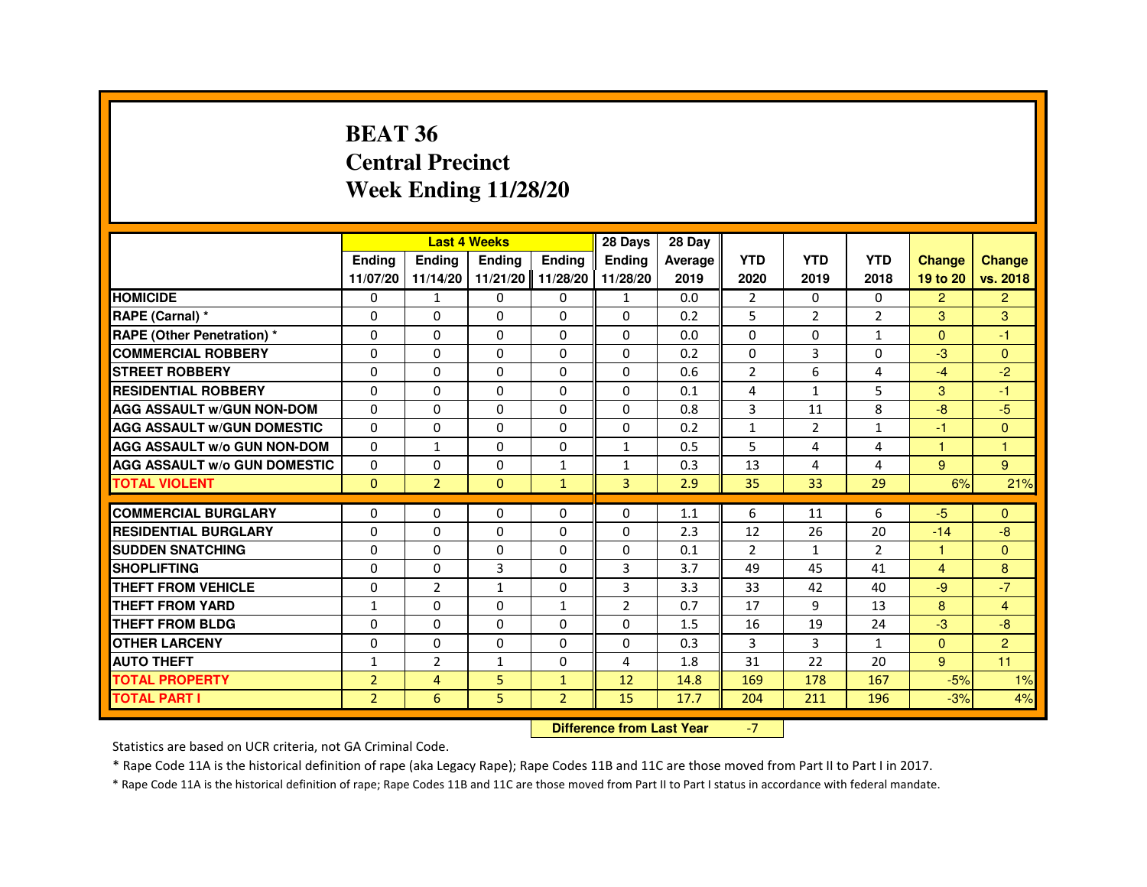#### **BEAT 36 Central PrecinctWeek Ending 11/28/20**

|                                     |                | <b>Last 4 Weeks</b> |               |                   | 28 Days        | 28 Day  |                |               |                |                |                |
|-------------------------------------|----------------|---------------------|---------------|-------------------|----------------|---------|----------------|---------------|----------------|----------------|----------------|
|                                     | <b>Endina</b>  | <b>Endina</b>       | <b>Endina</b> | <b>Endina</b>     | <b>Endina</b>  | Average | <b>YTD</b>     | <b>YTD</b>    | <b>YTD</b>     | <b>Change</b>  | <b>Change</b>  |
|                                     | 11/07/20       | 11/14/20            |               | 11/21/20 11/28/20 | 11/28/20       | 2019    | 2020           | 2019          | 2018           | 19 to 20       | vs. 2018       |
| <b>HOMICIDE</b>                     | $\Omega$       | $\mathbf{1}$        | $\mathbf{0}$  | $\mathbf{0}$      | $\mathbf{1}$   | 0.0     | 2              | $\Omega$      | $\Omega$       | $\overline{2}$ | $\overline{2}$ |
| RAPE (Carnal) *                     | $\Omega$       | $\Omega$            | 0             | $\Omega$          | $\Omega$       | 0.2     | 5              | $\mathcal{P}$ | $\overline{2}$ | 3              | 3              |
| RAPE (Other Penetration) *          | 0              | 0                   | 0             | 0                 | $\Omega$       | 0.0     | 0              | 0             | $\mathbf{1}$   | $\Omega$       | -1             |
| <b>COMMERCIAL ROBBERY</b>           | 0              | $\Omega$            | $\Omega$      | 0                 | 0              | 0.2     | 0              | 3             | 0              | -3             | $\Omega$       |
| <b>STREET ROBBERY</b>               | $\Omega$       | $\Omega$            | $\Omega$      | $\Omega$          | $\Omega$       | 0.6     | $\overline{2}$ | 6             | 4              | $-4$           | $-2$           |
| <b>RESIDENTIAL ROBBERY</b>          | $\Omega$       | $\Omega$            | $\Omega$      | $\Omega$          | $\Omega$       | 0.1     | 4              | $\mathbf{1}$  | 5              | 3              | $-1$           |
| <b>AGG ASSAULT W/GUN NON-DOM</b>    | $\Omega$       | $\Omega$            | $\Omega$      | 0                 | $\Omega$       | 0.8     | 3              | 11            | 8              | -8             | $-5$           |
| <b>AGG ASSAULT W/GUN DOMESTIC</b>   | $\Omega$       | $\mathbf{0}$        | 0             | 0                 | 0              | 0.2     | $\mathbf{1}$   | 2             | $\mathbf{1}$   | -1             | $\Omega$       |
| <b>AGG ASSAULT W/o GUN NON-DOM</b>  | $\Omega$       | $\mathbf{1}$        | $\Omega$      | $\Omega$          | $\mathbf{1}$   | 0.5     | 5              | 4             | 4              |                | -1             |
| <b>AGG ASSAULT W/o GUN DOMESTIC</b> | $\Omega$       | 0                   | $\Omega$      | $\mathbf{1}$      | $\mathbf{1}$   | 0.3     | 13             | 4             | 4              | 9              | 9              |
| <b>TOTAL VIOLENT</b>                | $\Omega$       | $\overline{2}$      | $\mathbf{0}$  | $\mathbf{1}$      | 3              | 2.9     | 35             | 33            | 29             | 6%             | 21%            |
|                                     |                |                     |               |                   |                |         |                |               |                |                |                |
| <b>COMMERCIAL BURGLARY</b>          | 0              | 0                   | 0             | 0                 | 0              | 1.1     | 6              | 11            | 6              | $-5$           | $\Omega$       |
| <b>RESIDENTIAL BURGLARY</b>         | 0              | 0                   | 0             | 0                 | 0              | 2.3     | 12             | 26            | 20             | $-14$          | $-8$           |
| <b>SUDDEN SNATCHING</b>             | $\Omega$       | $\Omega$            | $\Omega$      | $\Omega$          | 0              | 0.1     | $\overline{2}$ | $\mathbf{1}$  | $\overline{2}$ | 1              | $\Omega$       |
| <b>SHOPLIFTING</b>                  | $\Omega$       | $\Omega$            | 3             | $\Omega$          | 3              | 3.7     | 49             | 45            | 41             | $\overline{4}$ | 8              |
| <b>THEFT FROM VEHICLE</b>           | 0              | $\overline{2}$      | $\mathbf{1}$  | 0                 | 3              | 3.3     | 33             | 42            | 40             | $-9$           | $-7$           |
| <b>THEFT FROM YARD</b>              | 1              | 0                   | 0             | 1                 | $\overline{2}$ | 0.7     | 17             | 9             | 13             | 8              | $\overline{4}$ |
| THEFT FROM BLDG                     | 0              | 0                   | $\mathbf 0$   | 0                 | 0              | 1.5     | 16             | 19            | 24             | $-3$           | $-8$           |
| <b>OTHER LARCENY</b>                | $\Omega$       | $\Omega$            | $\Omega$      | $\Omega$          | $\Omega$       | 0.3     | 3              | 3             | $\mathbf{1}$   | $\Omega$       | 2              |
| <b>AUTO THEFT</b>                   | $\mathbf{1}$   | $\overline{2}$      | $\mathbf{1}$  | $\Omega$          | 4              | 1.8     | 31             | 22            | 20             | 9              | 11             |
| <b>TOTAL PROPERTY</b>               | $\overline{2}$ | 4                   | 5             | $\mathbf{1}$      | 12             | 14.8    | 169            | 178           | 167            | $-5%$          | 1%             |
| <b>TOTAL PART I</b>                 | $\overline{2}$ | 6                   | 5             | $\overline{2}$    | 15             | 17.7    | 204            | 211           | 196            | $-3%$          | 4%             |

#### **Difference from Last Year**

-7

Statistics are based on UCR criteria, not GA Criminal Code.

\* Rape Code 11A is the historical definition of rape (aka Legacy Rape); Rape Codes 11B and 11C are those moved from Part II to Part I in 2017.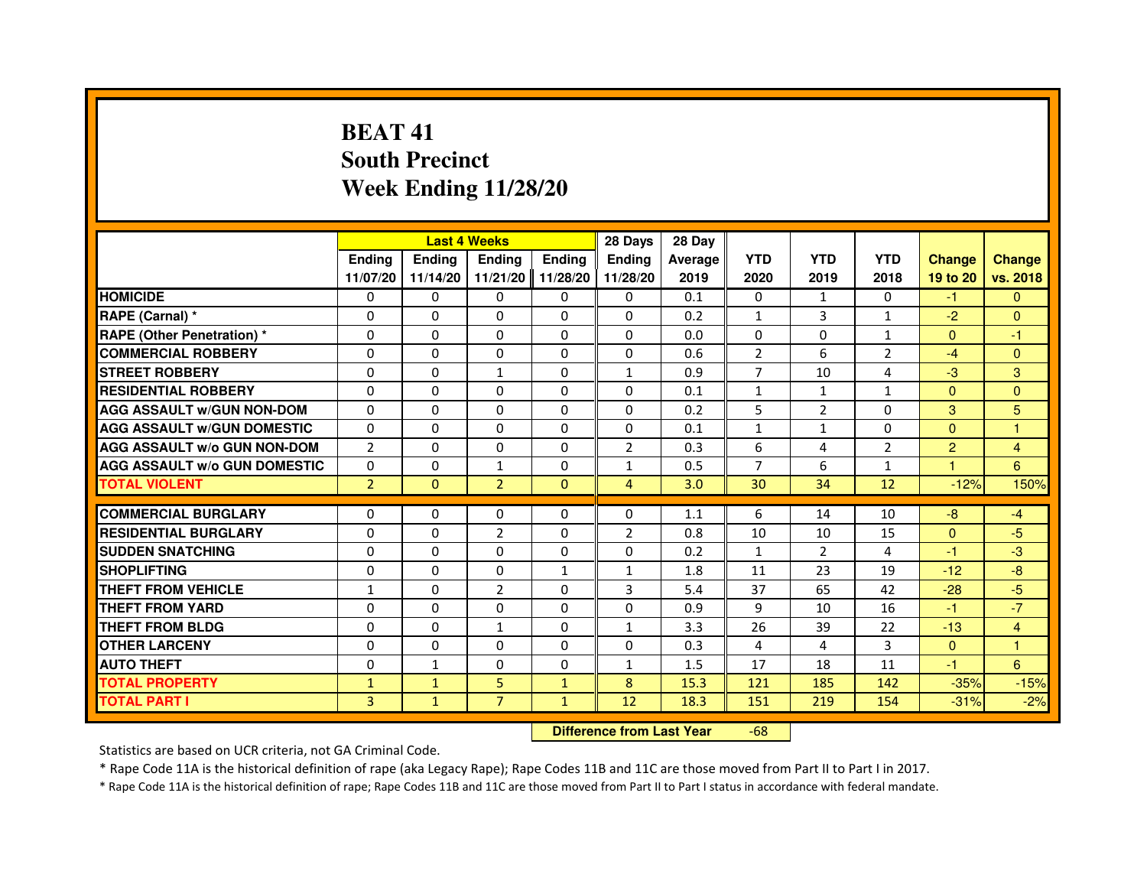# **BEAT 41 South PrecinctWeek Ending 11/28/20**

|                                     |                |               | <b>Last 4 Weeks</b>              |               | 28 Days        | 28 Day  |                |                |                |                      |                |
|-------------------------------------|----------------|---------------|----------------------------------|---------------|----------------|---------|----------------|----------------|----------------|----------------------|----------------|
|                                     | <b>Ending</b>  | <b>Ending</b> | <b>Ending</b>                    | <b>Ending</b> | <b>Endina</b>  | Average | <b>YTD</b>     | <b>YTD</b>     | <b>YTD</b>     | <b>Change</b>        | <b>Change</b>  |
|                                     | 11/07/20       | 11/14/20      | 11/21/20                         | 11/28/20      | 11/28/20       | 2019    | 2020           | 2019           | 2018           | 19 to 20             | vs. 2018       |
| <b>HOMICIDE</b>                     | $\Omega$       | $\Omega$      | $\Omega$                         | $\mathbf{0}$  | $\mathbf{0}$   | 0.1     | 0              | $\mathbf{1}$   | $\Omega$       | $-1$                 | $\Omega$       |
| RAPE (Carnal) *                     | 0              | $\Omega$      | 0                                | $\Omega$      | $\Omega$       | 0.2     | 1              | 3              | $\mathbf{1}$   | $-2$                 | $\Omega$       |
| <b>RAPE (Other Penetration) *</b>   | $\Omega$       | $\Omega$      | $\Omega$                         | $\Omega$      | $\Omega$       | 0.0     | $\Omega$       | $\Omega$       | $\mathbf{1}$   | $\Omega$             | $-1$           |
| <b>COMMERCIAL ROBBERY</b>           | 0              | $\Omega$      | $\Omega$                         | $\Omega$      | 0              | 0.6     | $\overline{2}$ | 6              | $\overline{2}$ | $-4$                 | $\Omega$       |
| <b>STREET ROBBERY</b>               | $\Omega$       | $\Omega$      | $\mathbf{1}$                     | $\Omega$      | $\mathbf{1}$   | 0.9     | $\overline{7}$ | 10             | 4              | $-3$                 | 3              |
| <b>RESIDENTIAL ROBBERY</b>          | $\Omega$       | $\Omega$      | 0                                | $\Omega$      | 0              | 0.1     | $\mathbf{1}$   | $\mathbf{1}$   | $\mathbf{1}$   | $\Omega$             | $\Omega$       |
| <b>AGG ASSAULT W/GUN NON-DOM</b>    | $\Omega$       | $\Omega$      | 0                                | $\Omega$      | $\Omega$       | 0.2     | 5              | $\overline{2}$ | $\Omega$       | 3                    | 5              |
| <b>AGG ASSAULT W/GUN DOMESTIC</b>   | $\Omega$       | $\Omega$      | $\Omega$                         | $\Omega$      | $\Omega$       | 0.1     | $\mathbf{1}$   | $\mathbf{1}$   | $\Omega$       | $\Omega$             | $\mathbf{1}$   |
| <b>AGG ASSAULT w/o GUN NON-DOM</b>  | $\overline{2}$ | 0             | 0                                | $\mathbf{0}$  | 2              | 0.3     | 6              | 4              | 2              | $\overline{2}$       | 4              |
| <b>AGG ASSAULT w/o GUN DOMESTIC</b> | $\Omega$       | 0             | $\mathbf{1}$                     | $\Omega$      | $\mathbf{1}$   | 0.5     | $\overline{7}$ | 6              | $\mathbf{1}$   | $\blacktriangleleft$ | 6              |
| <b>TOTAL VIOLENT</b>                | $\overline{2}$ | $\mathbf{0}$  | $\overline{2}$                   | $\mathbf{0}$  | 4              | 3.0     | 30             | 34             | 12             | $-12%$               | 150%           |
| <b>COMMERCIAL BURGLARY</b>          | $\Omega$       | 0             | 0                                | $\Omega$      | 0              | 1.1     | 6              | 14             | 10             | $-8$                 | $-4$           |
| <b>RESIDENTIAL BURGLARY</b>         | $\Omega$       | $\Omega$      | $\overline{2}$                   | $\Omega$      | $\overline{2}$ | 0.8     | 10             | 10             | 15             | $\Omega$             | $-5$           |
| <b>SUDDEN SNATCHING</b>             | $\Omega$       | $\Omega$      | $\Omega$                         | $\Omega$      | $\Omega$       | 0.2     | $\mathbf{1}$   | $\mathcal{P}$  | 4              | $-1$                 | $-3$           |
| <b>SHOPLIFTING</b>                  | 0              | 0             | 0                                | 1             | 1              | 1.8     | 11             | 23             | 19             | $-12$                | $-8$           |
| <b>THEFT FROM VEHICLE</b>           | 1              | $\Omega$      | $\overline{2}$                   | $\Omega$      | 3              | 5.4     | 37             | 65             | 42             | $-28$                | $-5$           |
| <b>THEFT FROM YARD</b>              | 0              | 0             | 0                                | 0             | 0              | 0.9     | 9              | 10             | 16             | $-1$                 | $-7$           |
| <b>THEFT FROM BLDG</b>              | $\Omega$       | $\Omega$      | $\mathbf{1}$                     | $\Omega$      | $\mathbf{1}$   | 3.3     | 26             | 39             | 22             | $-13$                | $\overline{4}$ |
| <b>OTHER LARCENY</b>                | 0              | $\Omega$      | 0                                | $\Omega$      | $\Omega$       | 0.3     | 4              | 4              | 3              | $\mathbf{0}$         | 1              |
| <b>AUTO THEFT</b>                   | $\Omega$       | $\mathbf{1}$  | $\Omega$                         | $\Omega$      | $\mathbf{1}$   | 1.5     | 17             | 18             | 11             | $-1$                 | 6              |
| <b>TOTAL PROPERTY</b>               | $\mathbf{1}$   | $\mathbf{1}$  | 5                                | $\mathbf{1}$  | 8              | 15.3    | 121            | 185            | 142            | $-35%$               | $-15%$         |
| <b>TOTAL PART I</b>                 | 3              | $\mathbf{1}$  | $\overline{7}$                   | $\mathbf{1}$  | 12             | 18.3    | 151            | 219            | 154            | $-31%$               | $-2%$          |
|                                     |                |               | <b>Difference from Last Year</b> |               | $-68$          |         |                |                |                |                      |                |

 **Difference from Last Year**

Statistics are based on UCR criteria, not GA Criminal Code.

\* Rape Code 11A is the historical definition of rape (aka Legacy Rape); Rape Codes 11B and 11C are those moved from Part II to Part I in 2017.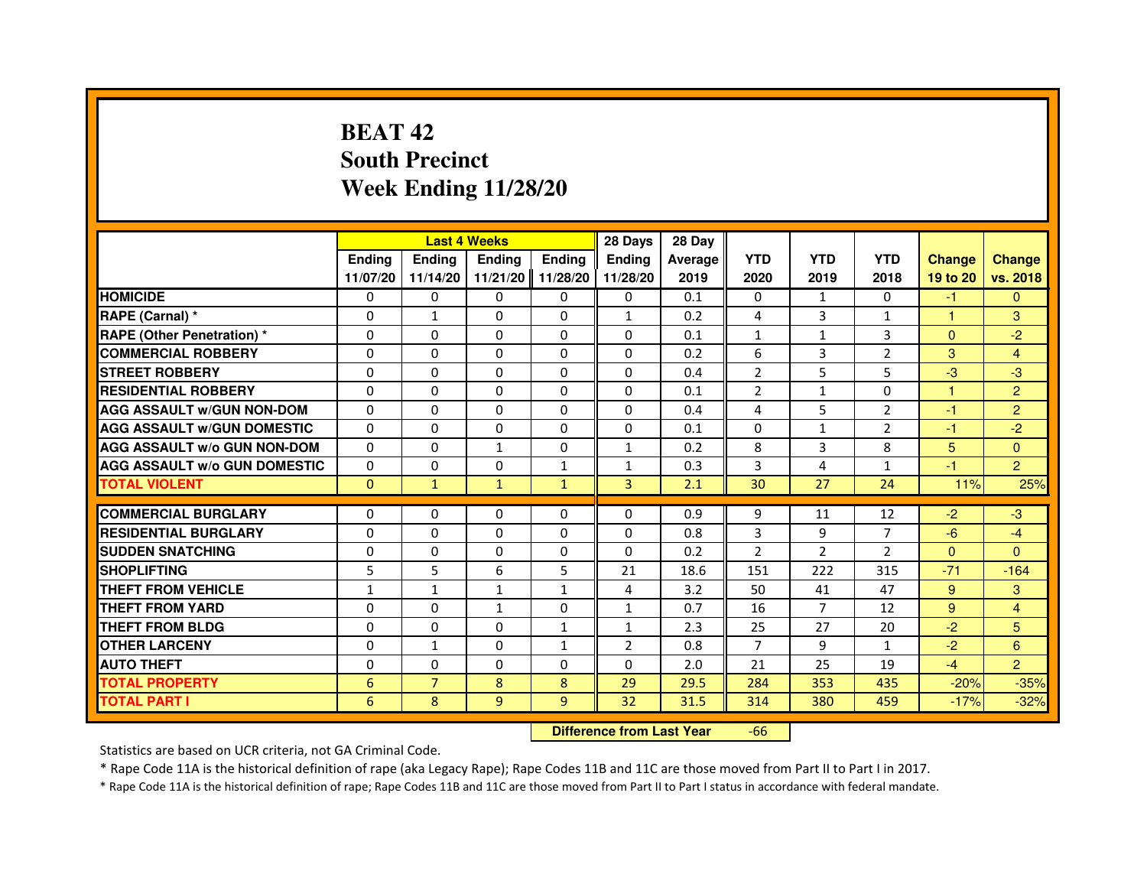# **BEAT 42 South PrecinctWeek Ending 11/28/20**

|                                     |                 |                | <b>Last 4 Weeks</b>              |               | 28 Days       | 28 Day  |                |                |                |                |                  |
|-------------------------------------|-----------------|----------------|----------------------------------|---------------|---------------|---------|----------------|----------------|----------------|----------------|------------------|
|                                     | <b>Ending</b>   | Ending         | <b>Ending</b>                    | <b>Ending</b> | <b>Ending</b> | Average | <b>YTD</b>     | <b>YTD</b>     | <b>YTD</b>     | <b>Change</b>  | <b>Change</b>    |
|                                     | 11/07/20        | 11/14/20       | 11/21/20                         | 11/28/20      | 11/28/20      | 2019    | 2020           | 2019           | 2018           | 19 to 20       | vs. 2018         |
| <b>HOMICIDE</b>                     | $\Omega$        | $\Omega$       | $\Omega$                         | 0             | 0             | 0.1     | 0              | $\mathbf{1}$   | $\Omega$       | $-1$           | $\mathbf{0}$     |
| RAPE (Carnal) *                     | 0               | 1              | 0                                | 0             | $\mathbf{1}$  | 0.2     | 4              | 3              | 1              | 1              | 3                |
| RAPE (Other Penetration) *          | $\Omega$        | 0              | $\Omega$                         | $\Omega$      | $\Omega$      | 0.1     | $\mathbf{1}$   | $\mathbf{1}$   | 3              | $\Omega$       | $-2$             |
| <b>COMMERCIAL ROBBERY</b>           | $\Omega$        | $\Omega$       | $\Omega$                         | $\Omega$      | $\Omega$      | 0.2     | 6              | 3              | $\overline{2}$ | 3              | $\overline{4}$   |
| <b>STREET ROBBERY</b>               | $\Omega$        | $\Omega$       | $\Omega$                         | $\Omega$      | $\Omega$      | 0.4     | $\overline{2}$ | 5              | 5              | $-3$           | $-3$             |
| <b>RESIDENTIAL ROBBERY</b>          | 0               | 0              | $\Omega$                         | 0             | 0             | 0.1     | $\overline{2}$ | $\mathbf{1}$   | $\Omega$       | 1              | $\overline{2}$   |
| <b>AGG ASSAULT W/GUN NON-DOM</b>    | $\Omega$        | $\Omega$       | $\Omega$                         | $\Omega$      | $\Omega$      | 0.4     | 4              | 5              | $\overline{2}$ | $-1$           | $\overline{2}$   |
| <b>AGG ASSAULT W/GUN DOMESTIC</b>   | $\Omega$        | $\Omega$       | $\Omega$                         | $\Omega$      | $\Omega$      | 0.1     | $\Omega$       | $\mathbf{1}$   | $\overline{2}$ | $-1$           | $-2$             |
| <b>AGG ASSAULT W/o GUN NON-DOM</b>  | $\Omega$        | $\Omega$       | $\mathbf{1}$                     | $\Omega$      | $\mathbf{1}$  | 0.2     | 8              | 3              | 8              | $5\phantom{.}$ | $\Omega$         |
| <b>AGG ASSAULT w/o GUN DOMESTIC</b> | $\Omega$        | $\Omega$       | $\Omega$                         | $\mathbf{1}$  | $\mathbf{1}$  | 0.3     | 3              | 4              | $\mathbf{1}$   | $-1$           | $\overline{2}$   |
| <b>TOTAL VIOLENT</b>                | $\mathbf{0}$    | $\mathbf{1}$   | $\mathbf{1}$                     | $\mathbf{1}$  | 3             | 2.1     | 30             | 27             | 24             | 11%            | 25%              |
| <b>COMMERCIAL BURGLARY</b>          | 0               | 0              | 0                                | 0             | 0             | 0.9     | 9              | 11             | 12             | $-2$           | $-3$             |
| <b>RESIDENTIAL BURGLARY</b>         | 0               | $\Omega$       | $\Omega$                         | $\Omega$      | $\Omega$      | 0.8     | 3              | 9              | $\overline{7}$ | $-6$           | $-4$             |
| <b>SUDDEN SNATCHING</b>             | $\Omega$        | $\Omega$       | $\Omega$                         | $\Omega$      | $\Omega$      | 0.2     | $\overline{2}$ | $\overline{2}$ | $\overline{2}$ | $\Omega$       | $\Omega$         |
| <b>SHOPLIFTING</b>                  | 5               | 5              | 6                                | 5             | 21            | 18.6    | 151            | 222            | 315            | $-71$          | $-164$           |
| THEFT FROM VEHICLE                  | 1               | $\mathbf{1}$   | $\mathbf{1}$                     | $\mathbf{1}$  | 4             | 3.2     | 50             | 41             | 47             | 9              | 3                |
| <b>THEFT FROM YARD</b>              | $\Omega$        | $\Omega$       | $\mathbf{1}$                     | $\Omega$      | $\mathbf{1}$  | 0.7     | 16             | $\overline{7}$ | 12             | 9              | $\overline{4}$   |
| <b>THEFT FROM BLDG</b>              | $\Omega$        | $\Omega$       | $\Omega$                         | $\mathbf{1}$  | $\mathbf{1}$  | 2.3     | 25             | 27             | 20             | $-2$           | 5                |
| <b>OTHER LARCENY</b>                | 0               | $\mathbf{1}$   | 0                                | 1             | 2             | 0.8     | $\overline{7}$ | 9              | $\mathbf{1}$   | $-2$           | $6 \overline{6}$ |
| <b>AUTO THEFT</b>                   | $\Omega$        | $\Omega$       | $\Omega$                         | $\Omega$      | $\Omega$      | 2.0     | 21             | 25             | 19             | $-4$           | $\overline{2}$   |
| <b>TOTAL PROPERTY</b>               | $6\phantom{1}6$ | $\overline{7}$ | 8                                | 8             | 29            | 29.5    | 284            | 353            | 435            | $-20%$         | $-35%$           |
| <b>TOTAL PART I</b>                 | 6               | 8              | 9                                | 9             | 32            | 31.5    | 314            | 380            | 459            | $-17%$         | $-32%$           |
|                                     |                 |                | <b>Difference from Last Year</b> |               | $-66$         |         |                |                |                |                |                  |

 **Difference from Last Year**

Statistics are based on UCR criteria, not GA Criminal Code.

\* Rape Code 11A is the historical definition of rape (aka Legacy Rape); Rape Codes 11B and 11C are those moved from Part II to Part I in 2017.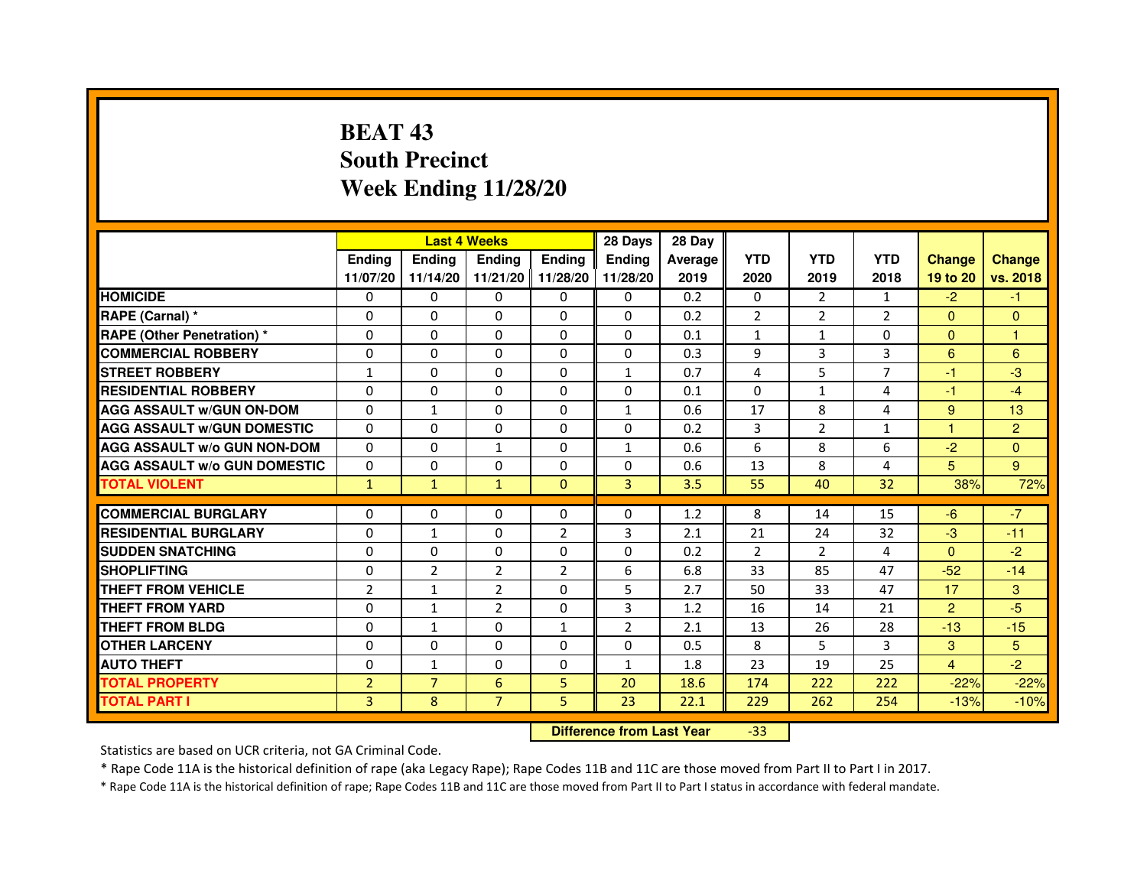# **BEAT 43 South PrecinctWeek Ending 11/28/20**

|                                     |                |                | <b>Last 4 Weeks</b> |                | 28 Days       | 28 Day  |                |                |                |                |               |
|-------------------------------------|----------------|----------------|---------------------|----------------|---------------|---------|----------------|----------------|----------------|----------------|---------------|
|                                     | <b>Endina</b>  | Ending         | <b>Endina</b>       | <b>Ending</b>  | <b>Endina</b> | Average | <b>YTD</b>     | <b>YTD</b>     | <b>YTD</b>     | <b>Change</b>  | <b>Change</b> |
|                                     | 11/07/20       | 11/14/20       | 11/21/20 11/28/20   |                | 11/28/20      | 2019    | 2020           | 2019           | 2018           | 19 to 20       | vs. 2018      |
| <b>HOMICIDE</b>                     | 0              | 0              | $\mathbf{0}$        | 0              | 0             | 0.2     | $\mathbf{0}$   | $\overline{2}$ | 1              | $-2$           | $-1$          |
| RAPE (Carnal) *                     | $\Omega$       | $\Omega$       | $\Omega$            | $\Omega$       | $\Omega$      | 0.2     | $\overline{2}$ | $\overline{2}$ | $\overline{2}$ | $\Omega$       | $\Omega$      |
| <b>RAPE (Other Penetration) *</b>   | $\Omega$       | $\Omega$       | $\Omega$            | $\Omega$       | 0             | 0.1     | $\mathbf{1}$   | $\mathbf{1}$   | $\Omega$       | $\Omega$       | $\mathbf{1}$  |
| <b>COMMERCIAL ROBBERY</b>           | 0              | 0              | 0                   | 0              | 0             | 0.3     | 9              | 3              | 3              | 6              | 6             |
| <b>STREET ROBBERY</b>               | 1              | $\Omega$       | $\Omega$            | 0              | 1             | 0.7     | 4              | 5              | 7              | $-1$           | -3            |
| <b>RESIDENTIAL ROBBERY</b>          | 0              | 0              | 0                   | 0              | 0             | 0.1     | $\Omega$       | $\mathbf{1}$   | 4              | $-1$           | $-4$          |
| <b>AGG ASSAULT w/GUN ON-DOM</b>     | $\Omega$       | $\mathbf{1}$   | $\mathbf 0$         | 0              | $\mathbf{1}$  | 0.6     | 17             | 8              | 4              | 9              | 13            |
| <b>AGG ASSAULT W/GUN DOMESTIC</b>   | 0              | 0              | 0                   | 0              | 0             | 0.2     | 3              | $\overline{2}$ | $\mathbf{1}$   | 1              | 2             |
| <b>AGG ASSAULT W/o GUN NON-DOM</b>  | $\Omega$       | $\Omega$       | $\mathbf{1}$        | 0              | 1             | 0.6     | 6              | 8              | 6              | $-2$           | $\Omega$      |
| <b>AGG ASSAULT W/o GUN DOMESTIC</b> | $\Omega$       | $\Omega$       | $\Omega$            | 0              | 0             | 0.6     | 13             | 8              | 4              | 5              | 9             |
| <b>TOTAL VIOLENT</b>                | $\mathbf{1}$   | $\mathbf{1}$   | $\mathbf{1}$        | $\Omega$       | 3             | 3.5     | 55             | 40             | 32             | 38%            | 72%           |
|                                     |                |                |                     |                |               |         |                |                |                |                |               |
| <b>COMMERCIAL BURGLARY</b>          | 0              | 0              | 0                   | 0              | 0             | 1.2     | 8              | 14             | 15             | -6             | $-7$          |
| <b>RESIDENTIAL BURGLARY</b>         | 0              | $\mathbf{1}$   | 0                   | $\overline{2}$ | 3             | 2.1     | 21             | 24             | 32             | $-3$           | $-11$         |
| <b>SUDDEN SNATCHING</b>             | 0              | $\Omega$       | 0                   | 0              | 0             | 0.2     | $\overline{2}$ | $\overline{2}$ | 4              | $\Omega$       | $-2$          |
| <b>SHOPLIFTING</b>                  | $\Omega$       | $\overline{2}$ | $\overline{2}$      | $\overline{2}$ | 6             | 6.8     | 33             | 85             | 47             | $-52$          | $-14$         |
| <b>THEFT FROM VEHICLE</b>           | $\overline{2}$ | $\mathbf{1}$   | $\overline{2}$      | $\Omega$       | 5             | 2.7     | 50             | 33             | 47             | 17             | 3             |
| <b>THEFT FROM YARD</b>              | 0              | $\mathbf{1}$   | $\overline{2}$      | $\Omega$       | 3             | 1.2     | 16             | 14             | 21             | $\overline{2}$ | $-5$          |
| <b>THEFT FROM BLDG</b>              | 0              | $\mathbf{1}$   | 0                   | 1              | 2             | 2.1     | 13             | 26             | 28             | $-13$          | $-15$         |
| <b>OTHER LARCENY</b>                | 0              | $\Omega$       | $\Omega$            | 0              | $\Omega$      | 0.5     | 8              | 5              | 3              | 3              | 5             |
| <b>AUTO THEFT</b>                   | $\mathbf 0$    | 1              | $\Omega$            | 0              | $\mathbf{1}$  | 1.8     | 23             | 19             | 25             | $\overline{4}$ | $-2$          |
| <b>TOTAL PROPERTY</b>               | $\overline{2}$ | $\overline{7}$ | 6                   | 5              | 20            | 18.6    | 174            | 222            | 222            | $-22%$         | $-22%$        |
| <b>TOTAL PART I</b>                 | $\overline{3}$ | 8              | $\overline{7}$      | 5              | 23            | 22.1    | 229            | 262            | 254            | $-13%$         | $-10%$        |

 **Difference from Last Year**-33

Statistics are based on UCR criteria, not GA Criminal Code.

\* Rape Code 11A is the historical definition of rape (aka Legacy Rape); Rape Codes 11B and 11C are those moved from Part II to Part I in 2017.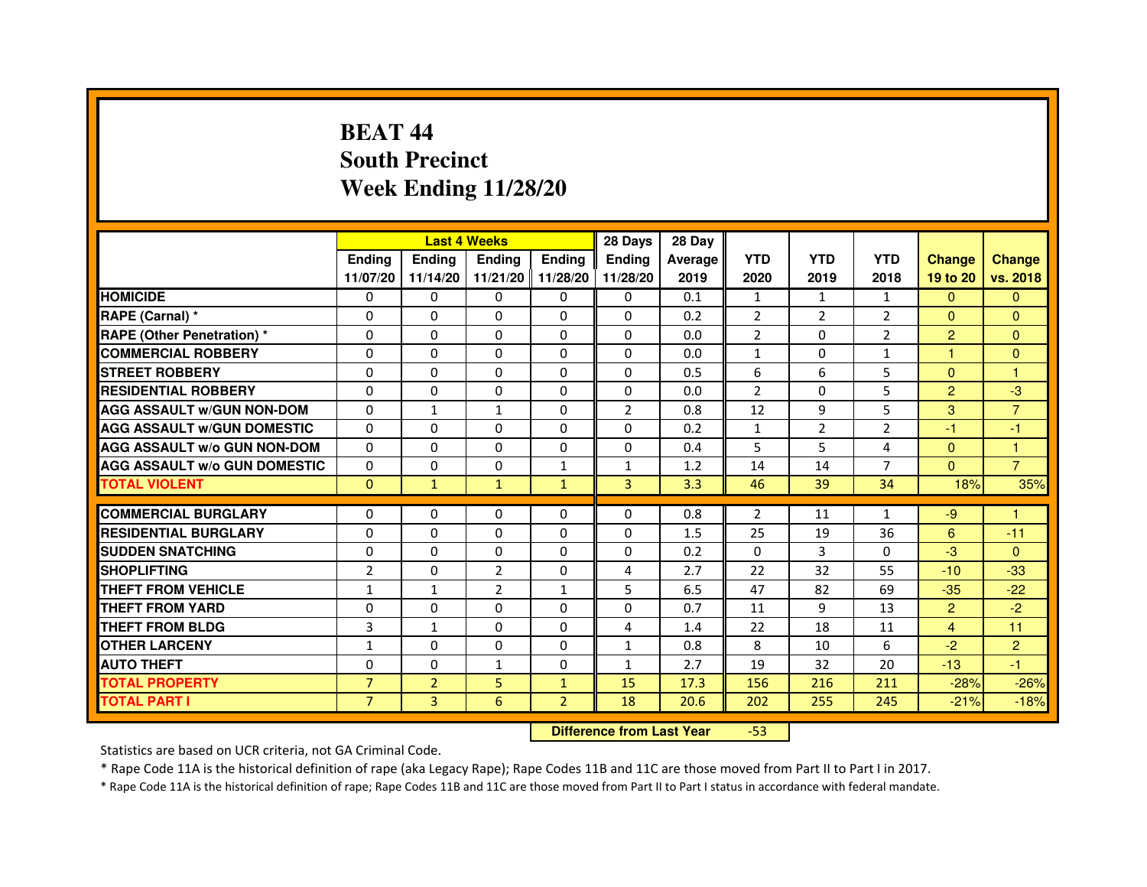# **BEAT 44 South PrecinctWeek Ending 11/28/20**

|                                     |                |                | <b>Last 4 Weeks</b> |                | 28 Days        | 28 Day  |                |                |                |                |                |
|-------------------------------------|----------------|----------------|---------------------|----------------|----------------|---------|----------------|----------------|----------------|----------------|----------------|
|                                     | <b>Endina</b>  | Ending         | <b>Endina</b>       | <b>Ending</b>  | <b>Endina</b>  | Average | <b>YTD</b>     | <b>YTD</b>     | <b>YTD</b>     | <b>Change</b>  | <b>Change</b>  |
|                                     | 11/07/20       | 11/14/20       | 11/21/20 11/28/20   |                | 11/28/20       | 2019    | 2020           | 2019           | 2018           | 19 to 20       | vs. 2018       |
| <b>HOMICIDE</b>                     | 0              | 0              | $\mathbf{0}$        | 0              | 0              | 0.1     | $\mathbf{1}$   | $\mathbf{1}$   | $\mathbf{1}$   | $\Omega$       | $\Omega$       |
| RAPE (Carnal) *                     | $\Omega$       | $\Omega$       | $\mathbf 0$         | $\Omega$       | $\Omega$       | 0.2     | $\overline{2}$ | $\overline{2}$ | $\overline{2}$ | $\Omega$       | $\Omega$       |
| <b>RAPE (Other Penetration) *</b>   | 0              | 0              | $\Omega$            | $\Omega$       | 0              | 0.0     | $\overline{2}$ | 0              | $\overline{2}$ | $\overline{2}$ | $\Omega$       |
| <b>COMMERCIAL ROBBERY</b>           | 0              | $\Omega$       | 0                   | $\Omega$       | 0              | 0.0     | $\mathbf{1}$   | 0              | 1              | 1              | $\Omega$       |
| <b>STREET ROBBERY</b>               | $\Omega$       | 0              | $\Omega$            | 0              | 0              | 0.5     | 6              | 6              | 5              | $\Omega$       | 1              |
| <b>RESIDENTIAL ROBBERY</b>          | 0              | 0              | 0                   | 0              | 0              | 0.0     | $\overline{2}$ | $\Omega$       | 5              | $\overline{2}$ | -3             |
| <b>AGG ASSAULT w/GUN NON-DOM</b>    | $\Omega$       | $\mathbf{1}$   | $\mathbf{1}$        | $\Omega$       | $\overline{2}$ | 0.8     | 12             | 9              | 5              | 3              | $\overline{7}$ |
| <b>AGG ASSAULT W/GUN DOMESTIC</b>   | $\Omega$       | $\Omega$       | $\Omega$            | 0              | $\Omega$       | 0.2     | $\mathbf{1}$   | $\overline{2}$ | $\overline{2}$ | $-1$           | $-1$           |
| <b>AGG ASSAULT W/o GUN NON-DOM</b>  | $\Omega$       | 0              | $\Omega$            | 0              | $\Omega$       | 0.4     | 5              | 5              | 4              | $\Omega$       | 1              |
| <b>AGG ASSAULT W/o GUN DOMESTIC</b> | $\Omega$       | $\Omega$       | $\Omega$            | $\mathbf{1}$   | $\mathbf{1}$   | 1.2     | 14             | 14             | 7              | $\Omega$       | $\overline{7}$ |
| <b>TOTAL VIOLENT</b>                | $\mathbf{0}$   | $\mathbf{1}$   | $\mathbf{1}$        | $\mathbf{1}$   | 3              | 3.3     | 46             | 39             | 34             | 18%            | 35%            |
|                                     |                |                |                     |                |                |         |                |                |                |                |                |
| <b>COMMERCIAL BURGLARY</b>          | 0              | 0              | 0                   | 0              | 0              | 0.8     | 2              | 11             | $\mathbf{1}$   | $-9$           | 1              |
| <b>RESIDENTIAL BURGLARY</b>         | 0              | 0              | 0                   | 0              | 0              | 1.5     | 25             | 19             | 36             | 6              | $-11$          |
| <b>SUDDEN SNATCHING</b>             | $\Omega$       | $\Omega$       | $\Omega$            | 0              | 0              | 0.2     | $\Omega$       | 3              | $\Omega$       | $-3$           | $\Omega$       |
| <b>SHOPLIFTING</b>                  | $\overline{2}$ | $\Omega$       | $\overline{2}$      | $\Omega$       | 4              | 2.7     | 22             | 32             | 55             | $-10$          | $-33$          |
| THEFT FROM VEHICLE                  | $\mathbf{1}$   | $\mathbf{1}$   | $\overline{2}$      | $\mathbf{1}$   | 5              | 6.5     | 47             | 82             | 69             | $-35$          | $-22$          |
| <b>THEFT FROM YARD</b>              | 0              | $\Omega$       | $\Omega$            | 0              | $\Omega$       | 0.7     | 11             | 9              | 13             | $\overline{2}$ | $-2$           |
| <b>THEFT FROM BLDG</b>              | 3              | $\mathbf{1}$   | $\Omega$            | 0              | 4              | 1.4     | 22             | 18             | 11             | $\overline{4}$ | 11             |
| <b>OTHER LARCENY</b>                | $\mathbf{1}$   | $\Omega$       | $\Omega$            | $\Omega$       | $\mathbf{1}$   | 0.8     | 8              | 10             | 6              | $-2$           | $\overline{2}$ |
| <b>AUTO THEFT</b>                   | $\Omega$       | $\Omega$       | $\mathbf{1}$        | $\Omega$       | $\mathbf{1}$   | 2.7     | 19             | 32             | 20             | $-13$          | $-1$           |
| <b>TOTAL PROPERTY</b>               | $\overline{7}$ | $\overline{2}$ | 5                   | $\mathbf{1}$   | 15             | 17.3    | 156            | 216            | 211            | $-28%$         | $-26%$         |
| <b>TOTAL PART I</b>                 | $\overline{7}$ | 3              | 6                   | $\overline{2}$ | 18             | 20.6    | 202            | 255            | 245            | $-21%$         | $-18%$         |

 **Difference from Last Year**-53

Statistics are based on UCR criteria, not GA Criminal Code.

\* Rape Code 11A is the historical definition of rape (aka Legacy Rape); Rape Codes 11B and 11C are those moved from Part II to Part I in 2017.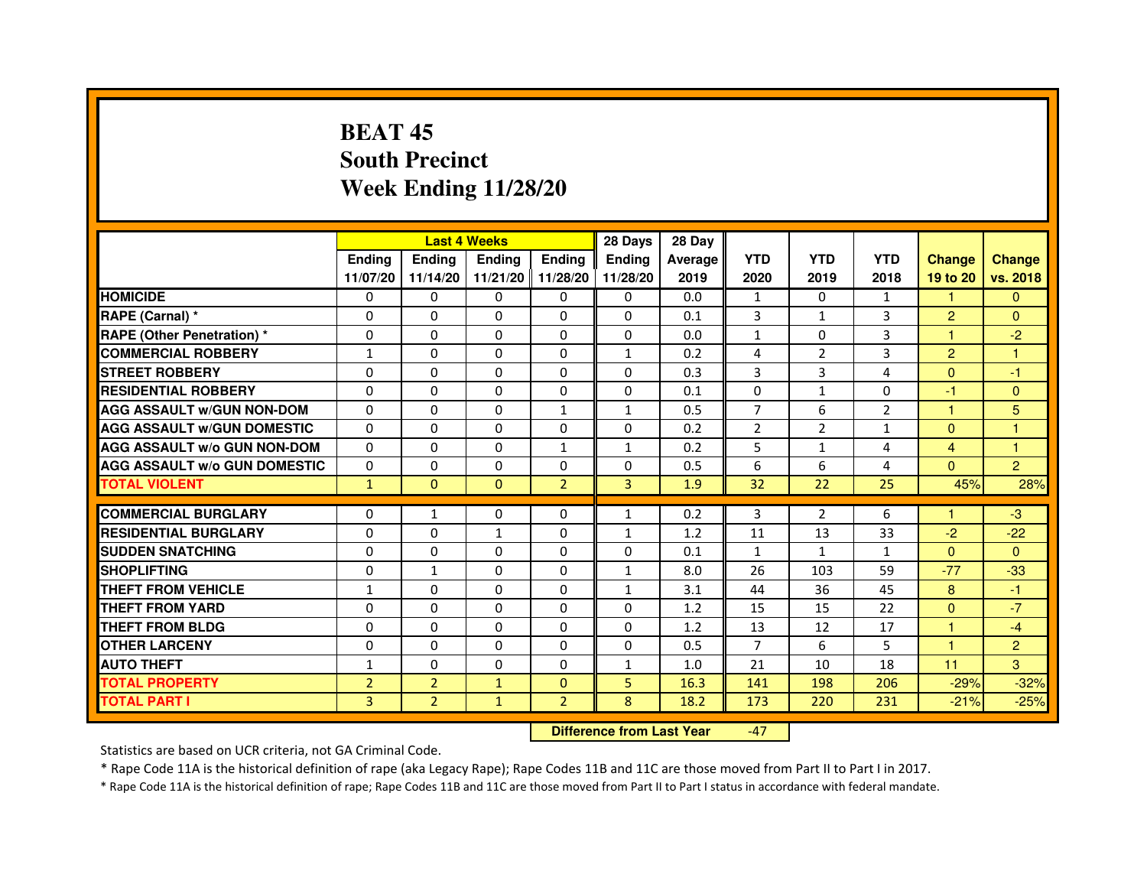# **BEAT 45 South PrecinctWeek Ending 11/28/20**

|                                     |                | <b>Last 4 Weeks</b> |               |                   | 28 Days       | 28 Day  |                |                |                |                |                |
|-------------------------------------|----------------|---------------------|---------------|-------------------|---------------|---------|----------------|----------------|----------------|----------------|----------------|
|                                     | <b>Ending</b>  | <b>Endina</b>       | <b>Endina</b> | <b>Ending</b>     | <b>Endina</b> | Average | <b>YTD</b>     | <b>YTD</b>     | <b>YTD</b>     | <b>Change</b>  | <b>Change</b>  |
|                                     | 11/07/20       | 11/14/20            |               | 11/21/20 11/28/20 | 11/28/20      | 2019    | 2020           | 2019           | 2018           | 19 to 20       | vs. 2018       |
| <b>HOMICIDE</b>                     | 0              | 0                   | 0             | 0                 | 0             | 0.0     | $\mathbf{1}$   | 0              | 1              | $\mathbf{1}$   | $\mathbf{0}$   |
| RAPE (Carnal) *                     | $\Omega$       | $\Omega$            | $\Omega$      | $\Omega$          | $\Omega$      | 0.1     | 3              | $\mathbf{1}$   | 3              | $\overline{2}$ | $\Omega$       |
| <b>RAPE (Other Penetration) *</b>   | 0              | 0                   | $\Omega$      | $\Omega$          | $\Omega$      | 0.0     | $\mathbf{1}$   | $\Omega$       | 3              | 1              | $-2$           |
| <b>COMMERCIAL ROBBERY</b>           | 1              | 0                   | 0             | $\Omega$          | $\mathbf{1}$  | 0.2     | 4              | 2              | 3              | $\overline{2}$ | 1              |
| <b>STREET ROBBERY</b>               | 0              | $\Omega$            | 0             | $\Omega$          | 0             | 0.3     | 3              | 3              | 4              | $\Omega$       | $-1$           |
| <b>RESIDENTIAL ROBBERY</b>          | 0              | $\Omega$            | 0             | 0                 | 0             | 0.1     | 0              | $\mathbf{1}$   | 0              | $-1$           | $\Omega$       |
| <b>AGG ASSAULT W/GUN NON-DOM</b>    | $\Omega$       | $\mathbf 0$         | $\Omega$      | $\mathbf{1}$      | $\mathbf{1}$  | 0.5     | $\overline{7}$ | 6              | $\overline{2}$ | $\mathbf{1}$   | 5              |
| <b>AGG ASSAULT W/GUN DOMESTIC</b>   | $\Omega$       | $\Omega$            | 0             | 0                 | 0             | 0.2     | $\overline{2}$ | $\overline{2}$ | $\mathbf{1}$   | $\Omega$       | $\overline{1}$ |
| <b>AGG ASSAULT W/o GUN NON-DOM</b>  | $\Omega$       | 0                   | $\Omega$      | $\mathbf{1}$      | $\mathbf{1}$  | 0.2     | 5              | $\mathbf{1}$   | 4              | $\overline{4}$ | 1              |
| <b>AGG ASSAULT W/o GUN DOMESTIC</b> | $\Omega$       | 0                   | 0             | $\Omega$          | $\Omega$      | 0.5     | 6              | 6              | $\overline{4}$ | $\Omega$       | $\overline{2}$ |
| <b>TOTAL VIOLENT</b>                | $\mathbf{1}$   | $\Omega$            | $\Omega$      | $\overline{2}$    | 3             | 1.9     | 32             | 22             | 25             | 45%            | 28%            |
|                                     |                |                     |               |                   |               |         |                |                |                |                |                |
| <b>COMMERCIAL BURGLARY</b>          | 0              | $\mathbf{1}$        | $\Omega$      | 0                 | $\mathbf{1}$  | 0.2     | 3              | 2              | 6              | 1.             | $-3$           |
| <b>RESIDENTIAL BURGLARY</b>         | 0              | 0                   | 1             | $\Omega$          | 1             | 1.2     | 11             | 13             | 33             | $-2$           | $-22$          |
| <b>SUDDEN SNATCHING</b>             | 0              | 0                   | $\Omega$      | $\Omega$          | $\Omega$      | 0.1     | $\mathbf{1}$   | $\mathbf{1}$   | 1              | $\Omega$       | $\Omega$       |
| <b>SHOPLIFTING</b>                  | $\mathbf 0$    | $\mathbf{1}$        | $\Omega$      | $\Omega$          | $\mathbf{1}$  | 8.0     | 26             | 103            | 59             | $-77$          | $-33$          |
| <b>THEFT FROM VEHICLE</b>           | $\mathbf{1}$   | $\Omega$            | $\Omega$      | $\Omega$          | $\mathbf{1}$  | 3.1     | 44             | 36             | 45             | 8              | $-1$           |
| <b>THEFT FROM YARD</b>              | 0              | $\Omega$            | $\Omega$      | $\Omega$          | $\Omega$      | 1.2     | 15             | 15             | 22             | $\mathbf{0}$   | $-7$           |
| <b>THEFT FROM BLDG</b>              | 0              | 0                   | 0             | 0                 | 0             | 1.2     | 13             | 12             | 17             | 1              | $-4$           |
| <b>OTHER LARCENY</b>                | 0              | 0                   | 0             | 0                 | $\Omega$      | 0.5     | 7              | 6              | 5              | 1              | $\overline{2}$ |
| <b>AUTO THEFT</b>                   | $\mathbf{1}$   | 0                   | $\mathbf 0$   | $\Omega$          | $\mathbf{1}$  | 1.0     | 21             | 10             | 18             | 11             | 3              |
| <b>TOTAL PROPERTY</b>               | $\overline{2}$ | $\overline{2}$      | $\mathbf{1}$  | $\mathbf{0}$      | 5             | 16.3    | 141            | 198            | 206            | $-29%$         | $-32%$         |
| <b>TOTAL PART I</b>                 | 3              | $\overline{2}$      | $\mathbf{1}$  | $\overline{2}$    | 8             | 18.2    | 173            | 220            | 231            | $-21%$         | $-25%$         |

 **Difference from Last Year**-47

Statistics are based on UCR criteria, not GA Criminal Code.

\* Rape Code 11A is the historical definition of rape (aka Legacy Rape); Rape Codes 11B and 11C are those moved from Part II to Part I in 2017.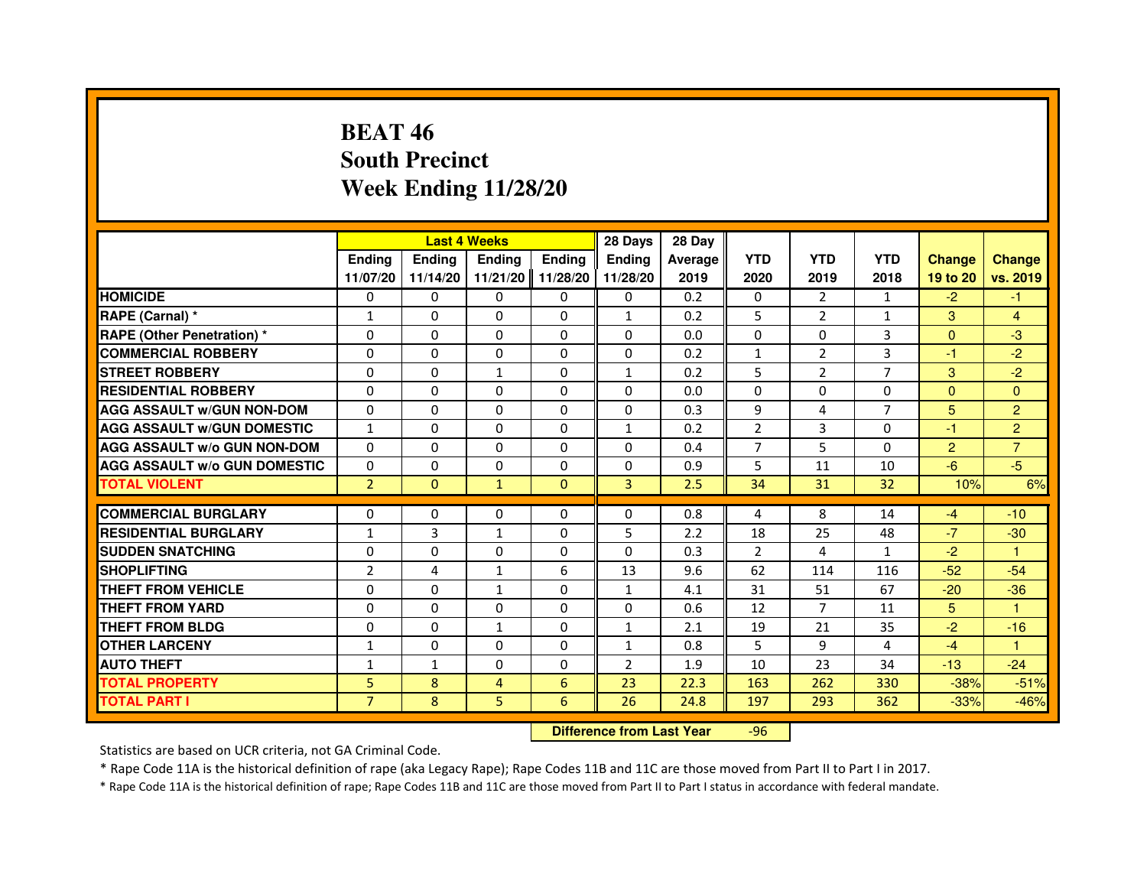# **BEAT 46 South PrecinctWeek Ending 11/28/20**

|                                     |                | <b>Last 4 Weeks</b> |                |               | 28 Days                          | 28 Day  |                |                |                |                |                |
|-------------------------------------|----------------|---------------------|----------------|---------------|----------------------------------|---------|----------------|----------------|----------------|----------------|----------------|
|                                     | <b>Ending</b>  | Ending              | <b>Ending</b>  | <b>Ending</b> | <b>Ending</b>                    | Average | <b>YTD</b>     | <b>YTD</b>     | <b>YTD</b>     | <b>Change</b>  | <b>Change</b>  |
|                                     | 11/07/20       | 11/14/20            | 11/21/20       | 11/28/20      | 11/28/20                         | 2019    | 2020           | 2019           | 2018           | 19 to 20       | vs. 2019       |
| <b>HOMICIDE</b>                     | $\Omega$       | $\Omega$            | $\Omega$       | $\Omega$      | 0                                | 0.2     | 0              | $\overline{2}$ | $\mathbf{1}$   | $-2$           | $-1$           |
| RAPE (Carnal) *                     | $\mathbf{1}$   | 0                   | 0              | 0             | $\mathbf{1}$                     | 0.2     | 5              | $\overline{2}$ | 1              | 3              | 4              |
| RAPE (Other Penetration) *          | $\Omega$       | 0                   | $\Omega$       | $\Omega$      | $\Omega$                         | 0.0     | $\Omega$       | $\Omega$       | 3              | $\Omega$       | $-3$           |
| <b>COMMERCIAL ROBBERY</b>           | $\Omega$       | $\Omega$            | $\Omega$       | $\Omega$      | $\Omega$                         | 0.2     | $\mathbf{1}$   | $\overline{2}$ | 3              | $-1$           | $-2$           |
| <b>STREET ROBBERY</b>               | $\Omega$       | $\Omega$            | $\mathbf{1}$   | $\Omega$      | $\mathbf{1}$                     | 0.2     | 5              | $\overline{2}$ | $\overline{7}$ | 3              | $-2$           |
| <b>RESIDENTIAL ROBBERY</b>          | 0              | 0                   | $\Omega$       | 0             | 0                                | 0.0     | 0              | 0              | $\Omega$       | $\Omega$       | $\mathbf{0}$   |
| <b>AGG ASSAULT W/GUN NON-DOM</b>    | $\Omega$       | $\Omega$            | $\Omega$       | $\Omega$      | $\Omega$                         | 0.3     | 9              | 4              | $\overline{7}$ | 5              | $\overline{2}$ |
| <b>AGG ASSAULT W/GUN DOMESTIC</b>   | $\mathbf{1}$   | $\Omega$            | $\Omega$       | $\Omega$      | $\mathbf{1}$                     | 0.2     | $\overline{2}$ | $\overline{3}$ | $\Omega$       | $-1$           | $\overline{2}$ |
| <b>AGG ASSAULT W/o GUN NON-DOM</b>  | $\Omega$       | $\Omega$            | $\Omega$       | $\Omega$      | $\Omega$                         | 0.4     | $\overline{7}$ | 5.             | $\Omega$       | 2              | $\overline{7}$ |
| <b>AGG ASSAULT w/o GUN DOMESTIC</b> | $\Omega$       | $\Omega$            | 0              | $\Omega$      | $\Omega$                         | 0.9     | 5              | 11             | 10             | $-6$           | $-5$           |
| <b>TOTAL VIOLENT</b>                | $\overline{2}$ | $\mathbf{0}$        | $\mathbf{1}$   | $\mathbf{0}$  | 3                                | 2.5     | 34             | 31             | 32             | 10%            | 6%             |
| <b>COMMERCIAL BURGLARY</b>          | 0              | 0                   | 0              | 0             | 0                                | 0.8     | 4              | 8              | 14             | $-4$           | $-10$          |
| <b>RESIDENTIAL BURGLARY</b>         | $\mathbf{1}$   | 3                   | 1              | $\Omega$      | 5                                | 2.2     | 18             | 25             | 48             | $-7$           | $-30$          |
| <b>SUDDEN SNATCHING</b>             | $\Omega$       | $\Omega$            | $\Omega$       | $\Omega$      | $\Omega$                         | 0.3     | $\overline{2}$ | 4              | $\mathbf{1}$   | $-2$           | $\mathbf{1}$   |
| <b>SHOPLIFTING</b>                  | $\overline{2}$ | 4                   | $\mathbf{1}$   | 6             | 13                               | 9.6     | 62             | 114            | 116            | $-52$          | $-54$          |
| THEFT FROM VEHICLE                  | 0              | $\Omega$            | $\mathbf{1}$   | $\Omega$      | $\mathbf{1}$                     | 4.1     | 31             | 51             | 67             | $-20$          | $-36$          |
| <b>THEFT FROM YARD</b>              | $\Omega$       | $\Omega$            | $\Omega$       | $\Omega$      | $\Omega$                         | 0.6     | 12             | $\overline{7}$ | 11             | $5\phantom{.}$ | $\mathbf{1}$   |
| <b>THEFT FROM BLDG</b>              | $\Omega$       | $\Omega$            | $\mathbf{1}$   | $\Omega$      | $\mathbf{1}$                     | 2.1     | 19             | 21             | 35             | $-2$           | $-16$          |
| <b>OTHER LARCENY</b>                | 1              | 0                   | 0              | 0             | $\mathbf{1}$                     | 0.8     | 5              | 9              | 4              | $-4$           | 1              |
| <b>AUTO THEFT</b>                   | $\mathbf{1}$   | $\mathbf{1}$        | $\Omega$       | $\Omega$      | $\overline{2}$                   | 1.9     | 10             | 23             | 34             | $-13$          | $-24$          |
| <b>TOTAL PROPERTY</b>               | 5              | 8                   | $\overline{4}$ | 6             | 23                               | 22.3    | 163            | 262            | 330            | $-38%$         | $-51%$         |
| <b>TOTAL PART I</b>                 | $\overline{7}$ | 8                   | 5              | 6             | 26                               | 24.8    | 197            | 293            | 362            | $-33%$         | $-46%$         |
|                                     |                |                     |                |               | <b>Difference from Last Year</b> |         | $-96$          |                |                |                |                |

 **Difference from Last Year**

Statistics are based on UCR criteria, not GA Criminal Code.

\* Rape Code 11A is the historical definition of rape (aka Legacy Rape); Rape Codes 11B and 11C are those moved from Part II to Part I in 2017.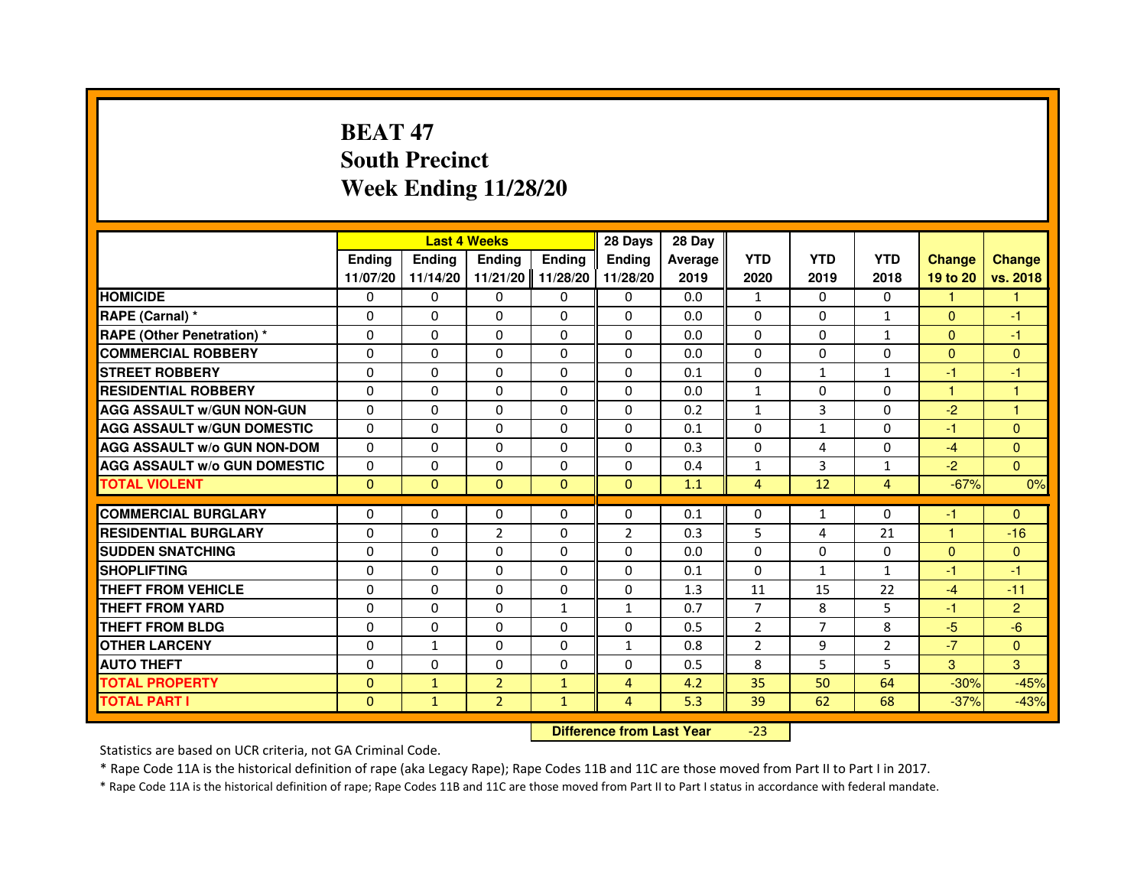# **BEAT 47 South PrecinctWeek Ending 11/28/20**

|                                     |               | <b>Last 4 Weeks</b>              |                |               | 28 Days        | 28 Day  |                |                |                |                |                |
|-------------------------------------|---------------|----------------------------------|----------------|---------------|----------------|---------|----------------|----------------|----------------|----------------|----------------|
|                                     | <b>Ending</b> | <b>Ending</b>                    | <b>Ending</b>  | <b>Ending</b> | <b>Endina</b>  | Average | <b>YTD</b>     | <b>YTD</b>     | <b>YTD</b>     | <b>Change</b>  | <b>Change</b>  |
|                                     | 11/07/20      | 11/14/20                         | 11/21/20       | 11/28/20      | 11/28/20       | 2019    | 2020           | 2019           | 2018           | 19 to 20       | vs. 2018       |
| <b>HOMICIDE</b>                     | $\mathbf{0}$  | $\Omega$                         | $\mathbf{0}$   | 0             | 0              | 0.0     | $\mathbf{1}$   | 0              | $\mathbf{0}$   | $\mathbf{1}$   | 1.             |
| RAPE (Carnal) *                     | 0             | $\mathbf{0}$                     | 0              | 0             | 0              | 0.0     | 0              | 0              | $\mathbf{1}$   | $\mathbf{0}$   | -1             |
| <b>RAPE (Other Penetration) *</b>   | $\Omega$      | $\Omega$                         | $\Omega$       | $\Omega$      | $\Omega$       | 0.0     | $\Omega$       | $\Omega$       | $\mathbf{1}$   | $\Omega$       | -1             |
| <b>COMMERCIAL ROBBERY</b>           | 0             | $\Omega$                         | $\Omega$       | $\Omega$      | 0              | 0.0     | 0              | 0              | 0              | $\overline{0}$ | $\mathbf{0}$   |
| <b>STREET ROBBERY</b>               | $\Omega$      | $\Omega$                         | $\Omega$       | $\Omega$      | $\Omega$       | 0.1     | $\Omega$       | $\mathbf{1}$   | $\mathbf{1}$   | $-1$           | $-1$           |
| <b>RESIDENTIAL ROBBERY</b>          | 0             | 0                                | $\Omega$       | 0             | $\Omega$       | 0.0     | $\mathbf{1}$   | 0              | $\Omega$       | $\mathbf{1}$   | 1              |
| <b>AGG ASSAULT W/GUN NON-GUN</b>    | $\Omega$      | $\Omega$                         | 0              | $\Omega$      | $\Omega$       | 0.2     | $\mathbf{1}$   | 3              | 0              | $-2$           | $\mathbf{1}$   |
| <b>AGG ASSAULT W/GUN DOMESTIC</b>   | $\Omega$      | $\Omega$                         | $\Omega$       | $\Omega$      | $\Omega$       | 0.1     | $\Omega$       | $\mathbf{1}$   | 0              | $-1$           | $\Omega$       |
| <b>AGG ASSAULT W/o GUN NON-DOM</b>  | $\Omega$      | $\Omega$                         | $\Omega$       | $\Omega$      | $\Omega$       | 0.3     | $\Omega$       | 4              | $\Omega$       | $-4$           | $\mathbf{0}$   |
| <b>AGG ASSAULT W/o GUN DOMESTIC</b> | 0             | $\Omega$                         | 0              | $\Omega$      | $\Omega$       | 0.4     | $\mathbf{1}$   | 3              | $\mathbf{1}$   | $-2$           | $\Omega$       |
| <b>TOTAL VIOLENT</b>                | $\mathbf{0}$  | $\overline{0}$                   | $\mathbf{0}$   | $\mathbf{0}$  | $\mathbf{0}$   | 1.1     | $\overline{4}$ | 12             | $\overline{4}$ | $-67%$         | 0%             |
| <b>COMMERCIAL BURGLARY</b>          | 0             | 0                                | 0              | 0             | 0              | 0.1     | 0              | 1              | 0              | $-1$           | $\mathbf{0}$   |
| <b>RESIDENTIAL BURGLARY</b>         | $\Omega$      | $\Omega$                         | $\overline{2}$ | $\Omega$      | $\overline{2}$ | 0.3     | 5              | 4              | 21             | $\mathbf{1}$   | $-16$          |
| <b>SUDDEN SNATCHING</b>             | $\Omega$      | $\Omega$                         | $\Omega$       | $\Omega$      | $\Omega$       | 0.0     | $\Omega$       | $\Omega$       | $\Omega$       | $\Omega$       | $\mathbf{0}$   |
| <b>SHOPLIFTING</b>                  | 0             | $\mathbf{0}$                     | 0              | $\mathbf{0}$  | 0              | 0.1     | $\Omega$       | $\mathbf{1}$   | $\mathbf{1}$   | -1             | $-1$           |
| THEFT FROM VEHICLE                  | 0             | $\Omega$                         | 0              | $\Omega$      | 0              | 1.3     | 11             | 15             | 22             | $-4$           | $-11$          |
| <b>THEFT FROM YARD</b>              | $\Omega$      | $\Omega$                         | $\Omega$       | $\mathbf{1}$  | $\mathbf{1}$   | 0.7     | $\overline{7}$ | 8              | 5              | $-1$           | $\overline{2}$ |
| <b>THEFT FROM BLDG</b>              | $\Omega$      | $\Omega$                         | $\Omega$       | $\Omega$      | $\Omega$       | 0.5     | $\overline{2}$ | $\overline{7}$ | 8              | $-5$           | $-6$           |
| <b>OTHER LARCENY</b>                | $\Omega$      | $\mathbf{1}$                     | 0              | $\Omega$      | $\mathbf{1}$   | 0.8     | $\overline{2}$ | 9              | $\overline{2}$ | $-7$           | $\Omega$       |
| <b>AUTO THEFT</b>                   | $\Omega$      | $\Omega$                         | $\Omega$       | $\Omega$      | $\mathbf{0}$   | 0.5     | 8              | 5              | 5              | 3              | 3              |
| <b>TOTAL PROPERTY</b>               | $\Omega$      | $\mathbf{1}$                     | $\overline{2}$ | $\mathbf{1}$  | $\overline{4}$ | 4.2     | 35             | 50             | 64             | $-30%$         | $-45%$         |
| <b>TOTAL PART I</b>                 | $\mathbf{0}$  | $\mathbf{1}$                     | $\overline{2}$ | $\mathbf{1}$  | $\overline{4}$ | 5.3     | 39             | 62             | 68             | $-37%$         | $-43%$         |
|                                     |               | <b>Difference from Last Year</b> |                | $-23$         |                |         |                |                |                |                |                |

 **Difference from Last Year**

Statistics are based on UCR criteria, not GA Criminal Code.

\* Rape Code 11A is the historical definition of rape (aka Legacy Rape); Rape Codes 11B and 11C are those moved from Part II to Part I in 2017.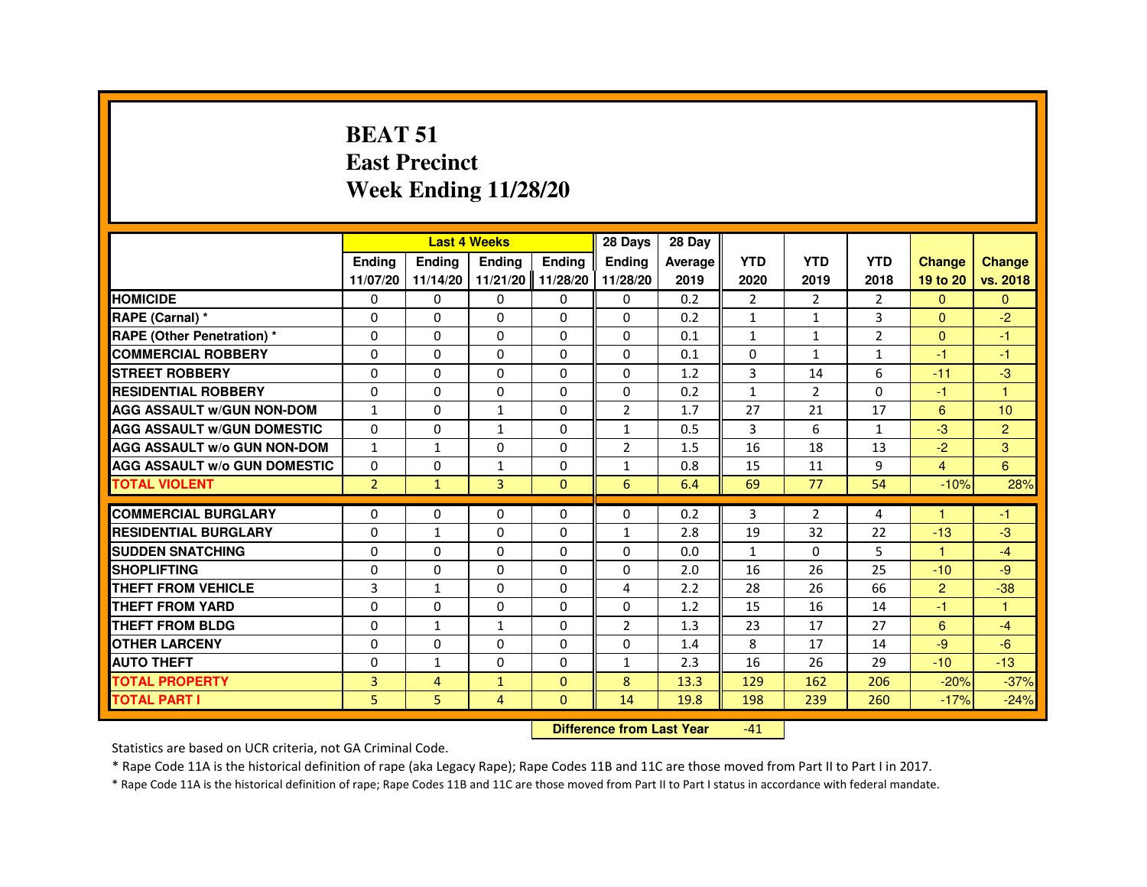#### **BEAT 51 East PrecinctWeek Ending 11/28/20**

|                                     |                |                | <b>Last 4 Weeks</b>              |                   | 28 Days        | 28 Day  |                |                |                |                |                |
|-------------------------------------|----------------|----------------|----------------------------------|-------------------|----------------|---------|----------------|----------------|----------------|----------------|----------------|
|                                     | <b>Ending</b>  | <b>Ending</b>  | <b>Ending</b>                    | <b>Ending</b>     | <b>Ending</b>  | Average | <b>YTD</b>     | <b>YTD</b>     | <b>YTD</b>     | <b>Change</b>  | <b>Change</b>  |
|                                     | 11/07/20       | 11/14/20       |                                  | 11/21/20 11/28/20 | 11/28/20       | 2019    | 2020           | 2019           | 2018           | 19 to 20       | vs. 2018       |
| <b>HOMICIDE</b>                     | 0              | 0              | 0                                | $\Omega$          | 0              | 0.2     | $\overline{2}$ | $\overline{2}$ | $\overline{2}$ | $\Omega$       | $\mathbf{0}$   |
| RAPE (Carnal) *                     | 0              | 0              | 0                                | 0                 | 0              | 0.2     | 1              | 1              | 3              | $\Omega$       | $-2$           |
| <b>RAPE (Other Penetration) *</b>   | 0              | 0              | 0                                | 0                 | 0              | 0.1     | 1              | 1              | $\overline{2}$ | $\mathbf{0}$   | $-1$           |
| <b>COMMERCIAL ROBBERY</b>           | 0              | $\Omega$       | 0                                | $\Omega$          | $\Omega$       | 0.1     | $\Omega$       | $\mathbf{1}$   | $\mathbf{1}$   | $-1$           | $-1$           |
| <b>STREET ROBBERY</b>               | 0              | 0              | 0                                | 0                 | 0              | 1.2     | 3              | 14             | 6              | $-11$          | $-3$           |
| <b>RESIDENTIAL ROBBERY</b>          | 0              | 0              | 0                                | 0                 | 0              | 0.2     | $\mathbf{1}$   | $\overline{2}$ | $\Omega$       | $-1$           | $\overline{1}$ |
| <b>AGG ASSAULT w/GUN NON-DOM</b>    | $\mathbf{1}$   | $\Omega$       | $\mathbf{1}$                     | $\Omega$          | $\overline{2}$ | 1.7     | 27             | 21             | 17             | 6              | 10             |
| <b>AGG ASSAULT W/GUN DOMESTIC</b>   | $\Omega$       | $\Omega$       | $\mathbf{1}$                     | $\Omega$          | $\mathbf{1}$   | 0.5     | 3              | 6              | $\mathbf{1}$   | $-3$           | $\overline{2}$ |
| <b>AGG ASSAULT w/o GUN NON-DOM</b>  | 1              | 1              | 0                                | 0                 | $\overline{2}$ | 1.5     | 16             | 18             | 13             | $-2$           | 3              |
| <b>AGG ASSAULT W/o GUN DOMESTIC</b> | $\Omega$       | $\Omega$       | $\mathbf{1}$                     | $\Omega$          | $\mathbf{1}$   | 0.8     | 15             | 11             | 9              | $\overline{4}$ | 6              |
| <b>TOTAL VIOLENT</b>                | $\overline{2}$ | $\mathbf{1}$   | 3                                | $\mathbf{0}$      | 6              | 6.4     | 69             | 77             | 54             | $-10%$         | 28%            |
| <b>COMMERCIAL BURGLARY</b>          | 0              | 0              | 0                                | 0                 | 0              | 0.2     | 3              | $\overline{2}$ | 4              | $\mathbf{1}$   | -1             |
| <b>RESIDENTIAL BURGLARY</b>         | 0              | $\mathbf{1}$   | $\Omega$                         | $\Omega$          | $\mathbf{1}$   | 2.8     | 19             | 32             | 22             | $-13$          | $-3$           |
| <b>SUDDEN SNATCHING</b>             | 0              | $\Omega$       | $\Omega$                         | $\Omega$          | $\Omega$       | 0.0     | $\mathbf{1}$   | $\Omega$       | 5              | 1              | $-4$           |
| <b>SHOPLIFTING</b>                  | 0              | $\Omega$       | 0                                | 0                 | $\Omega$       | 2.0     | 16             | 26             | 25             | $-10$          | $-9$           |
| <b>THEFT FROM VEHICLE</b>           | 3              | $\mathbf{1}$   | 0                                | $\Omega$          | 4              | 2.2     | 28             | 26             | 66             | $\overline{2}$ | $-38$          |
| <b>THEFT FROM YARD</b>              | $\Omega$       | $\Omega$       | $\Omega$                         | $\Omega$          | $\Omega$       | 1.2     | 15             | 16             | 14             | $-1$           | $\mathbf{1}$   |
| THEFT FROM BLDG                     | 0              | $\mathbf{1}$   | $\mathbf{1}$                     | 0                 | $\overline{2}$ | 1.3     | 23             | 17             | 27             | 6              | $-4$           |
| <b>OTHER LARCENY</b>                | $\Omega$       | $\Omega$       | $\Omega$                         | $\Omega$          | $\Omega$       | 1.4     | 8              | 17             | 14             | $-9$           | $-6$           |
| <b>AUTO THEFT</b>                   | $\mathbf 0$    | $\mathbf{1}$   | 0                                | 0                 | $\mathbf{1}$   | 2.3     | 16             | 26             | 29             | $-10$          | $-13$          |
| <b>TOTAL PROPERTY</b>               | 3              | $\overline{4}$ | $\mathbf{1}$                     | $\Omega$          | 8              | 13.3    | 129            | 162            | 206            | $-20%$         | $-37%$         |
| <b>TOTAL PART I</b>                 | 5              | 5              | $\overline{4}$                   | $\mathbf{0}$      | 14             | 19.8    | 198            | 239            | 260            | $-17%$         | $-24%$         |
|                                     |                |                | <b>Difference from Last Year</b> |                   | $-41$          |         |                |                |                |                |                |

 **Difference from Last Year**

Statistics are based on UCR criteria, not GA Criminal Code.

\* Rape Code 11A is the historical definition of rape (aka Legacy Rape); Rape Codes 11B and 11C are those moved from Part II to Part I in 2017.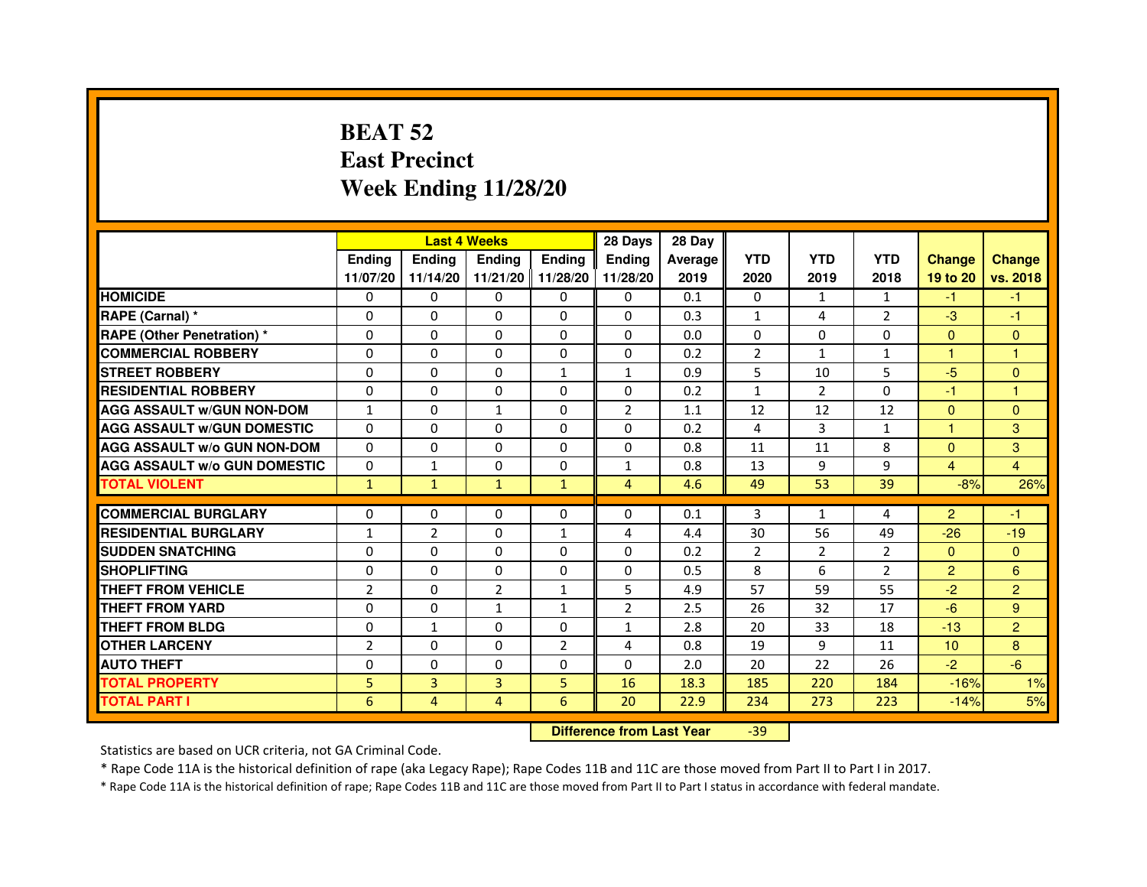# **BEAT 52 East PrecinctWeek Ending 11/28/20**

|                                     |                | <b>Last 4 Weeks</b> |                |                   | 28 Days        | 28 Day  |                |                |                |                      |                |
|-------------------------------------|----------------|---------------------|----------------|-------------------|----------------|---------|----------------|----------------|----------------|----------------------|----------------|
|                                     | <b>Endina</b>  | <b>Endina</b>       | <b>Endina</b>  | Ending            | <b>Endina</b>  | Average | <b>YTD</b>     | <b>YTD</b>     | <b>YTD</b>     | <b>Change</b>        | <b>Change</b>  |
|                                     | 11/07/20       | 11/14/20            |                | 11/21/20 11/28/20 | 11/28/20       | 2019    | 2020           | 2019           | 2018           | 19 to 20             | vs. 2018       |
| <b>HOMICIDE</b>                     | 0              | $\Omega$            | $\Omega$       | 0                 | 0              | 0.1     | 0              | $\mathbf{1}$   | 1              | $-1$                 | -1             |
| RAPE (Carnal) *                     | $\Omega$       | $\Omega$            | $\Omega$       | $\Omega$          | $\Omega$       | 0.3     | $\mathbf{1}$   | 4              | $\overline{2}$ | $-3$                 | $-1$           |
| <b>RAPE (Other Penetration) *</b>   | 0              | $\Omega$            | $\Omega$       | $\Omega$          | $\Omega$       | 0.0     | $\Omega$       | $\Omega$       | $\Omega$       | $\mathbf{0}$         | $\mathbf{0}$   |
| <b>COMMERCIAL ROBBERY</b>           | 0              | 0                   | $\Omega$       | 0                 | 0              | 0.2     | 2              | $\mathbf{1}$   | $\mathbf{1}$   | 1                    | 1              |
| <b>STREET ROBBERY</b>               | 0              | $\Omega$            | 0              | $\mathbf{1}$      | 1              | 0.9     | 5              | 10             | 5              | $-5$                 | $\mathbf{0}$   |
| <b>RESIDENTIAL ROBBERY</b>          | $\Omega$       | $\Omega$            | $\Omega$       | $\Omega$          | $\Omega$       | 0.2     | $\mathbf{1}$   | $\overline{2}$ | $\Omega$       | $-1$                 | 1              |
| <b>AGG ASSAULT W/GUN NON-DOM</b>    | $\mathbf{1}$   | $\Omega$            | $\mathbf{1}$   | $\Omega$          | $\overline{2}$ | 1.1     | 12             | 12             | 12             | $\Omega$             | $\mathbf{0}$   |
| <b>AGG ASSAULT W/GUN DOMESTIC</b>   | $\Omega$       | 0                   | $\Omega$       | 0                 | $\Omega$       | 0.2     | 4              | 3              | $\mathbf{1}$   | $\blacktriangleleft$ | 3              |
| <b>AGG ASSAULT W/o GUN NON-DOM</b>  | 0              | 0                   | $\Omega$       | $\Omega$          | $\Omega$       | 0.8     | 11             | 11             | 8              | $\Omega$             | 3              |
| <b>AGG ASSAULT W/o GUN DOMESTIC</b> | $\Omega$       | $\mathbf{1}$        | 0              | 0                 | $\mathbf{1}$   | 0.8     | 13             | 9              | 9              | 4                    | 4              |
| <b>TOTAL VIOLENT</b>                | $\mathbf{1}$   | $\mathbf{1}$        | $\mathbf{1}$   | $\mathbf{1}$      | $\overline{4}$ | 4.6     | 49             | 53             | 39             | $-8%$                | 26%            |
|                                     |                |                     |                |                   |                |         |                |                |                |                      |                |
| <b>COMMERCIAL BURGLARY</b>          | 0              | 0                   | $\Omega$       | 0                 | $\Omega$       | 0.1     | 3              | $\mathbf{1}$   | 4              | $\overline{2}$       | -1             |
| <b>RESIDENTIAL BURGLARY</b>         | 1              | 2                   | $\Omega$       | 1                 | $\overline{4}$ | 4.4     | 30             | 56             | 49             | $-26$                | $-19$          |
| <b>SUDDEN SNATCHING</b>             | 0              | 0                   | $\Omega$       | 0                 | $\Omega$       | 0.2     | $\overline{2}$ | 2              | $\overline{2}$ | $\mathbf{0}$         | $\overline{0}$ |
| <b>SHOPLIFTING</b>                  | $\mathbf 0$    | $\Omega$            | $\Omega$       | $\Omega$          | $\Omega$       | 0.5     | 8              | 6              | $\overline{2}$ | $\overline{2}$       | 6              |
| <b>THEFT FROM VEHICLE</b>           | $\overline{2}$ | $\Omega$            | $\overline{2}$ | $\mathbf{1}$      | 5              | 4.9     | 57             | 59             | 55             | $-2$                 | $\overline{2}$ |
| <b>THEFT FROM YARD</b>              | $\Omega$       | $\Omega$            | $\mathbf{1}$   | $\mathbf{1}$      | $\overline{2}$ | 2.5     | 26             | 32             | 17             | $-6$                 | 9              |
| THEFT FROM BLDG                     | $\mathbf 0$    | 1                   | $\Omega$       | 0                 | 1              | 2.8     | 20             | 33             | 18             | $-13$                | $\overline{2}$ |
| <b>OTHER LARCENY</b>                | $\overline{2}$ | $\Omega$            | $\Omega$       | 2                 | 4              | 0.8     | 19             | 9              | 11             | 10                   | 8              |
| <b>AUTO THEFT</b>                   | $\Omega$       | $\Omega$            | $\Omega$       | $\Omega$          | $\Omega$       | 2.0     | 20             | 22             | 26             | $-2$                 | $-6$           |
| <b>TOTAL PROPERTY</b>               | 5              | 3                   | 3              | 5                 | 16             | 18.3    | 185            | 220            | 184            | $-16%$               | 1%             |
| <b>TOTAL PART I</b>                 | 6              | 4                   | $\overline{4}$ | 6                 | 20             | 22.9    | 234            | 273            | 223            | $-14%$               | 5%             |

 **Difference from Last Year**-39

Statistics are based on UCR criteria, not GA Criminal Code.

\* Rape Code 11A is the historical definition of rape (aka Legacy Rape); Rape Codes 11B and 11C are those moved from Part II to Part I in 2017.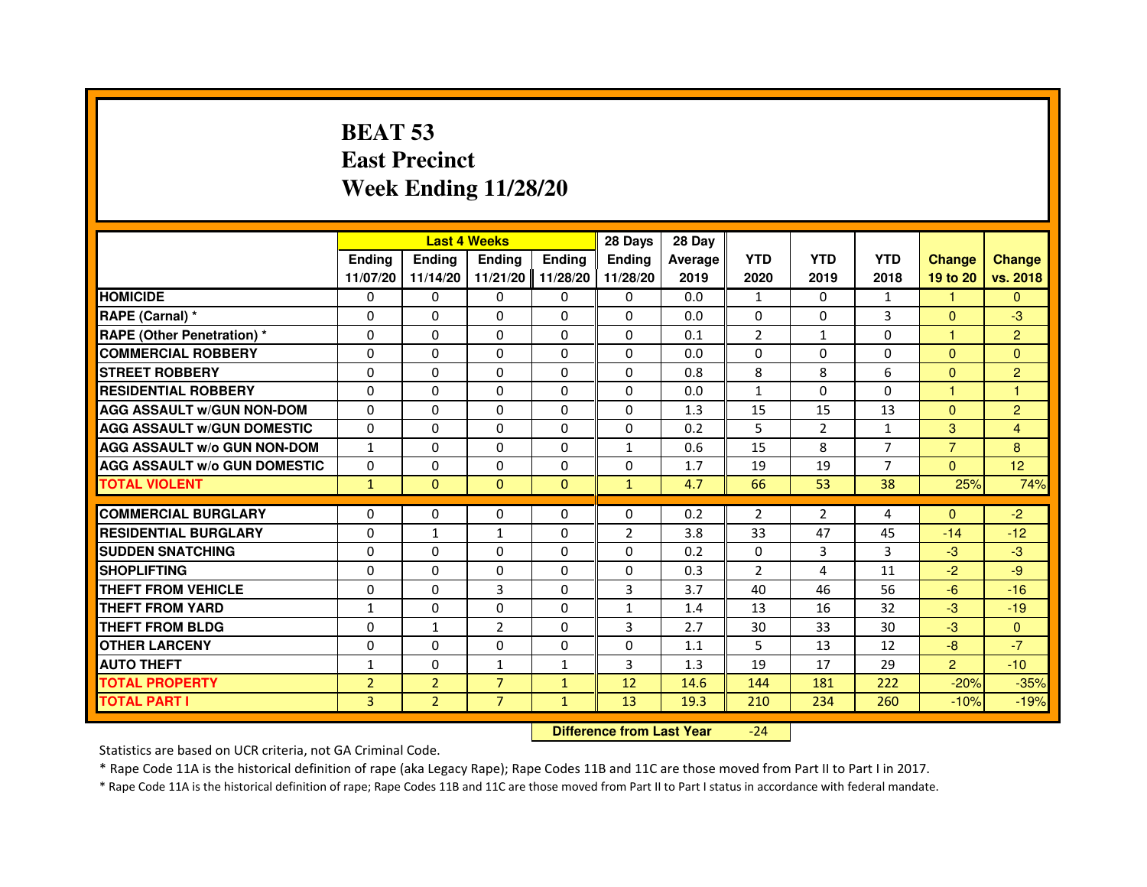# **BEAT 53 East PrecinctWeek Ending 11/28/20**

|                                     |                |                | <b>Last 4 Weeks</b> |               | 28 Days                          | 28 Day         |                |                |                |                |                |
|-------------------------------------|----------------|----------------|---------------------|---------------|----------------------------------|----------------|----------------|----------------|----------------|----------------|----------------|
|                                     | <b>Ending</b>  | <b>Ending</b>  | <b>Ending</b>       | <b>Ending</b> | <b>Ending</b>                    | <b>Average</b> | <b>YTD</b>     | <b>YTD</b>     | <b>YTD</b>     | <b>Change</b>  | <b>Change</b>  |
|                                     | 11/07/20       | 11/14/20       | 11/21/20            | 11/28/20      | 11/28/20                         | 2019           | 2020           | 2019           | 2018           | 19 to 20       | vs. 2018       |
| <b>HOMICIDE</b>                     | 0              | $\Omega$       | $\Omega$            | $\Omega$      | 0                                | 0.0            | $\mathbf{1}$   | $\Omega$       | $\mathbf{1}$   | 1.             | $\Omega$       |
| RAPE (Carnal) *                     | 0              | 0              | 0                   | $\Omega$      | 0                                | 0.0            | $\mathbf{0}$   | $\Omega$       | 3              | $\Omega$       | $-3$           |
| <b>RAPE (Other Penetration) *</b>   | $\Omega$       | $\Omega$       | $\Omega$            | $\Omega$      | $\Omega$                         | 0.1            | $\overline{2}$ | 1              | $\Omega$       | $\mathbf{1}$   | $\overline{c}$ |
| <b>COMMERCIAL ROBBERY</b>           | $\Omega$       | $\Omega$       | $\Omega$            | $\Omega$      | $\Omega$                         | 0.0            | $\mathbf{0}$   | $\mathbf{0}$   | $\mathbf 0$    | $\Omega$       | $\mathbf{0}$   |
| <b>STREET ROBBERY</b>               | $\Omega$       | $\Omega$       | 0                   | $\Omega$      | $\Omega$                         | 0.8            | 8              | 8              | 6              | $\mathbf{0}$   | $\overline{2}$ |
| <b>RESIDENTIAL ROBBERY</b>          | $\Omega$       | $\Omega$       | 0                   | $\Omega$      | $\Omega$                         | 0.0            | $\mathbf{1}$   | $\Omega$       | 0              | 1              | 1              |
| <b>AGG ASSAULT w/GUN NON-DOM</b>    | $\Omega$       | $\Omega$       | 0                   | $\Omega$      | $\Omega$                         | 1.3            | 15             | 15             | 13             | $\Omega$       | $\overline{c}$ |
| <b>AGG ASSAULT w/GUN DOMESTIC</b>   | $\Omega$       | $\Omega$       | $\Omega$            | $\Omega$      | $\Omega$                         | 0.2            | 5              | $\overline{2}$ | $\mathbf{1}$   | 3              | 4              |
| <b>AGG ASSAULT w/o GUN NON-DOM</b>  | $\mathbf{1}$   | 0              | 0                   | 0             | $\mathbf{1}$                     | 0.6            | 15             | 8              | $\overline{7}$ | $\overline{7}$ | 8              |
| <b>AGG ASSAULT W/o GUN DOMESTIC</b> | $\Omega$       | 0              | 0                   | $\Omega$      | $\Omega$                         | 1.7            | 19             | 19             | $\overline{7}$ | $\Omega$       | 12             |
| <b>TOTAL VIOLENT</b>                | $\mathbf{1}$   | $\mathbf{0}$   | $\mathbf{0}$        | $\mathbf{0}$  | $\mathbf{1}$                     | 4.7            | 66             | 53             | 38             | 25%            | 74%            |
| <b>COMMERCIAL BURGLARY</b>          | 0              | 0              | 0                   | 0             | 0                                | 0.2            | $\overline{2}$ | $\overline{2}$ | 4              | $\Omega$       | $-2$           |
| <b>RESIDENTIAL BURGLARY</b>         | $\Omega$       | $\mathbf{1}$   | $\mathbf{1}$        | $\Omega$      | $\overline{2}$                   | 3.8            | 33             | 47             | 45             | $-14$          | $-12$          |
| <b>SUDDEN SNATCHING</b>             | $\Omega$       | $\Omega$       | $\Omega$            | $\Omega$      | $\Omega$                         | 0.2            | $\Omega$       | 3              | 3              | $-3$           | $-3$           |
| <b>SHOPLIFTING</b>                  | 0              | 0              | 0                   | 0             | 0                                | 0.3            | $\overline{2}$ | 4              | 11             | $-2$           | $-9$           |
| <b>THEFT FROM VEHICLE</b>           | $\Omega$       | $\Omega$       | 3                   | $\Omega$      | 3                                | 3.7            | 40             | 46             | 56             | $-6$           | $-16$          |
| <b>THEFT FROM YARD</b>              | $\mathbf{1}$   | 0              | $\Omega$            | 0             | $\mathbf{1}$                     | 1.4            | 13             | 16             | 32             | $-3$           | $-19$          |
| <b>THEFT FROM BLDG</b>              | $\Omega$       | $\mathbf{1}$   | $\overline{2}$      | $\Omega$      | 3                                | 2.7            | 30             | 33             | 30             | $-3$           | $\mathbf{0}$   |
| <b>OTHER LARCENY</b>                | $\Omega$       | $\Omega$       | 0                   | $\Omega$      | $\Omega$                         | 1.1            | 5              | 13             | 12             | $-8$           | $-7$           |
| <b>AUTO THEFT</b>                   | $\mathbf{1}$   | $\Omega$       | $\mathbf{1}$        | $\mathbf{1}$  | $\overline{3}$                   | 1.3            | 19             | 17             | 29             | $\overline{2}$ | $-10$          |
| <b>TOTAL PROPERTY</b>               | $\overline{2}$ | $\overline{2}$ | $\overline{7}$      | $\mathbf{1}$  | 12                               | 14.6           | 144            | 181            | 222            | $-20%$         | $-35%$         |
| <b>TOTAL PART I</b>                 | $\overline{3}$ | $\overline{2}$ | $\overline{7}$      | $\mathbf{1}$  | 13                               | 19.3           | 210            | 234            | 260            | $-10%$         | $-19%$         |
|                                     |                |                |                     |               | <b>Difference from Last Year</b> |                | $-24$          |                |                |                |                |

 **Difference from Last Year**

Statistics are based on UCR criteria, not GA Criminal Code.

\* Rape Code 11A is the historical definition of rape (aka Legacy Rape); Rape Codes 11B and 11C are those moved from Part II to Part I in 2017.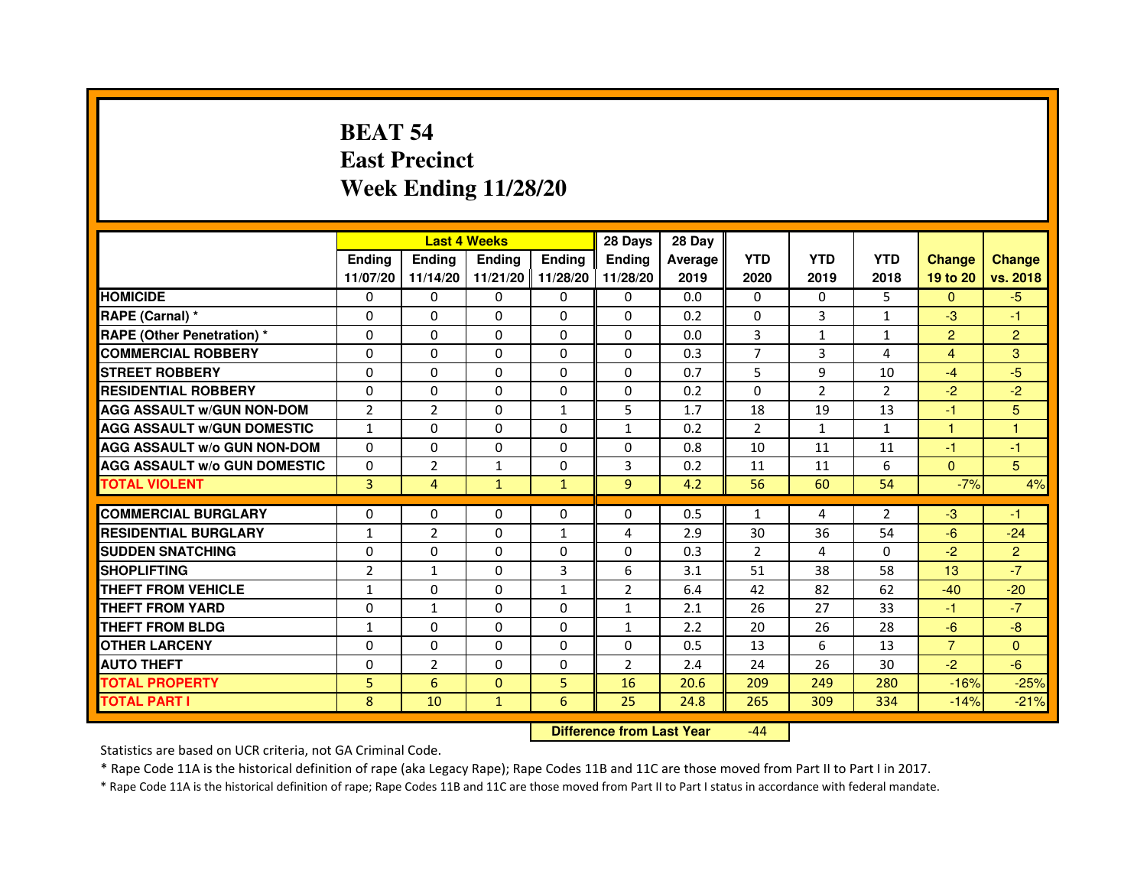# **BEAT 54 East PrecinctWeek Ending 11/28/20**

|                                     |                | <b>Last 4 Weeks</b> |               |                   | 28 Days        | 28 Day  |                |                |                |                |                |
|-------------------------------------|----------------|---------------------|---------------|-------------------|----------------|---------|----------------|----------------|----------------|----------------|----------------|
|                                     | <b>Endina</b>  | <b>Endina</b>       | <b>Endina</b> | <b>Ending</b>     | <b>Endina</b>  | Average | <b>YTD</b>     | <b>YTD</b>     | <b>YTD</b>     | <b>Change</b>  | <b>Change</b>  |
|                                     | 11/07/20       | 11/14/20            |               | 11/21/20 11/28/20 | 11/28/20       | 2019    | 2020           | 2019           | 2018           | 19 to 20       | vs. 2018       |
| <b>HOMICIDE</b>                     | 0              | 0                   | 0             | 0                 | 0              | 0.0     | $\mathbf{0}$   | $\Omega$       | 5              | $\mathbf{0}$   | $-5$           |
| RAPE (Carnal) *                     | $\Omega$       | $\Omega$            | $\Omega$      | $\Omega$          | $\Omega$       | 0.2     | $\Omega$       | 3              | $\mathbf{1}$   | $-3$           | $-1$           |
| <b>RAPE (Other Penetration) *</b>   | 0              | 0                   | $\Omega$      | $\Omega$          | $\Omega$       | 0.0     | 3              | $\mathbf{1}$   | $\mathbf{1}$   | $\overline{2}$ | $\overline{2}$ |
| <b>COMMERCIAL ROBBERY</b>           | 0              | 0                   | 0             | 0                 | $\Omega$       | 0.3     | 7              | 3              | 4              | 4              | 3              |
| <b>STREET ROBBERY</b>               | 0              | $\Omega$            | 0             | $\Omega$          | $\Omega$       | 0.7     | 5              | 9              | 10             | $-4$           | -5             |
| <b>RESIDENTIAL ROBBERY</b>          | 0              | $\Omega$            | 0             | 0                 | 0              | 0.2     | 0              | 2              | $\overline{2}$ | $-2$           | $-2$           |
| <b>AGG ASSAULT W/GUN NON-DOM</b>    | $\overline{2}$ | $\overline{2}$      | $\Omega$      | $\mathbf{1}$      | 5              | 1.7     | 18             | 19             | 13             | $-1$           | 5              |
| <b>AGG ASSAULT W/GUN DOMESTIC</b>   | $\mathbf{1}$   | 0                   | 0             | 0                 | $\mathbf{1}$   | 0.2     | $\overline{2}$ | $\mathbf{1}$   | $\mathbf{1}$   | $\mathbf{1}$   | 1              |
| <b>AGG ASSAULT W/o GUN NON-DOM</b>  | $\Omega$       | 0                   | $\Omega$      | 0                 | $\Omega$       | 0.8     | 10             | 11             | 11             | $-1$           | $-1$           |
| <b>AGG ASSAULT W/o GUN DOMESTIC</b> | $\Omega$       | $\overline{2}$      | $\mathbf{1}$  | $\mathbf{0}$      | 3              | 0.2     | 11             | 11             | 6              | $\Omega$       | 5 <sup>5</sup> |
| <b>TOTAL VIOLENT</b>                | 3              | 4                   | $\mathbf{1}$  | $\mathbf{1}$      | $\overline{9}$ | 4.2     | 56             | 60             | 54             | $-7%$          | 4%             |
|                                     |                |                     |               |                   |                |         |                |                |                |                |                |
| <b>COMMERCIAL BURGLARY</b>          | 0              | 0                   | 0             | 0                 | $\Omega$       | 0.5     | $\mathbf{1}$   | $\overline{a}$ | $\overline{2}$ | $-3$           | $-1$           |
| <b>RESIDENTIAL BURGLARY</b>         | 1              | $\overline{2}$      | 0             | $\mathbf{1}$      | 4              | 2.9     | 30             | 36             | 54             | $-6$           | $-24$          |
| <b>SUDDEN SNATCHING</b>             | 0              | 0                   | $\Omega$      | $\Omega$          | $\Omega$       | 0.3     | $\overline{2}$ | 4              | $\Omega$       | $-2$           | $\overline{2}$ |
| <b>SHOPLIFTING</b>                  | $\overline{2}$ | 1                   | $\Omega$      | 3                 | 6              | 3.1     | 51             | 38             | 58             | 13             | $-7$           |
| <b>THEFT FROM VEHICLE</b>           | $\mathbf{1}$   | $\Omega$            | $\Omega$      | $\mathbf{1}$      | $\overline{2}$ | 6.4     | 42             | 82             | 62             | $-40$          | $-20$          |
| <b>THEFT FROM YARD</b>              | 0              | $\mathbf{1}$        | $\Omega$      | $\Omega$          | $\mathbf{1}$   | 2.1     | 26             | 27             | 33             | $-1$           | $-7$           |
| <b>THEFT FROM BLDG</b>              | 1              | 0                   | 0             | 0                 | 1              | 2.2     | 20             | 26             | 28             | -6             | $-8$           |
| <b>OTHER LARCENY</b>                | 0              | 0                   | 0             | 0                 | $\Omega$       | 0.5     | 13             | 6              | 13             | $\overline{7}$ | $\Omega$       |
| <b>AUTO THEFT</b>                   | $\mathbf 0$    | $\overline{2}$      | $\Omega$      | $\Omega$          | $\overline{2}$ | 2.4     | 24             | 26             | 30             | $-2$           | $-6$           |
| <b>TOTAL PROPERTY</b>               | 5              | 6                   | $\Omega$      | 5                 | 16             | 20.6    | 209            | 249            | 280            | $-16%$         | $-25%$         |
| <b>TOTAL PART I</b>                 | 8              | 10                  | $\mathbf{1}$  | 6                 | 25             | 24.8    | 265            | 309            | 334            | $-14%$         | $-21%$         |

 **Difference from Last Year**-44

Statistics are based on UCR criteria, not GA Criminal Code.

\* Rape Code 11A is the historical definition of rape (aka Legacy Rape); Rape Codes 11B and 11C are those moved from Part II to Part I in 2017.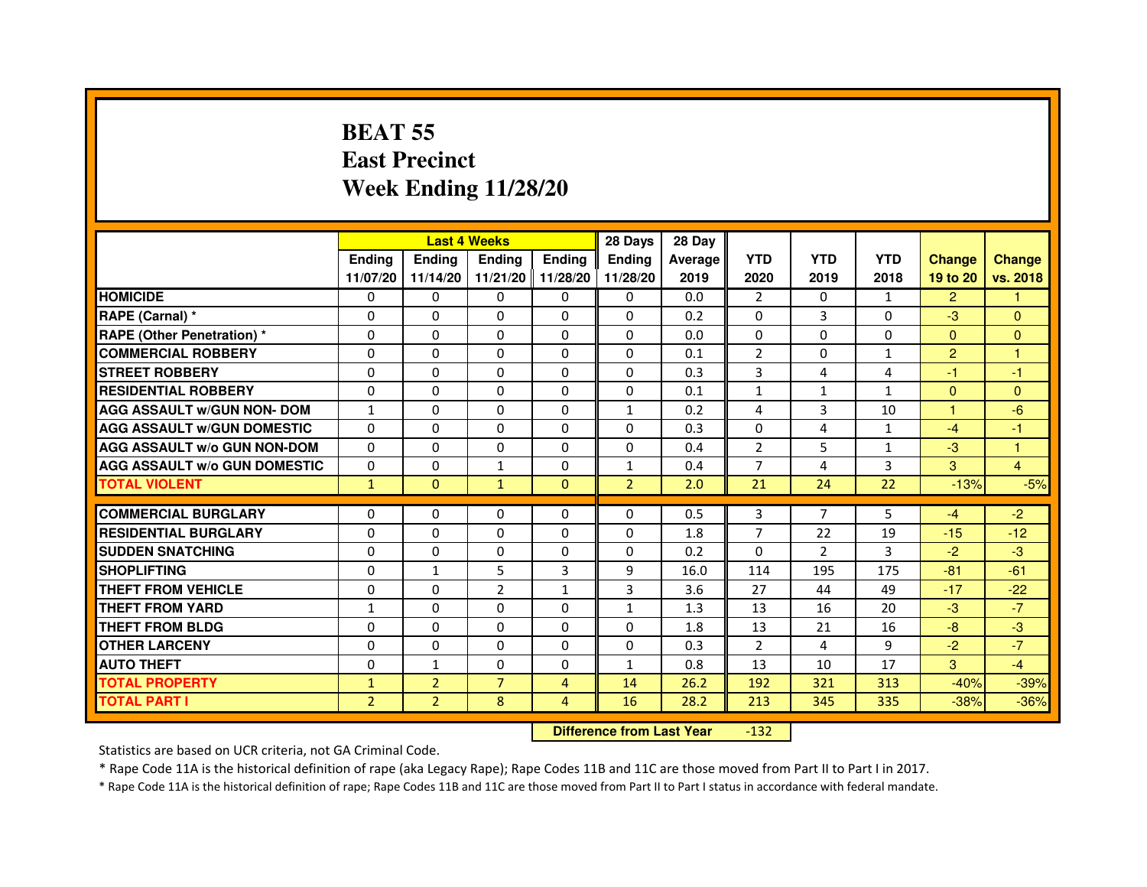# **BEAT 55 East PrecinctWeek Ending 11/28/20**

|                                     |                |                | <b>Last 4 Weeks</b> |                | 28 Days        | 28 Day  |                |                |              |                |                |
|-------------------------------------|----------------|----------------|---------------------|----------------|----------------|---------|----------------|----------------|--------------|----------------|----------------|
|                                     | <b>Endina</b>  | <b>Endina</b>  | Ending              | Ending         | <b>Ending</b>  | Average | <b>YTD</b>     | <b>YTD</b>     | <b>YTD</b>   | <b>Change</b>  | <b>Change</b>  |
|                                     | 11/07/20       | 11/14/20       | 11/21/20            | 11/28/20       | 11/28/20       | 2019    | 2020           | 2019           | 2018         | 19 to 20       | vs. 2018       |
| <b>HOMICIDE</b>                     | 0              | $\mathbf{0}$   | 0                   | 0              | 0              | 0.0     | $\overline{2}$ | 0              | 1            | $\overline{2}$ | 1              |
| RAPE (Carnal) *                     | $\Omega$       | $\Omega$       | $\Omega$            | $\Omega$       | $\Omega$       | 0.2     | $\Omega$       | 3              | $\Omega$     | $-3$           | $\Omega$       |
| <b>RAPE (Other Penetration) *</b>   | $\Omega$       | $\mathbf{0}$   | 0                   | 0              | 0              | 0.0     | 0              | 0              | $\Omega$     | $\Omega$       | $\Omega$       |
| <b>COMMERCIAL ROBBERY</b>           | $\Omega$       | $\Omega$       | $\Omega$            | $\Omega$       | $\Omega$       | 0.1     | 2              | $\Omega$       | 1            | $\overline{2}$ | 1              |
| <b>STREET ROBBERY</b>               | $\Omega$       | $\Omega$       | $\Omega$            | $\Omega$       | $\Omega$       | 0.3     | 3              | 4              | 4            | $-1$           | $-1$           |
| <b>RESIDENTIAL ROBBERY</b>          | $\Omega$       | $\Omega$       | $\Omega$            | $\Omega$       | $\Omega$       | 0.1     | $\mathbf{1}$   | $\mathbf{1}$   | $\mathbf{1}$ | $\mathbf{0}$   | $\Omega$       |
| <b>AGG ASSAULT w/GUN NON- DOM</b>   | $\mathbf{1}$   | $\Omega$       | $\Omega$            | $\Omega$       | $\mathbf{1}$   | 0.2     | $\overline{a}$ | 3              | 10           | 1              | $-6$           |
| <b>AGG ASSAULT W/GUN DOMESTIC</b>   | $\Omega$       | $\Omega$       | $\Omega$            | 0              | $\Omega$       | 0.3     | $\Omega$       | 4              | $\mathbf{1}$ | $-4$           | $-1$           |
| <b>AGG ASSAULT W/o GUN NON-DOM</b>  | $\Omega$       | $\Omega$       | $\Omega$            | $\Omega$       | $\Omega$       | 0.4     | $\overline{2}$ | 5              | 1            | $-3$           | 1              |
| <b>AGG ASSAULT W/o GUN DOMESTIC</b> | $\Omega$       | $\Omega$       | $\mathbf{1}$        | $\Omega$       | $\mathbf{1}$   | 0.4     | $\overline{7}$ | 4              | 3            | 3              | $\overline{4}$ |
| <b>TOTAL VIOLENT</b>                | $\mathbf{1}$   | $\mathbf{0}$   | $\mathbf{1}$        | $\Omega$       | $\overline{2}$ | 2.0     | 21             | 24             | 22           | $-13%$         | $-5%$          |
| <b>COMMERCIAL BURGLARY</b>          | $\mathbf{0}$   | $\mathbf{0}$   | 0                   | 0              | 0              | 0.5     | 3              | 7              | 5            | $-4$           | $-2$           |
| <b>RESIDENTIAL BURGLARY</b>         | $\Omega$       | $\Omega$       | 0                   | 0              | $\Omega$       | 1.8     | $\overline{7}$ | 22             | 19           | $-15$          | $-12$          |
| <b>SUDDEN SNATCHING</b>             | $\Omega$       | $\Omega$       | $\Omega$            | $\Omega$       | $\Omega$       | 0.2     | $\Omega$       | $\overline{2}$ | 3            | $-2$           | $-3$           |
| <b>SHOPLIFTING</b>                  | $\Omega$       | $\mathbf{1}$   | 5                   | $\overline{3}$ | 9              | 16.0    | 114            | 195            | 175          | $-81$          | $-61$          |
| <b>THEFT FROM VEHICLE</b>           | $\Omega$       | $\mathbf{0}$   | $\overline{2}$      | $\mathbf{1}$   | $\overline{3}$ | 3.6     | 27             | 44             | 49           | $-17$          | $-22$          |
| <b>THEFT FROM YARD</b>              | $\mathbf{1}$   | $\Omega$       | $\Omega$            | $\Omega$       | $\mathbf{1}$   | 1.3     | 13             | 16             | 20           | $-3$           | $-7$           |
| <b>THEFT FROM BLDG</b>              | $\Omega$       | $\Omega$       | $\Omega$            | $\Omega$       | $\Omega$       | 1.8     | 13             | 21             | 16           | $-8$           | $-3$           |
| <b>OTHER LARCENY</b>                | $\Omega$       | $\Omega$       | $\Omega$            | $\Omega$       | 0              | 0.3     | $\overline{2}$ | 4              | 9            | $-2$           | $-7$           |
| <b>AUTO THEFT</b>                   | $\Omega$       | 1              | $\Omega$            | $\Omega$       | $\mathbf{1}$   | 0.8     | 13             | 10             | 17           | 3              | $-4$           |
| <b>TOTAL PROPERTY</b>               | $\mathbf{1}$   | 2              | $\overline{7}$      | 4              | 14             | 26.2    | 192            | 321            | 313          | $-40%$         | $-39%$         |
| <b>TOTAL PART I</b>                 | $\overline{2}$ | $\overline{2}$ | 8                   | $\overline{4}$ | 16             | 28.2    | 213            | 345            | 335          | $-38%$         | $-36%$         |
|                                     |                |                |                     |                |                |         |                |                |              |                |                |

 **Difference from Last Year**-132

Statistics are based on UCR criteria, not GA Criminal Code.

\* Rape Code 11A is the historical definition of rape (aka Legacy Rape); Rape Codes 11B and 11C are those moved from Part II to Part I in 2017.